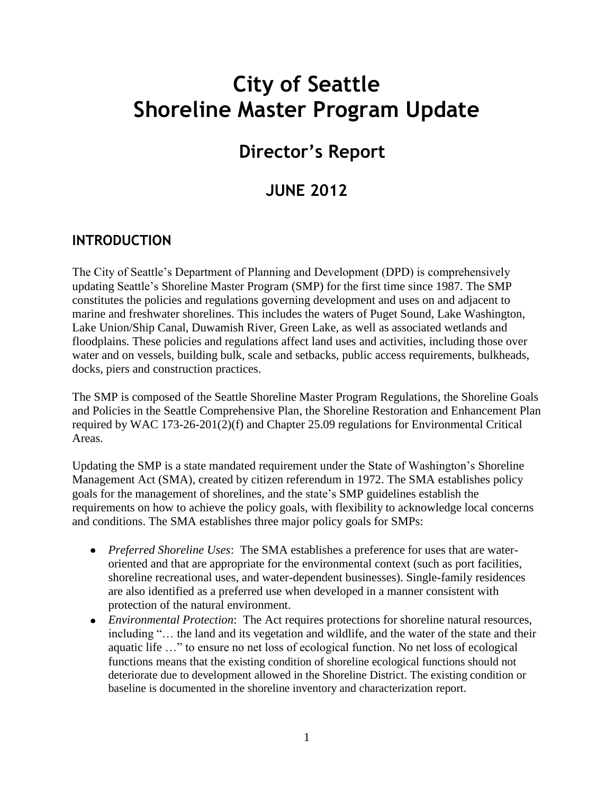# **City of Seattle Shoreline Master Program Update**

# **Director's Report**

# **JUNE 2012**

## **INTRODUCTION**

The City of Seattle's Department of Planning and Development (DPD) is comprehensively updating Seattle's Shoreline Master Program (SMP) for the first time since 1987. The SMP constitutes the policies and regulations governing development and uses on and adjacent to marine and freshwater shorelines. This includes the waters of Puget Sound, Lake Washington, Lake Union/Ship Canal, Duwamish River, Green Lake, as well as associated wetlands and floodplains. These policies and regulations affect land uses and activities, including those over water and on vessels, building bulk, scale and setbacks, public access requirements, bulkheads, docks, piers and construction practices.

The SMP is composed of the Seattle Shoreline Master Program Regulations, the Shoreline Goals and Policies in the Seattle Comprehensive Plan, the Shoreline Restoration and Enhancement Plan required by WAC 173-26-201(2)(f) and Chapter 25.09 regulations for Environmental Critical Areas.

Updating the SMP is a state mandated requirement under the State of Washington's Shoreline Management Act (SMA), created by citizen referendum in 1972. The SMA establishes policy goals for the management of shorelines, and the state's SMP guidelines establish the requirements on how to achieve the policy goals, with flexibility to acknowledge local concerns and conditions. The SMA establishes three major policy goals for SMPs:

- *Preferred Shoreline Uses*: The SMA establishes a preference for uses that are wateroriented and that are appropriate for the environmental context (such as port facilities, shoreline recreational uses, and water-dependent businesses). Single-family residences are also identified as a preferred use when developed in a manner consistent with protection of the natural environment.
- *Environmental Protection*: The Act requires protections for shoreline natural resources, including "… the land and its vegetation and wildlife, and the water of the state and their aquatic life …" to ensure no net loss of ecological function. No net loss of ecological functions means that the existing condition of shoreline ecological functions should not deteriorate due to development allowed in the Shoreline District. The existing condition or baseline is documented in the shoreline inventory and characterization report.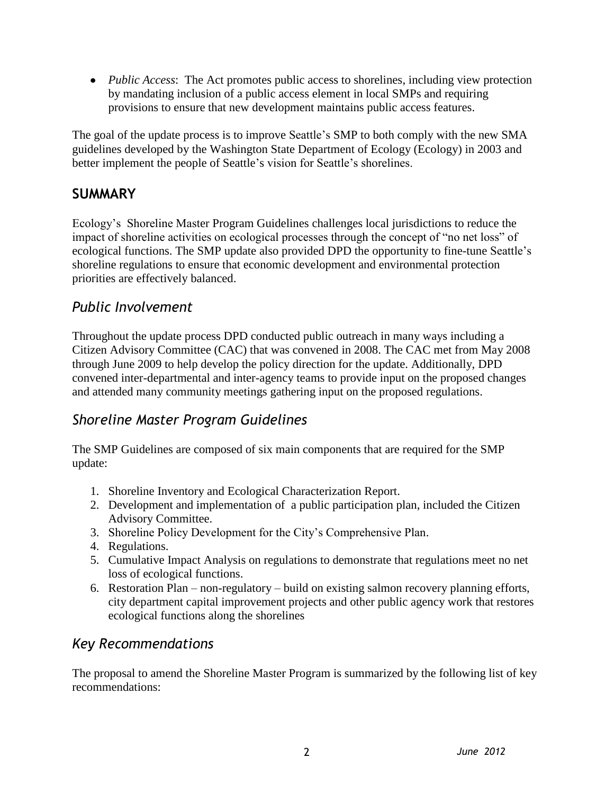*Public Access*: The Act promotes public access to shorelines, including view protection by mandating inclusion of a public access element in local SMPs and requiring provisions to ensure that new development maintains public access features.

The goal of the update process is to improve Seattle's SMP to both comply with the new SMA guidelines developed by the Washington State Department of Ecology (Ecology) in 2003 and better implement the people of Seattle's vision for Seattle's shorelines.

# **SUMMARY**

Ecology's Shoreline Master Program Guidelines challenges local jurisdictions to reduce the impact of shoreline activities on ecological processes through the concept of "no net loss" of ecological functions. The SMP update also provided DPD the opportunity to fine-tune Seattle's shoreline regulations to ensure that economic development and environmental protection priorities are effectively balanced.

# *Public Involvement*

Throughout the update process DPD conducted public outreach in many ways including a Citizen Advisory Committee (CAC) that was convened in 2008. The CAC met from May 2008 through June 2009 to help develop the policy direction for the update. Additionally, DPD convened inter-departmental and inter-agency teams to provide input on the proposed changes and attended many community meetings gathering input on the proposed regulations.

# *Shoreline Master Program Guidelines*

The SMP Guidelines are composed of six main components that are required for the SMP update:

- 1. Shoreline Inventory and Ecological Characterization Report.
- 2. Development and implementation of a public participation plan, included the Citizen Advisory Committee.
- 3. Shoreline Policy Development for the City's Comprehensive Plan.
- 4. Regulations.
- 5. Cumulative Impact Analysis on regulations to demonstrate that regulations meet no net loss of ecological functions.
- 6. Restoration Plan non-regulatory build on existing salmon recovery planning efforts, city department capital improvement projects and other public agency work that restores ecological functions along the shorelines

## *Key Recommendations*

The proposal to amend the Shoreline Master Program is summarized by the following list of key recommendations: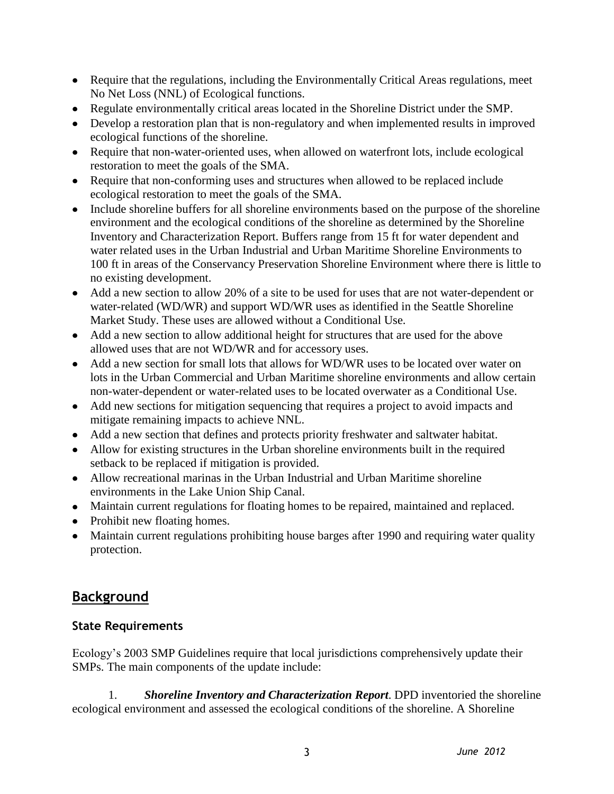- Require that the regulations, including the Environmentally Critical Areas regulations, meet No Net Loss (NNL) of Ecological functions.
- Regulate environmentally critical areas located in the Shoreline District under the SMP.
- Develop a restoration plan that is non-regulatory and when implemented results in improved ecological functions of the shoreline.
- Require that non-water-oriented uses, when allowed on waterfront lots, include ecological restoration to meet the goals of the SMA.
- Require that non-conforming uses and structures when allowed to be replaced include ecological restoration to meet the goals of the SMA.
- Include shoreline buffers for all shoreline environments based on the purpose of the shoreline environment and the ecological conditions of the shoreline as determined by the Shoreline Inventory and Characterization Report. Buffers range from 15 ft for water dependent and water related uses in the Urban Industrial and Urban Maritime Shoreline Environments to 100 ft in areas of the Conservancy Preservation Shoreline Environment where there is little to no existing development.
- Add a new section to allow 20% of a site to be used for uses that are not water-dependent or water-related (WD/WR) and support WD/WR uses as identified in the Seattle Shoreline Market Study. These uses are allowed without a Conditional Use.
- Add a new section to allow additional height for structures that are used for the above allowed uses that are not WD/WR and for accessory uses.
- Add a new section for small lots that allows for WD/WR uses to be located over water on lots in the Urban Commercial and Urban Maritime shoreline environments and allow certain non-water-dependent or water-related uses to be located overwater as a Conditional Use.
- Add new sections for mitigation sequencing that requires a project to avoid impacts and mitigate remaining impacts to achieve NNL.
- Add a new section that defines and protects priority freshwater and saltwater habitat.
- Allow for existing structures in the Urban shoreline environments built in the required setback to be replaced if mitigation is provided.
- Allow recreational marinas in the Urban Industrial and Urban Maritime shoreline environments in the Lake Union Ship Canal.
- Maintain current regulations for floating homes to be repaired, maintained and replaced.
- Prohibit new floating homes.
- Maintain current regulations prohibiting house barges after 1990 and requiring water quality protection.

# **Background**

## **State Requirements**

Ecology's 2003 SMP Guidelines require that local jurisdictions comprehensively update their SMPs. The main components of the update include:

1. *Shoreline Inventory and Characterization Report*. DPD inventoried the shoreline ecological environment and assessed the ecological conditions of the shoreline. A Shoreline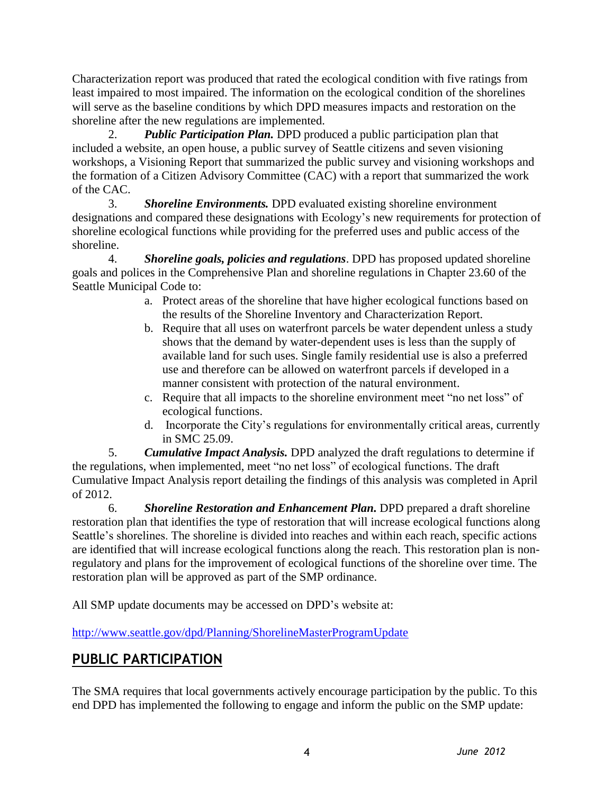Characterization report was produced that rated the ecological condition with five ratings from least impaired to most impaired. The information on the ecological condition of the shorelines will serve as the baseline conditions by which DPD measures impacts and restoration on the shoreline after the new regulations are implemented.

2. *Public Participation Plan.* DPD produced a public participation plan that included a website, an open house, a public survey of Seattle citizens and seven visioning workshops, a Visioning Report that summarized the public survey and visioning workshops and the formation of a Citizen Advisory Committee (CAC) with a report that summarized the work of the CAC.

3. *Shoreline Environments.* DPD evaluated existing shoreline environment designations and compared these designations with Ecology's new requirements for protection of shoreline ecological functions while providing for the preferred uses and public access of the shoreline.

4. *Shoreline goals, policies and regulations*. DPD has proposed updated shoreline goals and polices in the Comprehensive Plan and shoreline regulations in Chapter 23.60 of the Seattle Municipal Code to:

- a. Protect areas of the shoreline that have higher ecological functions based on the results of the Shoreline Inventory and Characterization Report.
- b. Require that all uses on waterfront parcels be water dependent unless a study shows that the demand by water-dependent uses is less than the supply of available land for such uses. Single family residential use is also a preferred use and therefore can be allowed on waterfront parcels if developed in a manner consistent with protection of the natural environment.
- c. Require that all impacts to the shoreline environment meet "no net loss" of ecological functions.
- d. Incorporate the City's regulations for environmentally critical areas, currently in SMC 25.09.

5. *Cumulative Impact Analysis.* DPD analyzed the draft regulations to determine if the regulations, when implemented, meet "no net loss" of ecological functions. The draft Cumulative Impact Analysis report detailing the findings of this analysis was completed in April of 2012.

6. *Shoreline Restoration and Enhancement Plan.* DPD prepared a draft shoreline restoration plan that identifies the type of restoration that will increase ecological functions along Seattle's shorelines. The shoreline is divided into reaches and within each reach, specific actions are identified that will increase ecological functions along the reach. This restoration plan is nonregulatory and plans for the improvement of ecological functions of the shoreline over time. The restoration plan will be approved as part of the SMP ordinance.

All SMP update documents may be accessed on DPD's website at:

<http://www.seattle.gov/dpd/Planning/ShorelineMasterProgramUpdate>

# **PUBLIC PARTICIPATION**

The SMA requires that local governments actively encourage participation by the public. To this end DPD has implemented the following to engage and inform the public on the SMP update: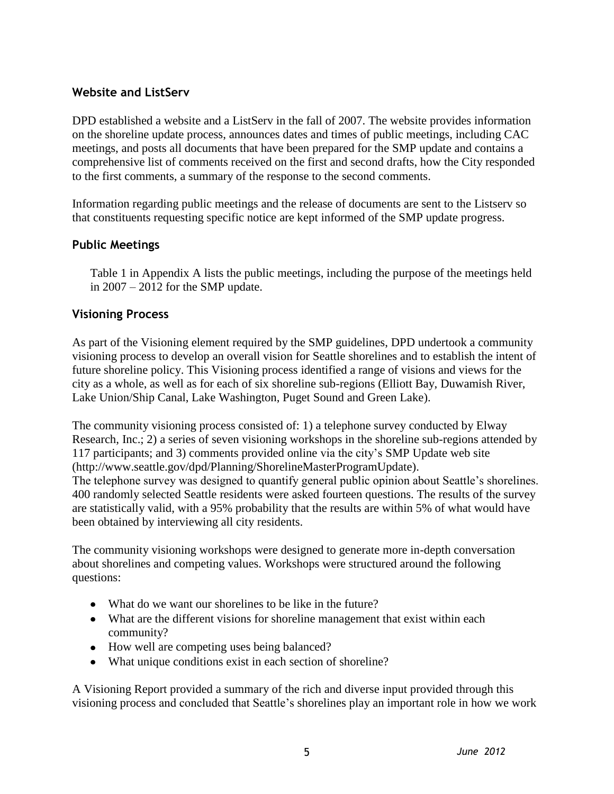## **Website and ListServ**

DPD established a website and a ListServ in the fall of 2007. The website provides information on the shoreline update process, announces dates and times of public meetings, including CAC meetings, and posts all documents that have been prepared for the SMP update and contains a comprehensive list of comments received on the first and second drafts, how the City responded to the first comments, a summary of the response to the second comments.

Information regarding public meetings and the release of documents are sent to the Listserv so that constituents requesting specific notice are kept informed of the SMP update progress.

#### **Public Meetings**

Table 1 in Appendix A lists the public meetings, including the purpose of the meetings held in 2007 – 2012 for the SMP update.

#### **Visioning Process**

As part of the Visioning element required by the SMP guidelines, DPD undertook a community visioning process to develop an overall vision for Seattle shorelines and to establish the intent of future shoreline policy. This Visioning process identified a range of visions and views for the city as a whole, as well as for each of six shoreline sub-regions (Elliott Bay, Duwamish River, Lake Union/Ship Canal, Lake Washington, Puget Sound and Green Lake).

The community visioning process consisted of: 1) a telephone survey conducted by Elway Research, Inc.; 2) a series of seven visioning workshops in the shoreline sub-regions attended by 117 participants; and 3) comments provided online via the city's SMP Update web site (http://www.seattle.gov/dpd/Planning/ShorelineMasterProgramUpdate). The telephone survey was designed to quantify general public opinion about Seattle's shorelines. 400 randomly selected Seattle residents were asked fourteen questions. The results of the survey

are statistically valid, with a 95% probability that the results are within 5% of what would have been obtained by interviewing all city residents.

The community visioning workshops were designed to generate more in-depth conversation about shorelines and competing values. Workshops were structured around the following questions:

- What do we want our shorelines to be like in the future?
- What are the different visions for shoreline management that exist within each community?
- How well are competing uses being balanced?
- What unique conditions exist in each section of shoreline?

A Visioning Report provided a summary of the rich and diverse input provided through this visioning process and concluded that Seattle's shorelines play an important role in how we work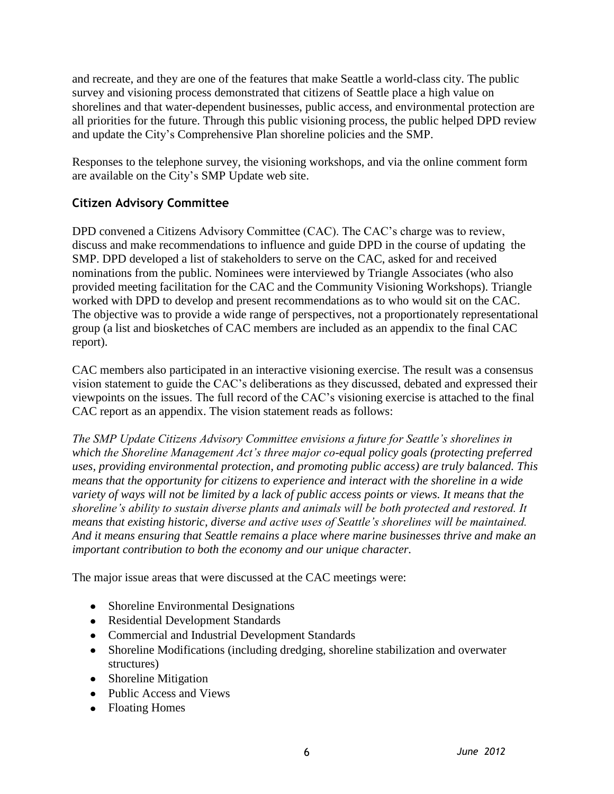and recreate, and they are one of the features that make Seattle a world-class city. The public survey and visioning process demonstrated that citizens of Seattle place a high value on shorelines and that water-dependent businesses, public access, and environmental protection are all priorities for the future. Through this public visioning process, the public helped DPD review and update the City's Comprehensive Plan shoreline policies and the SMP.

Responses to the telephone survey, the visioning workshops, and via the online comment form are available on the City's SMP Update web site.

## **Citizen Advisory Committee**

DPD convened a Citizens Advisory Committee (CAC). The CAC's charge was to review, discuss and make recommendations to influence and guide DPD in the course of updating the SMP. DPD developed a list of stakeholders to serve on the CAC, asked for and received nominations from the public. Nominees were interviewed by Triangle Associates (who also provided meeting facilitation for the CAC and the Community Visioning Workshops). Triangle worked with DPD to develop and present recommendations as to who would sit on the CAC. The objective was to provide a wide range of perspectives, not a proportionately representational group (a list and biosketches of CAC members are included as an appendix to the final CAC report).

CAC members also participated in an interactive visioning exercise. The result was a consensus vision statement to guide the CAC's deliberations as they discussed, debated and expressed their viewpoints on the issues. The full record of the CAC's visioning exercise is attached to the final CAC report as an appendix. The vision statement reads as follows:

*The SMP Update Citizens Advisory Committee envisions a future for Seattle's shorelines in which the Shoreline Management Act's three major co-equal policy goals (protecting preferred uses, providing environmental protection, and promoting public access) are truly balanced. This means that the opportunity for citizens to experience and interact with the shoreline in a wide variety of ways will not be limited by a lack of public access points or views. It means that the shoreline's ability to sustain diverse plants and animals will be both protected and restored. It means that existing historic, diverse and active uses of Seattle's shorelines will be maintained. And it means ensuring that Seattle remains a place where marine businesses thrive and make an important contribution to both the economy and our unique character.* 

The major issue areas that were discussed at the CAC meetings were:

- Shoreline Environmental Designations
- Residential Development Standards
- Commercial and Industrial Development Standards
- Shoreline Modifications (including dredging, shoreline stabilization and overwater structures)
- Shoreline Mitigation
- Public Access and Views
- Floating Homes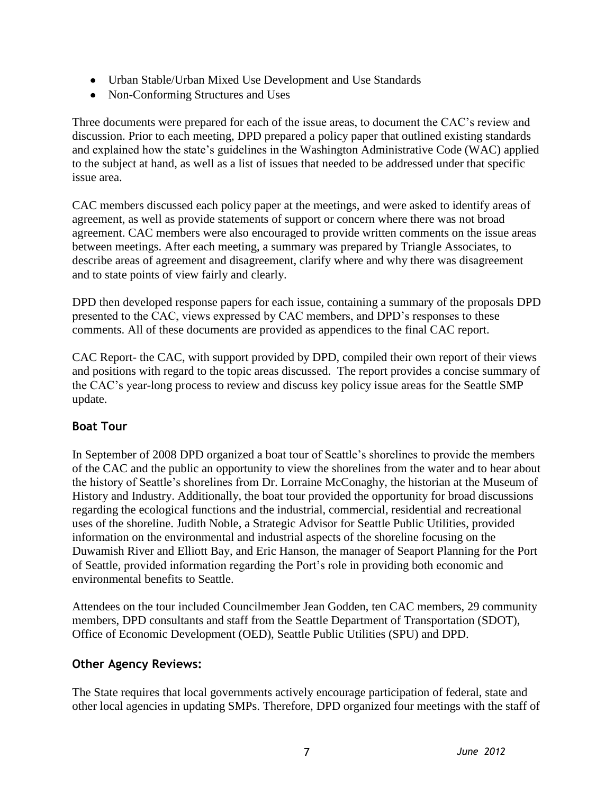- Urban Stable/Urban Mixed Use Development and Use Standards
- Non-Conforming Structures and Uses

Three documents were prepared for each of the issue areas, to document the CAC's review and discussion. Prior to each meeting, DPD prepared a policy paper that outlined existing standards and explained how the state's guidelines in the Washington Administrative Code (WAC) applied to the subject at hand, as well as a list of issues that needed to be addressed under that specific issue area.

CAC members discussed each policy paper at the meetings, and were asked to identify areas of agreement, as well as provide statements of support or concern where there was not broad agreement. CAC members were also encouraged to provide written comments on the issue areas between meetings. After each meeting, a summary was prepared by Triangle Associates, to describe areas of agreement and disagreement, clarify where and why there was disagreement and to state points of view fairly and clearly.

DPD then developed response papers for each issue, containing a summary of the proposals DPD presented to the CAC, views expressed by CAC members, and DPD's responses to these comments. All of these documents are provided as appendices to the final CAC report.

CAC Report- the CAC, with support provided by DPD, compiled their own report of their views and positions with regard to the topic areas discussed. The report provides a concise summary of the CAC's year-long process to review and discuss key policy issue areas for the Seattle SMP update.

## **Boat Tour**

In September of 2008 DPD organized a boat tour of Seattle's shorelines to provide the members of the CAC and the public an opportunity to view the shorelines from the water and to hear about the history of Seattle's shorelines from Dr. Lorraine McConaghy, the historian at the Museum of History and Industry. Additionally, the boat tour provided the opportunity for broad discussions regarding the ecological functions and the industrial, commercial, residential and recreational uses of the shoreline. Judith Noble, a Strategic Advisor for Seattle Public Utilities, provided information on the environmental and industrial aspects of the shoreline focusing on the Duwamish River and Elliott Bay, and Eric Hanson, the manager of Seaport Planning for the Port of Seattle, provided information regarding the Port's role in providing both economic and environmental benefits to Seattle.

Attendees on the tour included Councilmember Jean Godden, ten CAC members, 29 community members, DPD consultants and staff from the Seattle Department of Transportation (SDOT), Office of Economic Development (OED), Seattle Public Utilities (SPU) and DPD.

## **Other Agency Reviews:**

The State requires that local governments actively encourage participation of federal, state and other local agencies in updating SMPs. Therefore, DPD organized four meetings with the staff of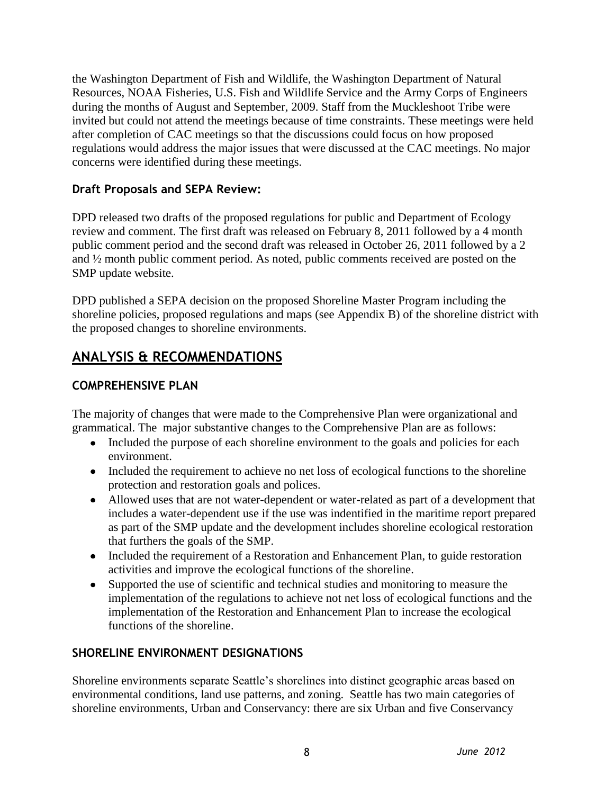the Washington Department of Fish and Wildlife, the Washington Department of Natural Resources, NOAA Fisheries, U.S. Fish and Wildlife Service and the Army Corps of Engineers during the months of August and September, 2009. Staff from the Muckleshoot Tribe were invited but could not attend the meetings because of time constraints. These meetings were held after completion of CAC meetings so that the discussions could focus on how proposed regulations would address the major issues that were discussed at the CAC meetings. No major concerns were identified during these meetings.

## **Draft Proposals and SEPA Review:**

DPD released two drafts of the proposed regulations for public and Department of Ecology review and comment. The first draft was released on February 8, 2011 followed by a 4 month public comment period and the second draft was released in October 26, 2011 followed by a 2 and ½ month public comment period. As noted, public comments received are posted on the SMP update website.

DPD published a SEPA decision on the proposed Shoreline Master Program including the shoreline policies, proposed regulations and maps (see Appendix B) of the shoreline district with the proposed changes to shoreline environments.

# **ANALYSIS & RECOMMENDATIONS**

## **COMPREHENSIVE PLAN**

The majority of changes that were made to the Comprehensive Plan were organizational and grammatical. The major substantive changes to the Comprehensive Plan are as follows:

- Included the purpose of each shoreline environment to the goals and policies for each environment.
- Included the requirement to achieve no net loss of ecological functions to the shoreline protection and restoration goals and polices.
- Allowed uses that are not water-dependent or water-related as part of a development that includes a water-dependent use if the use was indentified in the maritime report prepared as part of the SMP update and the development includes shoreline ecological restoration that furthers the goals of the SMP.
- Included the requirement of a Restoration and Enhancement Plan, to guide restoration activities and improve the ecological functions of the shoreline.
- Supported the use of scientific and technical studies and monitoring to measure the implementation of the regulations to achieve not net loss of ecological functions and the implementation of the Restoration and Enhancement Plan to increase the ecological functions of the shoreline.

## **SHORELINE ENVIRONMENT DESIGNATIONS**

Shoreline environments separate Seattle's shorelines into distinct geographic areas based on environmental conditions, land use patterns, and zoning. Seattle has two main categories of shoreline environments, Urban and Conservancy: there are six Urban and five Conservancy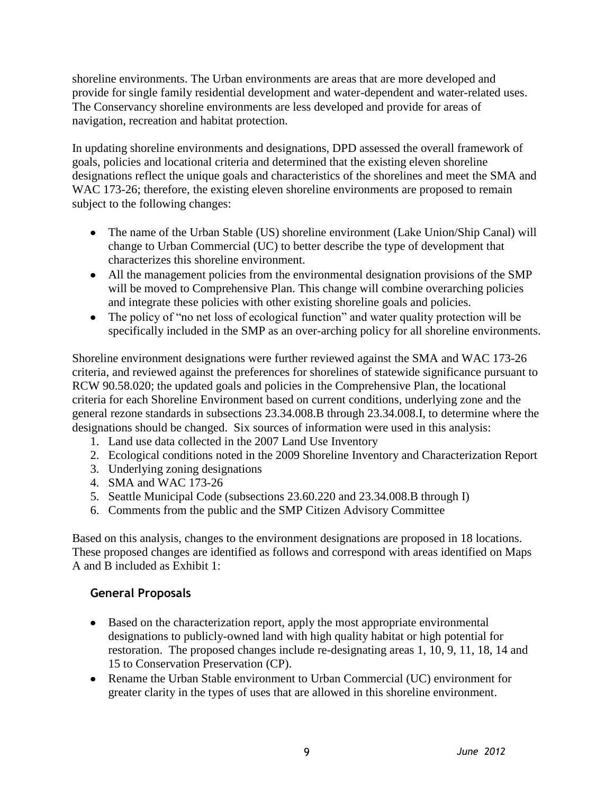shoreline environments. The Urban environments are areas that are more developed and provide for single family residential development and water-dependent and water-related uses. The Conservancy shoreline environments are less developed and provide for areas of navigation, recreation and habitat protection.

In updating shoreline environments and designations, DPD assessed the overall framework of goals, policies and locational criteria and determined that the existing eleven shoreline designations reflect the unique goals and characteristics of the shorelines and meet the SMA and WAC 173-26; therefore, the existing eleven shoreline environments are proposed to remain subject to the following changes:

- The name of the Urban Stable (US) shoreline environment (Lake Union/Ship Canal) will change to Urban Commercial (UC) to better describe the type of development that characterizes this shoreline environment.
- All the management policies from the environmental designation provisions of the SMP will be moved to Comprehensive Plan. This change will combine overarching policies and integrate these policies with other existing shoreline goals and policies.
- The policy of "no net loss of ecological function" and water quality protection will be specifically included in the SMP as an over-arching policy for all shoreline environments.

Shoreline environment designations were further reviewed against the SMA and WAC 173-26 criteria, and reviewed against the preferences for shorelines of statewide significance pursuant to RCW 90.58.020; the updated goals and policies in the Comprehensive Plan, the locational criteria for each Shoreline Environment based on current conditions, underlying zone and the general rezone standards in subsections 23.34.008.B through 23.34.008.I, to determine where the designations should be changed. Six sources of information were used in this analysis:

- 1. Land use data collected in the 2007 Land Use Inventory
- 2. Ecological conditions noted in the 2009 Shoreline Inventory and Characterization Report
- 3. Underlying zoning designations
- 4. SMA and WAC 173-26
- 5. Seattle Municipal Code (subsections 23.60.220 and 23.34.008.B through I)
- 6. Comments from the public and the SMP Citizen Advisory Committee

Based on this analysis, changes to the environment designations are proposed in 18 locations. These proposed changes are identified as follows and correspond with areas identified on Maps A and B included as Exhibit 1:

## **General Proposals**

- Based on the characterization report, apply the most appropriate environmental designations to publicly-owned land with high quality habitat or high potential for restoration. The proposed changes include re-designating areas 1, 10, 9, 11, 18, 14 and 15 to Conservation Preservation (CP).
- Rename the Urban Stable environment to Urban Commercial (UC) environment for greater clarity in the types of uses that are allowed in this shoreline environment.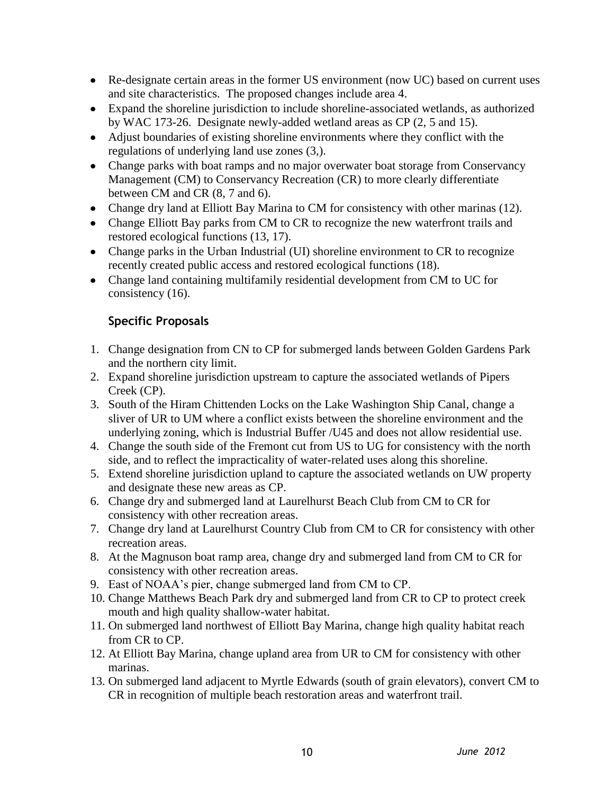- Re-designate certain areas in the former US environment (now UC) based on current uses and site characteristics. The proposed changes include area 4.
- Expand the shoreline jurisdiction to include shoreline-associated wetlands, as authorized by WAC 173-26. Designate newly-added wetland areas as CP (2, 5 and 15).
- Adjust boundaries of existing shoreline environments where they conflict with the regulations of underlying land use zones (3,).
- Change parks with boat ramps and no major overwater boat storage from Conservancy Management (CM) to Conservancy Recreation (CR) to more clearly differentiate between CM and CR (8, 7 and 6).
- Change dry land at Elliott Bay Marina to CM for consistency with other marinas (12).
- Change Elliott Bay parks from CM to CR to recognize the new waterfront trails and restored ecological functions (13, 17).
- Change parks in the Urban Industrial (UI) shoreline environment to CR to recognize recently created public access and restored ecological functions (18).
- Change land containing multifamily residential development from CM to UC for consistency (16).

## **Specific Proposals**

- 1. Change designation from CN to CP for submerged lands between Golden Gardens Park and the northern city limit.
- 2. Expand shoreline jurisdiction upstream to capture the associated wetlands of Pipers Creek (CP).
- 3. South of the Hiram Chittenden Locks on the Lake Washington Ship Canal, change a sliver of UR to UM where a conflict exists between the shoreline environment and the underlying zoning, which is Industrial Buffer /U45 and does not allow residential use.
- 4. Change the south side of the Fremont cut from US to UG for consistency with the north side, and to reflect the impracticality of water-related uses along this shoreline.
- 5. Extend shoreline jurisdiction upland to capture the associated wetlands on UW property and designate these new areas as CP.
- 6. Change dry and submerged land at Laurelhurst Beach Club from CM to CR for consistency with other recreation areas.
- 7. Change dry land at Laurelhurst Country Club from CM to CR for consistency with other recreation areas.
- 8. At the Magnuson boat ramp area, change dry and submerged land from CM to CR for consistency with other recreation areas.
- 9. East of NOAA's pier, change submerged land from CM to CP.
- 10. Change Matthews Beach Park dry and submerged land from CR to CP to protect creek mouth and high quality shallow-water habitat.
- 11. On submerged land northwest of Elliott Bay Marina, change high quality habitat reach from CR to CP.
- 12. At Elliott Bay Marina, change upland area from UR to CM for consistency with other marinas.
- 13. On submerged land adjacent to Myrtle Edwards (south of grain elevators), convert CM to CR in recognition of multiple beach restoration areas and waterfront trail.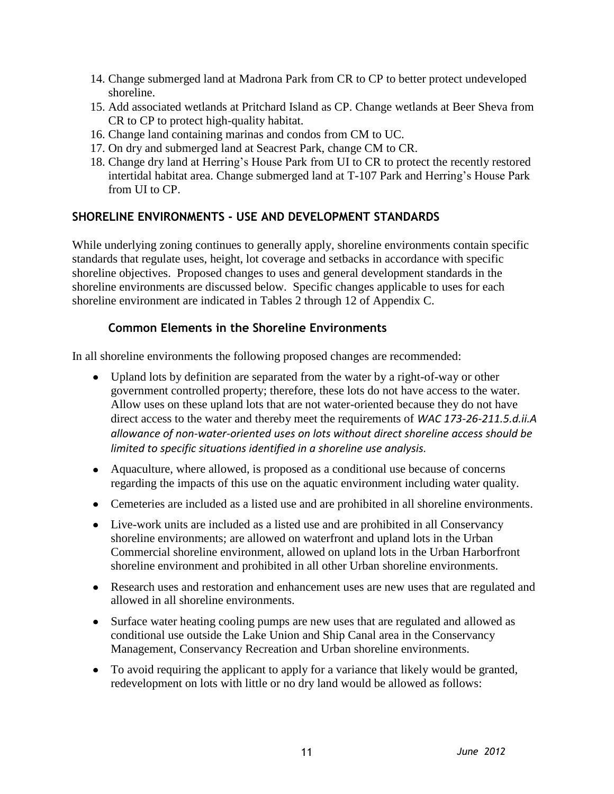- 14. Change submerged land at Madrona Park from CR to CP to better protect undeveloped shoreline.
- 15. Add associated wetlands at Pritchard Island as CP. Change wetlands at Beer Sheva from CR to CP to protect high-quality habitat.
- 16. Change land containing marinas and condos from CM to UC.
- 17. On dry and submerged land at Seacrest Park, change CM to CR.
- 18. Change dry land at Herring's House Park from UI to CR to protect the recently restored intertidal habitat area. Change submerged land at T-107 Park and Herring's House Park from UI to CP.

#### **SHORELINE ENVIRONMENTS - USE AND DEVELOPMENT STANDARDS**

While underlying zoning continues to generally apply, shoreline environments contain specific standards that regulate uses, height, lot coverage and setbacks in accordance with specific shoreline objectives. Proposed changes to uses and general development standards in the shoreline environments are discussed below. Specific changes applicable to uses for each shoreline environment are indicated in Tables 2 through 12 of Appendix C.

#### **Common Elements in the Shoreline Environments**

In all shoreline environments the following proposed changes are recommended:

- Upland lots by definition are separated from the water by a right-of-way or other government controlled property; therefore, these lots do not have access to the water. Allow uses on these upland lots that are not water-oriented because they do not have direct access to the water and thereby meet the requirements of *WAC 173-26-211.5.d.ii.A allowance of non-water-oriented uses on lots without direct shoreline access should be limited to specific situations identified in a shoreline use analysis.*
- Aquaculture, where allowed, is proposed as a conditional use because of concerns regarding the impacts of this use on the aquatic environment including water quality.
- Cemeteries are included as a listed use and are prohibited in all shoreline environments.
- Live-work units are included as a listed use and are prohibited in all Conservancy shoreline environments; are allowed on waterfront and upland lots in the Urban Commercial shoreline environment, allowed on upland lots in the Urban Harborfront shoreline environment and prohibited in all other Urban shoreline environments.
- Research uses and restoration and enhancement uses are new uses that are regulated and allowed in all shoreline environments.
- $\bullet$ Surface water heating cooling pumps are new uses that are regulated and allowed as conditional use outside the Lake Union and Ship Canal area in the Conservancy Management, Conservancy Recreation and Urban shoreline environments.
- To avoid requiring the applicant to apply for a variance that likely would be granted, redevelopment on lots with little or no dry land would be allowed as follows: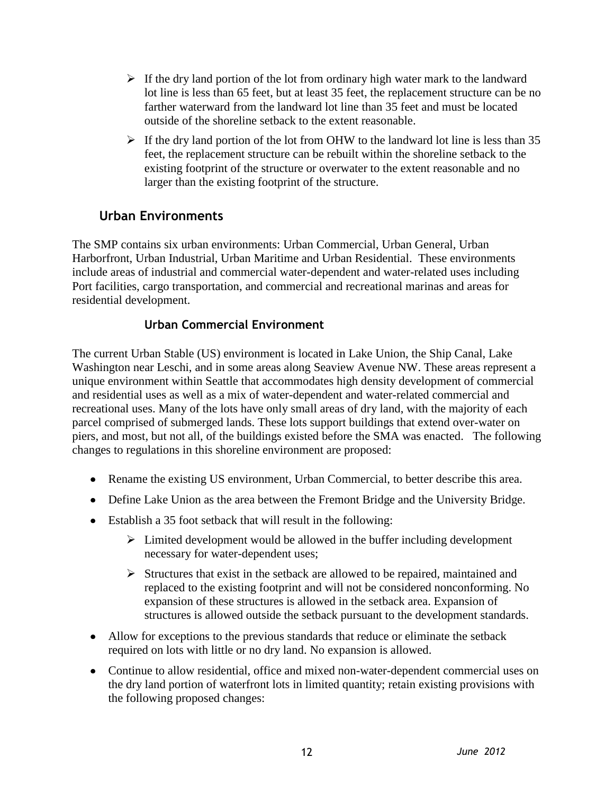- $\triangleright$  If the dry land portion of the lot from ordinary high water mark to the landward lot line is less than 65 feet, but at least 35 feet, the replacement structure can be no farther waterward from the landward lot line than 35 feet and must be located outside of the shoreline setback to the extent reasonable.
- $\triangleright$  If the dry land portion of the lot from OHW to the landward lot line is less than 35 feet, the replacement structure can be rebuilt within the shoreline setback to the existing footprint of the structure or overwater to the extent reasonable and no larger than the existing footprint of the structure.

## **Urban Environments**

The SMP contains six urban environments: Urban Commercial, Urban General, Urban Harborfront, Urban Industrial, Urban Maritime and Urban Residential. These environments include areas of industrial and commercial water-dependent and water-related uses including Port facilities, cargo transportation, and commercial and recreational marinas and areas for residential development.

## **Urban Commercial Environment**

The current Urban Stable (US) environment is located in Lake Union, the Ship Canal, Lake Washington near Leschi, and in some areas along Seaview Avenue NW. These areas represent a unique environment within Seattle that accommodates high density development of commercial and residential uses as well as a mix of water-dependent and water-related commercial and recreational uses. Many of the lots have only small areas of dry land, with the majority of each parcel comprised of submerged lands. These lots support buildings that extend over-water on piers, and most, but not all, of the buildings existed before the SMA was enacted. The following changes to regulations in this shoreline environment are proposed:

- Rename the existing US environment, Urban Commercial, to better describe this area.
- Define Lake Union as the area between the Fremont Bridge and the University Bridge.
- Establish a 35 foot setback that will result in the following:
	- $\triangleright$  Limited development would be allowed in the buffer including development necessary for water-dependent uses;
	- $\triangleright$  Structures that exist in the setback are allowed to be repaired, maintained and replaced to the existing footprint and will not be considered nonconforming. No expansion of these structures is allowed in the setback area. Expansion of structures is allowed outside the setback pursuant to the development standards.
- Allow for exceptions to the previous standards that reduce or eliminate the setback required on lots with little or no dry land. No expansion is allowed.
- Continue to allow residential, office and mixed non-water-dependent commercial uses on the dry land portion of waterfront lots in limited quantity; retain existing provisions with the following proposed changes: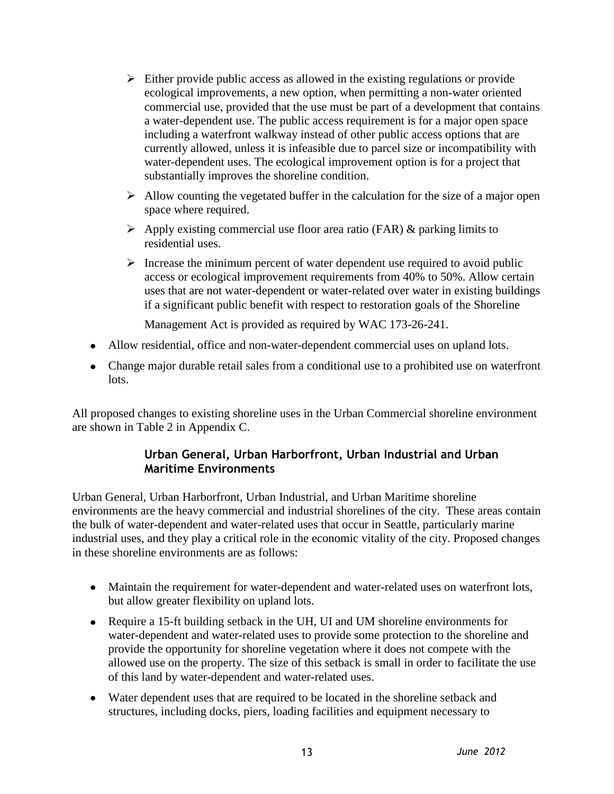- $\triangleright$  Either provide public access as allowed in the existing regulations or provide ecological improvements, a new option, when permitting a non-water oriented commercial use, provided that the use must be part of a development that contains a water-dependent use. The public access requirement is for a major open space including a waterfront walkway instead of other public access options that are currently allowed, unless it is infeasible due to parcel size or incompatibility with water-dependent uses. The ecological improvement option is for a project that substantially improves the shoreline condition.
- $\triangleright$  Allow counting the vegetated buffer in the calculation for the size of a major open space where required.
- $\triangleright$  Apply existing commercial use floor area ratio (FAR) & parking limits to residential uses.
- $\triangleright$  Increase the minimum percent of water dependent use required to avoid public access or ecological improvement requirements from 40% to 50%. Allow certain uses that are not water-dependent or water-related over water in existing buildings if a significant public benefit with respect to restoration goals of the Shoreline

Management Act is provided as required by WAC 173-26-241.

- Allow residential, office and non-water-dependent commercial uses on upland lots.
- Change major durable retail sales from a conditional use to a prohibited use on waterfront lots.

All proposed changes to existing shoreline uses in the Urban Commercial shoreline environment are shown in Table 2 in Appendix C.

## **Urban General, Urban Harborfront, Urban Industrial and Urban Maritime Environments**

Urban General, Urban Harborfront, Urban Industrial, and Urban Maritime shoreline environments are the heavy commercial and industrial shorelines of the city. These areas contain the bulk of water-dependent and water-related uses that occur in Seattle, particularly marine industrial uses, and they play a critical role in the economic vitality of the city. Proposed changes in these shoreline environments are as follows:

- Maintain the requirement for water-dependent and water-related uses on waterfront lots, but allow greater flexibility on upland lots.
- Require a 15-ft building setback in the UH, UI and UM shoreline environments for water-dependent and water-related uses to provide some protection to the shoreline and provide the opportunity for shoreline vegetation where it does not compete with the allowed use on the property. The size of this setback is small in order to facilitate the use of this land by water-dependent and water-related uses.
- Water dependent uses that are required to be located in the shoreline setback and structures, including docks, piers, loading facilities and equipment necessary to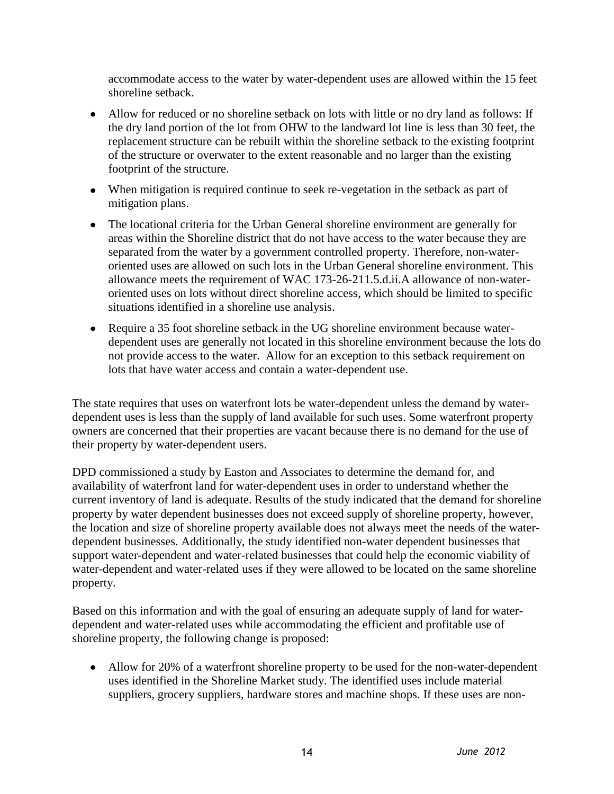accommodate access to the water by water-dependent uses are allowed within the 15 feet shoreline setback.

- Allow for reduced or no shoreline setback on lots with little or no dry land as follows: If the dry land portion of the lot from OHW to the landward lot line is less than 30 feet, the replacement structure can be rebuilt within the shoreline setback to the existing footprint of the structure or overwater to the extent reasonable and no larger than the existing footprint of the structure.
- When mitigation is required continue to seek re-vegetation in the setback as part of mitigation plans.
- The locational criteria for the Urban General shoreline environment are generally for areas within the Shoreline district that do not have access to the water because they are separated from the water by a government controlled property. Therefore, non-wateroriented uses are allowed on such lots in the Urban General shoreline environment. This allowance meets the requirement of WAC 173-26-211.5.d.ii.A allowance of non-wateroriented uses on lots without direct shoreline access, which should be limited to specific situations identified in a shoreline use analysis.
- Require a 35 foot shoreline setback in the UG shoreline environment because waterdependent uses are generally not located in this shoreline environment because the lots do not provide access to the water. Allow for an exception to this setback requirement on lots that have water access and contain a water-dependent use.

The state requires that uses on waterfront lots be water-dependent unless the demand by waterdependent uses is less than the supply of land available for such uses. Some waterfront property owners are concerned that their properties are vacant because there is no demand for the use of their property by water-dependent users.

DPD commissioned a study by Easton and Associates to determine the demand for, and availability of waterfront land for water-dependent uses in order to understand whether the current inventory of land is adequate. Results of the study indicated that the demand for shoreline property by water dependent businesses does not exceed supply of shoreline property, however, the location and size of shoreline property available does not always meet the needs of the waterdependent businesses. Additionally, the study identified non-water dependent businesses that support water-dependent and water-related businesses that could help the economic viability of water-dependent and water-related uses if they were allowed to be located on the same shoreline property.

Based on this information and with the goal of ensuring an adequate supply of land for waterdependent and water-related uses while accommodating the efficient and profitable use of shoreline property, the following change is proposed:

• Allow for 20% of a waterfront shoreline property to be used for the non-water-dependent uses identified in the Shoreline Market study. The identified uses include material suppliers, grocery suppliers, hardware stores and machine shops. If these uses are non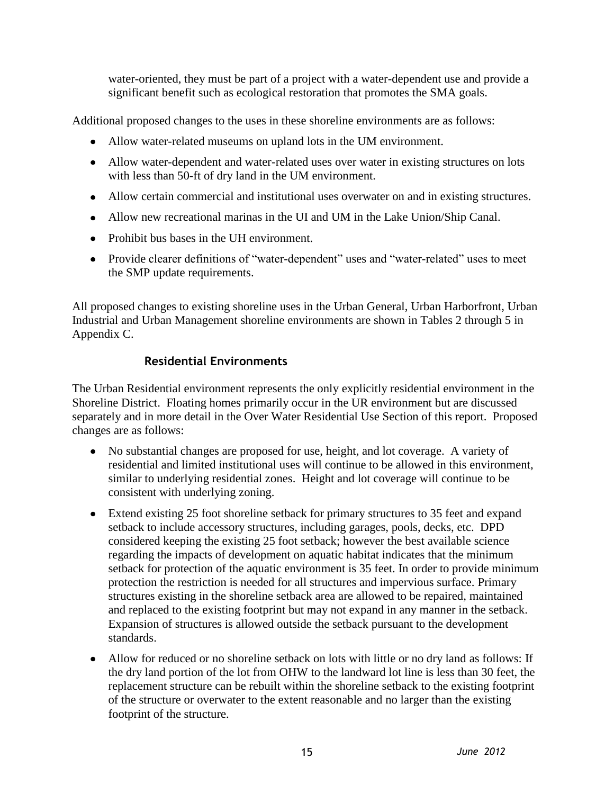water-oriented, they must be part of a project with a water-dependent use and provide a significant benefit such as ecological restoration that promotes the SMA goals.

Additional proposed changes to the uses in these shoreline environments are as follows:

- Allow water-related museums on upland lots in the UM environment.
- Allow water-dependent and water-related uses over water in existing structures on lots with less than 50-ft of dry land in the UM environment.
- Allow certain commercial and institutional uses overwater on and in existing structures.
- Allow new recreational marinas in the UI and UM in the Lake Union/Ship Canal.
- Prohibit bus bases in the UH environment.
- Provide clearer definitions of "water-dependent" uses and "water-related" uses to meet the SMP update requirements.

All proposed changes to existing shoreline uses in the Urban General, Urban Harborfront, Urban Industrial and Urban Management shoreline environments are shown in Tables 2 through 5 in Appendix C.

## **Residential Environments**

The Urban Residential environment represents the only explicitly residential environment in the Shoreline District. Floating homes primarily occur in the UR environment but are discussed separately and in more detail in the Over Water Residential Use Section of this report. Proposed changes are as follows:

- No substantial changes are proposed for use, height, and lot coverage. A variety of residential and limited institutional uses will continue to be allowed in this environment, similar to underlying residential zones. Height and lot coverage will continue to be consistent with underlying zoning.
- Extend existing 25 foot shoreline setback for primary structures to 35 feet and expand setback to include accessory structures, including garages, pools, decks, etc. DPD considered keeping the existing 25 foot setback; however the best available science regarding the impacts of development on aquatic habitat indicates that the minimum setback for protection of the aquatic environment is 35 feet. In order to provide minimum protection the restriction is needed for all structures and impervious surface. Primary structures existing in the shoreline setback area are allowed to be repaired, maintained and replaced to the existing footprint but may not expand in any manner in the setback. Expansion of structures is allowed outside the setback pursuant to the development standards.
- Allow for reduced or no shoreline setback on lots with little or no dry land as follows: If the dry land portion of the lot from OHW to the landward lot line is less than 30 feet, the replacement structure can be rebuilt within the shoreline setback to the existing footprint of the structure or overwater to the extent reasonable and no larger than the existing footprint of the structure.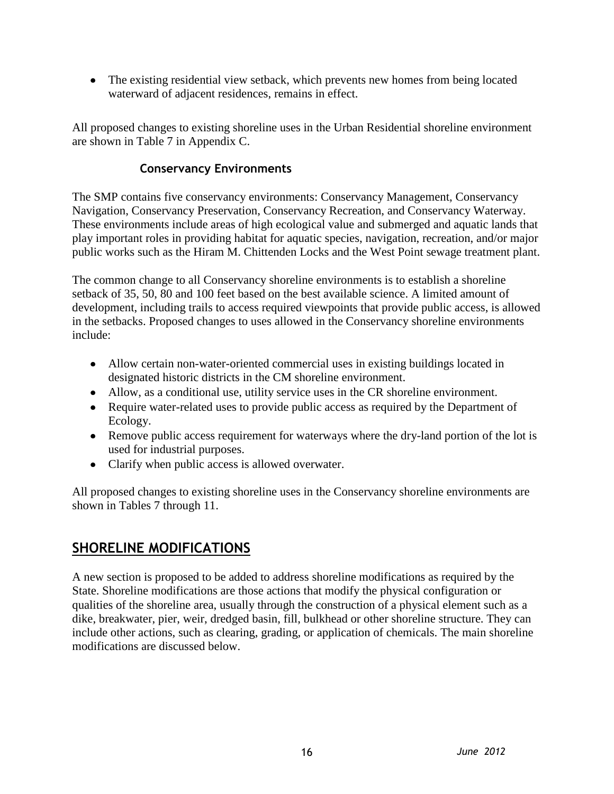• The existing residential view setback, which prevents new homes from being located waterward of adjacent residences, remains in effect.

All proposed changes to existing shoreline uses in the Urban Residential shoreline environment are shown in Table 7 in Appendix C.

## **Conservancy Environments**

The SMP contains five conservancy environments: Conservancy Management, Conservancy Navigation, Conservancy Preservation, Conservancy Recreation, and Conservancy Waterway. These environments include areas of high ecological value and submerged and aquatic lands that play important roles in providing habitat for aquatic species, navigation, recreation, and/or major public works such as the Hiram M. Chittenden Locks and the West Point sewage treatment plant.

The common change to all Conservancy shoreline environments is to establish a shoreline setback of 35, 50, 80 and 100 feet based on the best available science. A limited amount of development, including trails to access required viewpoints that provide public access, is allowed in the setbacks. Proposed changes to uses allowed in the Conservancy shoreline environments include:

- Allow certain non-water-oriented commercial uses in existing buildings located in designated historic districts in the CM shoreline environment.
- Allow, as a conditional use, utility service uses in the CR shoreline environment.
- Require water-related uses to provide public access as required by the Department of Ecology.
- Remove public access requirement for waterways where the dry-land portion of the lot is used for industrial purposes.
- Clarify when public access is allowed overwater.

All proposed changes to existing shoreline uses in the Conservancy shoreline environments are shown in Tables 7 through 11.

## **SHORELINE MODIFICATIONS**

A new section is proposed to be added to address shoreline modifications as required by the State. Shoreline modifications are those actions that modify the physical configuration or qualities of the shoreline area, usually through the construction of a physical element such as a dike, breakwater, pier, weir, dredged basin, fill, bulkhead or other shoreline structure. They can include other actions, such as clearing, grading, or application of chemicals. The main shoreline modifications are discussed below.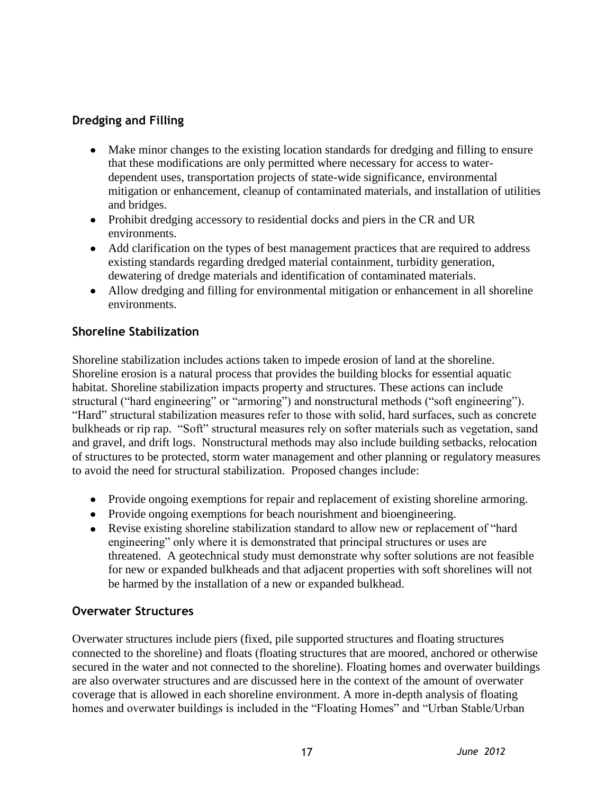## **Dredging and Filling**

- Make minor changes to the existing location standards for dredging and filling to ensure that these modifications are only permitted where necessary for access to waterdependent uses, transportation projects of state-wide significance, environmental mitigation or enhancement, cleanup of contaminated materials, and installation of utilities and bridges.
- Prohibit dredging accessory to residential docks and piers in the CR and UR environments.
- Add clarification on the types of best management practices that are required to address existing standards regarding dredged material containment, turbidity generation, dewatering of dredge materials and identification of contaminated materials.
- Allow dredging and filling for environmental mitigation or enhancement in all shoreline environments.

#### **Shoreline Stabilization**

Shoreline stabilization includes actions taken to impede erosion of land at the shoreline. Shoreline erosion is a natural process that provides the building blocks for essential aquatic habitat. Shoreline stabilization impacts property and structures. These actions can include structural ("hard engineering" or "armoring") and nonstructural methods ("soft engineering"). "Hard" structural stabilization measures refer to those with solid, hard surfaces, such as concrete bulkheads or rip rap. "Soft" structural measures rely on softer materials such as vegetation, sand and gravel, and drift logs. Nonstructural methods may also include building setbacks, relocation of structures to be protected, storm water management and other planning or regulatory measures to avoid the need for structural stabilization. Proposed changes include:

- Provide ongoing exemptions for repair and replacement of existing shoreline armoring.
- Provide ongoing exemptions for beach nourishment and bioengineering.
- Revise existing shoreline stabilization standard to allow new or replacement of "hard engineering" only where it is demonstrated that principal structures or uses are threatened. A geotechnical study must demonstrate why softer solutions are not feasible for new or expanded bulkheads and that adjacent properties with soft shorelines will not be harmed by the installation of a new or expanded bulkhead.

## **Overwater Structures**

Overwater structures include piers (fixed, pile supported structures and floating structures connected to the shoreline) and floats (floating structures that are moored, anchored or otherwise secured in the water and not connected to the shoreline). Floating homes and overwater buildings are also overwater structures and are discussed here in the context of the amount of overwater coverage that is allowed in each shoreline environment. A more in-depth analysis of floating homes and overwater buildings is included in the "Floating Homes" and "Urban Stable/Urban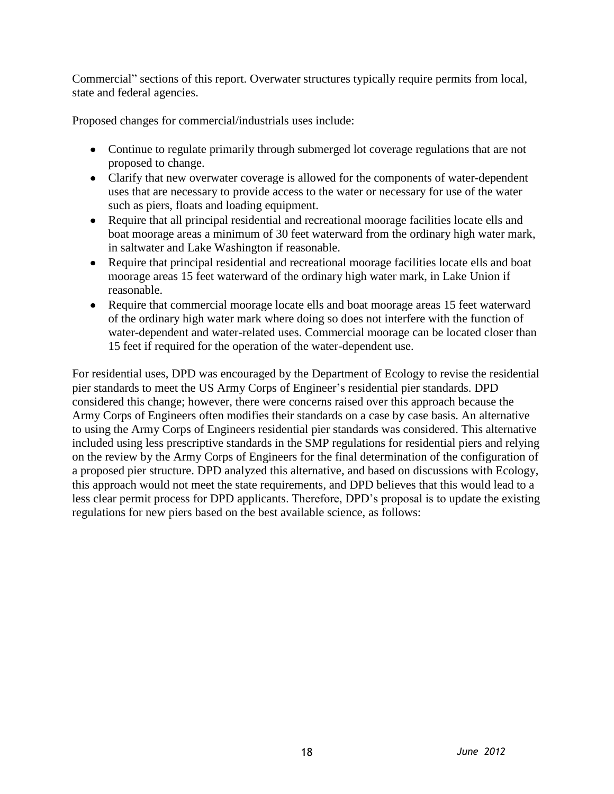Commercial" sections of this report. Overwater structures typically require permits from local, state and federal agencies.

Proposed changes for commercial/industrials uses include:

- Continue to regulate primarily through submerged lot coverage regulations that are not proposed to change.
- Clarify that new overwater coverage is allowed for the components of water-dependent uses that are necessary to provide access to the water or necessary for use of the water such as piers, floats and loading equipment.
- Require that all principal residential and recreational moorage facilities locate ells and boat moorage areas a minimum of 30 feet waterward from the ordinary high water mark, in saltwater and Lake Washington if reasonable.
- Require that principal residential and recreational moorage facilities locate ells and boat moorage areas 15 feet waterward of the ordinary high water mark, in Lake Union if reasonable.
- Require that commercial moorage locate ells and boat moorage areas 15 feet waterward of the ordinary high water mark where doing so does not interfere with the function of water-dependent and water-related uses. Commercial moorage can be located closer than 15 feet if required for the operation of the water-dependent use.

For residential uses, DPD was encouraged by the Department of Ecology to revise the residential pier standards to meet the US Army Corps of Engineer's residential pier standards. DPD considered this change; however, there were concerns raised over this approach because the Army Corps of Engineers often modifies their standards on a case by case basis. An alternative to using the Army Corps of Engineers residential pier standards was considered. This alternative included using less prescriptive standards in the SMP regulations for residential piers and relying on the review by the Army Corps of Engineers for the final determination of the configuration of a proposed pier structure. DPD analyzed this alternative, and based on discussions with Ecology, this approach would not meet the state requirements, and DPD believes that this would lead to a less clear permit process for DPD applicants. Therefore, DPD's proposal is to update the existing regulations for new piers based on the best available science, as follows: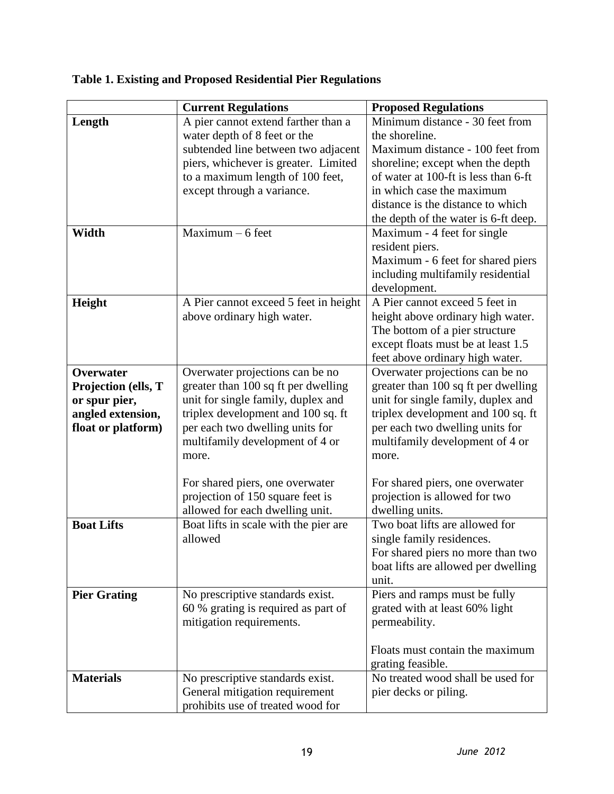|                                                                                                     | <b>Current Regulations</b>                                                                                                                                                                                                        | <b>Proposed Regulations</b>                                                                                                                                                                                                                                                 |
|-----------------------------------------------------------------------------------------------------|-----------------------------------------------------------------------------------------------------------------------------------------------------------------------------------------------------------------------------------|-----------------------------------------------------------------------------------------------------------------------------------------------------------------------------------------------------------------------------------------------------------------------------|
| Length                                                                                              | A pier cannot extend farther than a<br>water depth of 8 feet or the<br>subtended line between two adjacent<br>piers, whichever is greater. Limited<br>to a maximum length of 100 feet,<br>except through a variance.              | Minimum distance - 30 feet from<br>the shoreline.<br>Maximum distance - 100 feet from<br>shoreline; except when the depth<br>of water at 100-ft is less than 6-ft<br>in which case the maximum<br>distance is the distance to which<br>the depth of the water is 6-ft deep. |
| Width                                                                                               | $Maximum - 6 feet$                                                                                                                                                                                                                | Maximum - 4 feet for single<br>resident piers.<br>Maximum - 6 feet for shared piers<br>including multifamily residential<br>development.                                                                                                                                    |
| Height                                                                                              | A Pier cannot exceed 5 feet in height<br>above ordinary high water.                                                                                                                                                               | A Pier cannot exceed 5 feet in<br>height above ordinary high water.<br>The bottom of a pier structure<br>except floats must be at least 1.5<br>feet above ordinary high water.                                                                                              |
| <b>Overwater</b><br>Projection (ells, T<br>or spur pier,<br>angled extension,<br>float or platform) | Overwater projections can be no<br>greater than 100 sq ft per dwelling<br>unit for single family, duplex and<br>triplex development and 100 sq. ft<br>per each two dwelling units for<br>multifamily development of 4 or<br>more. | Overwater projections can be no<br>greater than 100 sq ft per dwelling<br>unit for single family, duplex and<br>triplex development and 100 sq. ft<br>per each two dwelling units for<br>multifamily development of 4 or<br>more.                                           |
|                                                                                                     | For shared piers, one overwater<br>projection of 150 square feet is<br>allowed for each dwelling unit.                                                                                                                            | For shared piers, one overwater<br>projection is allowed for two<br>dwelling units.                                                                                                                                                                                         |
| <b>Boat Lifts</b>                                                                                   | Boat lifts in scale with the pier are<br>allowed                                                                                                                                                                                  | Two boat lifts are allowed for<br>single family residences.<br>For shared piers no more than two<br>boat lifts are allowed per dwelling<br>unit.                                                                                                                            |
| <b>Pier Grating</b>                                                                                 | No prescriptive standards exist.<br>60 % grating is required as part of<br>mitigation requirements.                                                                                                                               | Piers and ramps must be fully<br>grated with at least 60% light<br>permeability.<br>Floats must contain the maximum<br>grating feasible.                                                                                                                                    |
| <b>Materials</b>                                                                                    | No prescriptive standards exist.<br>General mitigation requirement<br>prohibits use of treated wood for                                                                                                                           | No treated wood shall be used for<br>pier decks or piling.                                                                                                                                                                                                                  |

# **Table 1. Existing and Proposed Residential Pier Regulations**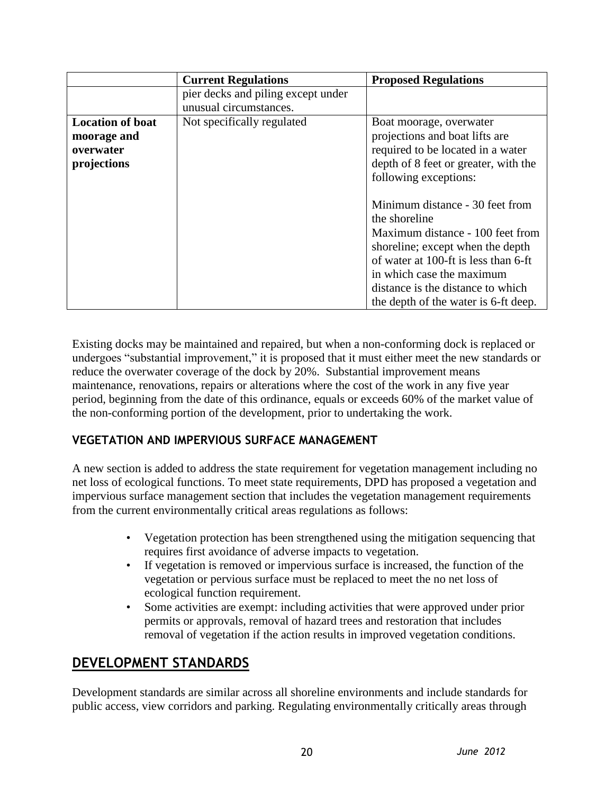|                                                                    | <b>Current Regulations</b>                                   | <b>Proposed Regulations</b>                                                                                                                                                                                                                                                |
|--------------------------------------------------------------------|--------------------------------------------------------------|----------------------------------------------------------------------------------------------------------------------------------------------------------------------------------------------------------------------------------------------------------------------------|
|                                                                    | pier decks and piling except under<br>unusual circumstances. |                                                                                                                                                                                                                                                                            |
| <b>Location of boat</b><br>moorage and<br>overwater<br>projections | Not specifically regulated                                   | Boat moorage, overwater<br>projections and boat lifts are<br>required to be located in a water<br>depth of 8 feet or greater, with the<br>following exceptions:                                                                                                            |
|                                                                    |                                                              | Minimum distance - 30 feet from<br>the shoreline<br>Maximum distance - 100 feet from<br>shoreline; except when the depth<br>of water at 100-ft is less than 6-ft<br>in which case the maximum<br>distance is the distance to which<br>the depth of the water is 6-ft deep. |

Existing docks may be maintained and repaired, but when a non-conforming dock is replaced or undergoes "substantial improvement," it is proposed that it must either meet the new standards or reduce the overwater coverage of the dock by 20%. Substantial improvement means maintenance, renovations, repairs or alterations where the cost of the work in any five year period, beginning from the date of this ordinance, equals or exceeds 60% of the market value of the non-conforming portion of the development, prior to undertaking the work.

## **VEGETATION AND IMPERVIOUS SURFACE MANAGEMENT**

A new section is added to address the state requirement for vegetation management including no net loss of ecological functions. To meet state requirements, DPD has proposed a vegetation and impervious surface management section that includes the vegetation management requirements from the current environmentally critical areas regulations as follows:

- Vegetation protection has been strengthened using the mitigation sequencing that requires first avoidance of adverse impacts to vegetation.
- If vegetation is removed or impervious surface is increased, the function of the vegetation or pervious surface must be replaced to meet the no net loss of ecological function requirement.
- Some activities are exempt: including activities that were approved under prior permits or approvals, removal of hazard trees and restoration that includes removal of vegetation if the action results in improved vegetation conditions.

## **DEVELOPMENT STANDARDS**

Development standards are similar across all shoreline environments and include standards for public access, view corridors and parking. Regulating environmentally critically areas through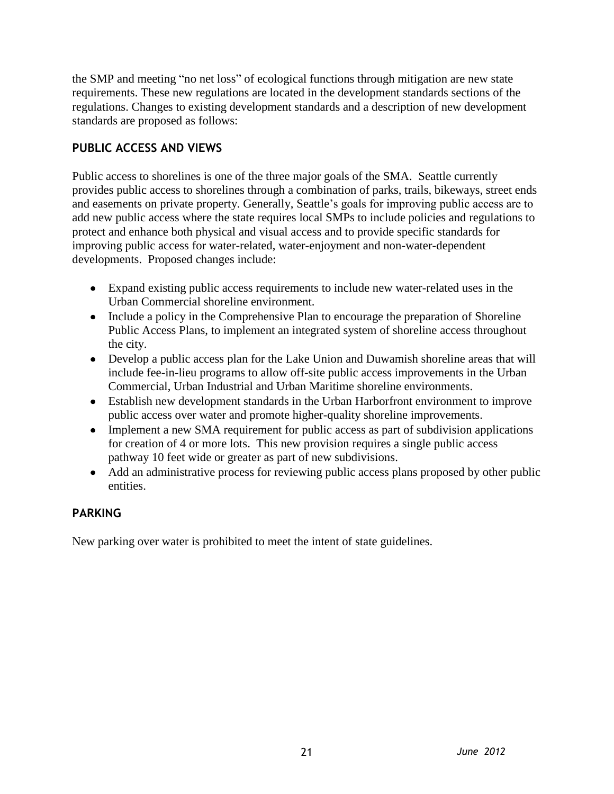the SMP and meeting "no net loss" of ecological functions through mitigation are new state requirements. These new regulations are located in the development standards sections of the regulations. Changes to existing development standards and a description of new development standards are proposed as follows:

## **PUBLIC ACCESS AND VIEWS**

Public access to shorelines is one of the three major goals of the SMA. Seattle currently provides public access to shorelines through a combination of parks, trails, bikeways, street ends and easements on private property. Generally, Seattle's goals for improving public access are to add new public access where the state requires local SMPs to include policies and regulations to protect and enhance both physical and visual access and to provide specific standards for improving public access for water-related, water-enjoyment and non-water-dependent developments. Proposed changes include:

- Expand existing public access requirements to include new water-related uses in the Urban Commercial shoreline environment.
- Include a policy in the Comprehensive Plan to encourage the preparation of Shoreline Public Access Plans, to implement an integrated system of shoreline access throughout the city.
- Develop a public access plan for the Lake Union and Duwamish shoreline areas that will include fee-in-lieu programs to allow off-site public access improvements in the Urban Commercial, Urban Industrial and Urban Maritime shoreline environments.
- Establish new development standards in the Urban Harborfront environment to improve public access over water and promote higher-quality shoreline improvements.
- Implement a new SMA requirement for public access as part of subdivision applications for creation of 4 or more lots. This new provision requires a single public access pathway 10 feet wide or greater as part of new subdivisions.
- Add an administrative process for reviewing public access plans proposed by other public entities.

## **PARKING**

New parking over water is prohibited to meet the intent of state guidelines.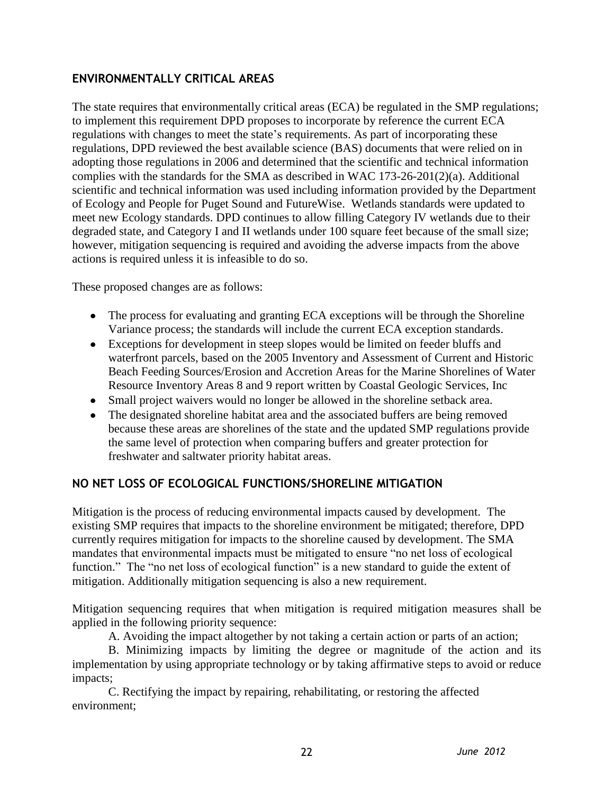## **ENVIRONMENTALLY CRITICAL AREAS**

The state requires that environmentally critical areas (ECA) be regulated in the SMP regulations; to implement this requirement DPD proposes to incorporate by reference the current ECA regulations with changes to meet the state's requirements. As part of incorporating these regulations, DPD reviewed the best available science (BAS) documents that were relied on in adopting those regulations in 2006 and determined that the scientific and technical information complies with the standards for the SMA as described in WAC 173-26-201(2)(a). Additional scientific and technical information was used including information provided by the Department of Ecology and People for Puget Sound and FutureWise. Wetlands standards were updated to meet new Ecology standards. DPD continues to allow filling Category IV wetlands due to their degraded state, and Category I and II wetlands under 100 square feet because of the small size; however, mitigation sequencing is required and avoiding the adverse impacts from the above actions is required unless it is infeasible to do so.

These proposed changes are as follows:

- The process for evaluating and granting ECA exceptions will be through the Shoreline Variance process; the standards will include the current ECA exception standards.
- Exceptions for development in steep slopes would be limited on feeder bluffs and waterfront parcels, based on the 2005 Inventory and Assessment of Current and Historic Beach Feeding Sources/Erosion and Accretion Areas for the Marine Shorelines of Water Resource Inventory Areas 8 and 9 report written by Coastal Geologic Services, Inc
- Small project waivers would no longer be allowed in the shoreline setback area.
- The designated shoreline habitat area and the associated buffers are being removed because these areas are shorelines of the state and the updated SMP regulations provide the same level of protection when comparing buffers and greater protection for freshwater and saltwater priority habitat areas.

## **NO NET LOSS OF ECOLOGICAL FUNCTIONS/SHORELINE MITIGATION**

Mitigation is the process of reducing environmental impacts caused by development. The existing SMP requires that impacts to the shoreline environment be mitigated; therefore, DPD currently requires mitigation for impacts to the shoreline caused by development. The SMA mandates that environmental impacts must be mitigated to ensure "no net loss of ecological function." The "no net loss of ecological function" is a new standard to guide the extent of mitigation. Additionally mitigation sequencing is also a new requirement.

Mitigation sequencing requires that when mitigation is required mitigation measures shall be applied in the following priority sequence:

A. Avoiding the impact altogether by not taking a certain action or parts of an action;

B. Minimizing impacts by limiting the degree or magnitude of the action and its implementation by using appropriate technology or by taking affirmative steps to avoid or reduce impacts;

C. Rectifying the impact by repairing, rehabilitating, or restoring the affected environment;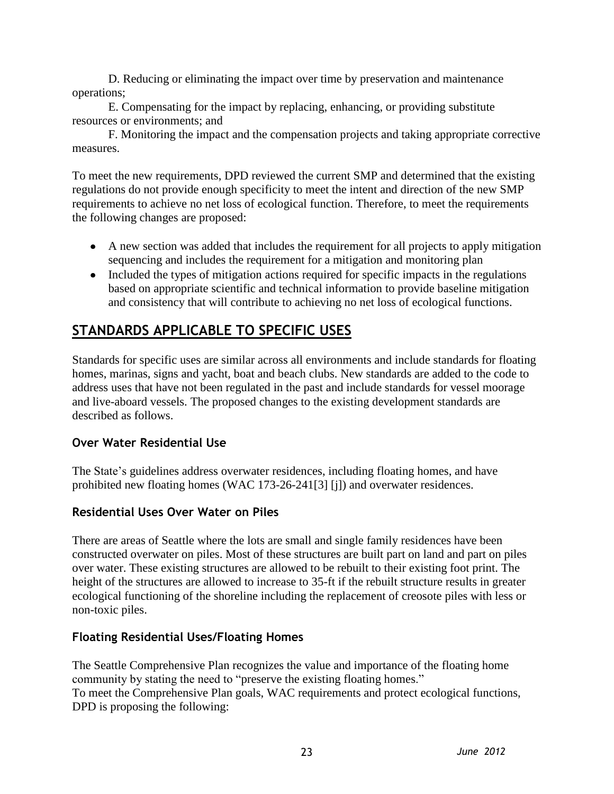D. Reducing or eliminating the impact over time by preservation and maintenance operations;

E. Compensating for the impact by replacing, enhancing, or providing substitute resources or environments; and

F. Monitoring the impact and the compensation projects and taking appropriate corrective measures.

To meet the new requirements, DPD reviewed the current SMP and determined that the existing regulations do not provide enough specificity to meet the intent and direction of the new SMP requirements to achieve no net loss of ecological function. Therefore, to meet the requirements the following changes are proposed:

- A new section was added that includes the requirement for all projects to apply mitigation sequencing and includes the requirement for a mitigation and monitoring plan
- Included the types of mitigation actions required for specific impacts in the regulations based on appropriate scientific and technical information to provide baseline mitigation and consistency that will contribute to achieving no net loss of ecological functions.

# **STANDARDS APPLICABLE TO SPECIFIC USES**

Standards for specific uses are similar across all environments and include standards for floating homes, marinas, signs and yacht, boat and beach clubs. New standards are added to the code to address uses that have not been regulated in the past and include standards for vessel moorage and live-aboard vessels. The proposed changes to the existing development standards are described as follows.

## **Over Water Residential Use**

The State's guidelines address overwater residences, including floating homes, and have prohibited new floating homes (WAC 173-26-241[3] [j]) and overwater residences.

## **Residential Uses Over Water on Piles**

There are areas of Seattle where the lots are small and single family residences have been constructed overwater on piles. Most of these structures are built part on land and part on piles over water. These existing structures are allowed to be rebuilt to their existing foot print. The height of the structures are allowed to increase to 35-ft if the rebuilt structure results in greater ecological functioning of the shoreline including the replacement of creosote piles with less or non-toxic piles.

## **Floating Residential Uses/Floating Homes**

The Seattle Comprehensive Plan recognizes the value and importance of the floating home community by stating the need to "preserve the existing floating homes." To meet the Comprehensive Plan goals, WAC requirements and protect ecological functions, DPD is proposing the following: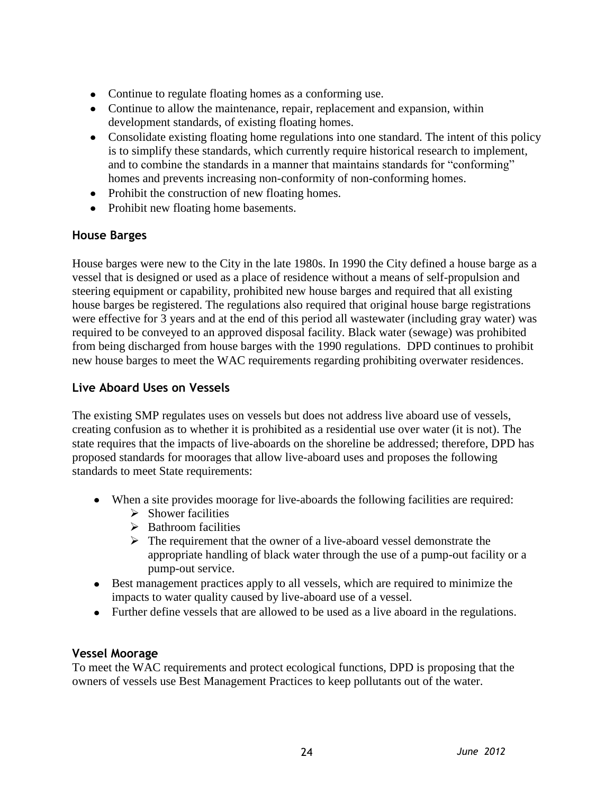- Continue to regulate floating homes as a conforming use.
- Continue to allow the maintenance, repair, replacement and expansion, within development standards, of existing floating homes.
- Consolidate existing floating home regulations into one standard. The intent of this policy is to simplify these standards, which currently require historical research to implement, and to combine the standards in a manner that maintains standards for "conforming" homes and prevents increasing non-conformity of non-conforming homes.
- Prohibit the construction of new floating homes.
- Prohibit new floating home basements.

#### **House Barges**

House barges were new to the City in the late 1980s. In 1990 the City defined a house barge as a vessel that is designed or used as a place of residence without a means of self-propulsion and steering equipment or capability, prohibited new house barges and required that all existing house barges be registered. The regulations also required that original house barge registrations were effective for 3 years and at the end of this period all wastewater (including gray water) was required to be conveyed to an approved disposal facility. Black water (sewage) was prohibited from being discharged from house barges with the 1990 regulations. DPD continues to prohibit new house barges to meet the WAC requirements regarding prohibiting overwater residences.

#### **Live Aboard Uses on Vessels**

The existing SMP regulates uses on vessels but does not address live aboard use of vessels, creating confusion as to whether it is prohibited as a residential use over water (it is not). The state requires that the impacts of live-aboards on the shoreline be addressed; therefore, DPD has proposed standards for moorages that allow live-aboard uses and proposes the following standards to meet State requirements:

- When a site provides moorage for live-aboards the following facilities are required:
	- $\triangleright$  Shower facilities
	- $\triangleright$  Bathroom facilities
	- $\triangleright$  The requirement that the owner of a live-aboard vessel demonstrate the appropriate handling of black water through the use of a pump-out facility or a pump-out service.
- Best management practices apply to all vessels, which are required to minimize the impacts to water quality caused by live-aboard use of a vessel.
- Further define vessels that are allowed to be used as a live aboard in the regulations.

#### **Vessel Moorage**

To meet the WAC requirements and protect ecological functions, DPD is proposing that the owners of vessels use Best Management Practices to keep pollutants out of the water.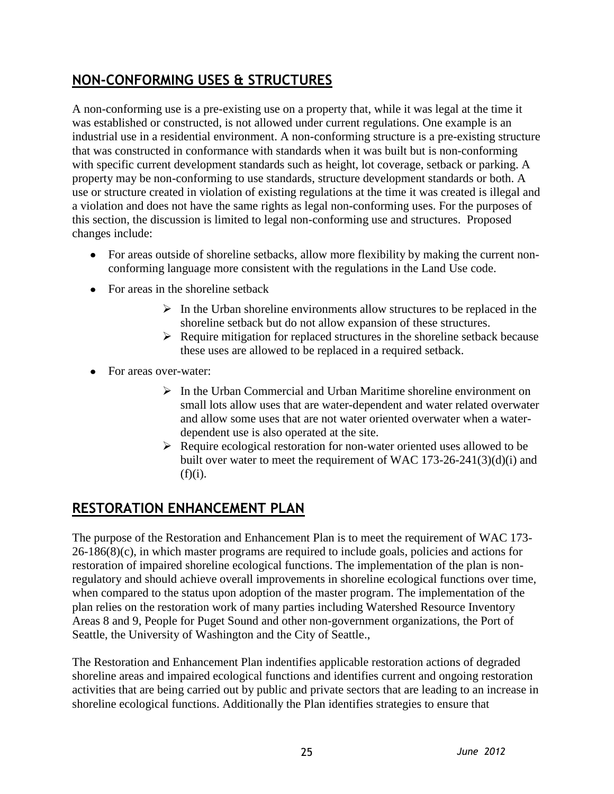# **NON-CONFORMING USES & STRUCTURES**

A non-conforming use is a pre-existing use on a property that, while it was legal at the time it was established or constructed, is not allowed under current regulations. One example is an industrial use in a residential environment. A non-conforming structure is a pre-existing structure that was constructed in conformance with standards when it was built but is non-conforming with specific current development standards such as height, lot coverage, setback or parking. A property may be non-conforming to use standards, structure development standards or both. A use or structure created in violation of existing regulations at the time it was created is illegal and a violation and does not have the same rights as legal non-conforming uses. For the purposes of this section, the discussion is limited to legal non-conforming use and structures. Proposed changes include:

- For areas outside of shoreline setbacks, allow more flexibility by making the current nonconforming language more consistent with the regulations in the Land Use code.
- For areas in the shoreline setback
	- $\triangleright$  In the Urban shoreline environments allow structures to be replaced in the shoreline setback but do not allow expansion of these structures.
	- $\triangleright$  Require mitigation for replaced structures in the shoreline setback because these uses are allowed to be replaced in a required setback.
- For areas over-water:
	- $\triangleright$  In the Urban Commercial and Urban Maritime shoreline environment on small lots allow uses that are water-dependent and water related overwater and allow some uses that are not water oriented overwater when a waterdependent use is also operated at the site.
	- $\triangleright$  Require ecological restoration for non-water oriented uses allowed to be built over water to meet the requirement of WAC 173-26-241(3)(d)(i) and  $(f)(i)$ .

# **RESTORATION ENHANCEMENT PLAN**

The purpose of the Restoration and Enhancement Plan is to meet the requirement of WAC 173-  $26-186(8)(c)$ , in which master programs are required to include goals, policies and actions for restoration of impaired shoreline ecological functions. The implementation of the plan is nonregulatory and should achieve overall improvements in shoreline ecological functions over time, when compared to the status upon adoption of the master program. The implementation of the plan relies on the restoration work of many parties including Watershed Resource Inventory Areas 8 and 9, People for Puget Sound and other non-government organizations, the Port of Seattle, the University of Washington and the City of Seattle.,

The Restoration and Enhancement Plan indentifies applicable restoration actions of degraded shoreline areas and impaired ecological functions and identifies current and ongoing restoration activities that are being carried out by public and private sectors that are leading to an increase in shoreline ecological functions. Additionally the Plan identifies strategies to ensure that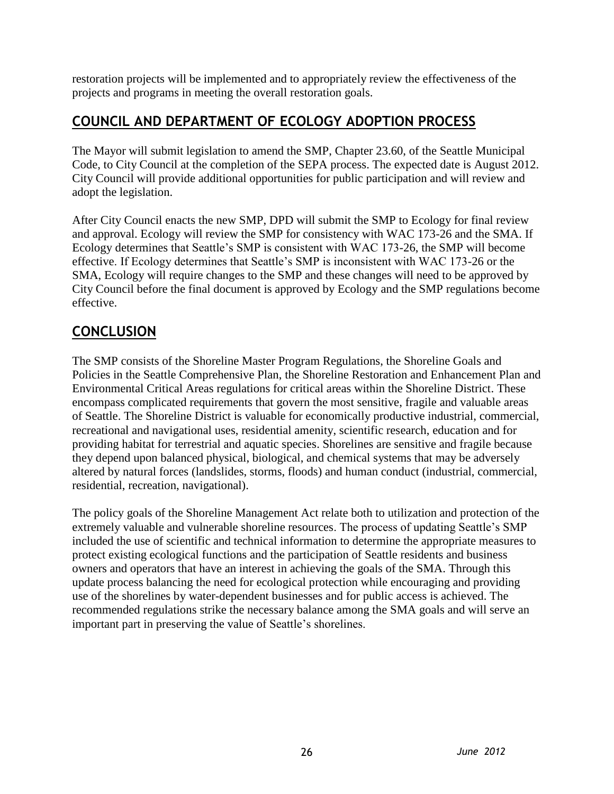restoration projects will be implemented and to appropriately review the effectiveness of the projects and programs in meeting the overall restoration goals.

# **COUNCIL AND DEPARTMENT OF ECOLOGY ADOPTION PROCESS**

The Mayor will submit legislation to amend the SMP, Chapter 23.60, of the Seattle Municipal Code, to City Council at the completion of the SEPA process. The expected date is August 2012. City Council will provide additional opportunities for public participation and will review and adopt the legislation.

After City Council enacts the new SMP, DPD will submit the SMP to Ecology for final review and approval. Ecology will review the SMP for consistency with WAC 173-26 and the SMA. If Ecology determines that Seattle's SMP is consistent with WAC 173-26, the SMP will become effective. If Ecology determines that Seattle's SMP is inconsistent with WAC 173-26 or the SMA, Ecology will require changes to the SMP and these changes will need to be approved by City Council before the final document is approved by Ecology and the SMP regulations become effective.

# **CONCLUSION**

The SMP consists of the Shoreline Master Program Regulations, the Shoreline Goals and Policies in the Seattle Comprehensive Plan, the Shoreline Restoration and Enhancement Plan and Environmental Critical Areas regulations for critical areas within the Shoreline District. These encompass complicated requirements that govern the most sensitive, fragile and valuable areas of Seattle. The Shoreline District is valuable for economically productive industrial, commercial, recreational and navigational uses, residential amenity, scientific research, education and for providing habitat for terrestrial and aquatic species. Shorelines are sensitive and fragile because they depend upon balanced physical, biological, and chemical systems that may be adversely altered by natural forces (landslides, storms, floods) and human conduct (industrial, commercial, residential, recreation, navigational).

The policy goals of the Shoreline Management Act relate both to utilization and protection of the extremely valuable and vulnerable shoreline resources. The process of updating Seattle's SMP included the use of scientific and technical information to determine the appropriate measures to protect existing ecological functions and the participation of Seattle residents and business owners and operators that have an interest in achieving the goals of the SMA. Through this update process balancing the need for ecological protection while encouraging and providing use of the shorelines by water-dependent businesses and for public access is achieved. The recommended regulations strike the necessary balance among the SMA goals and will serve an important part in preserving the value of Seattle's shorelines.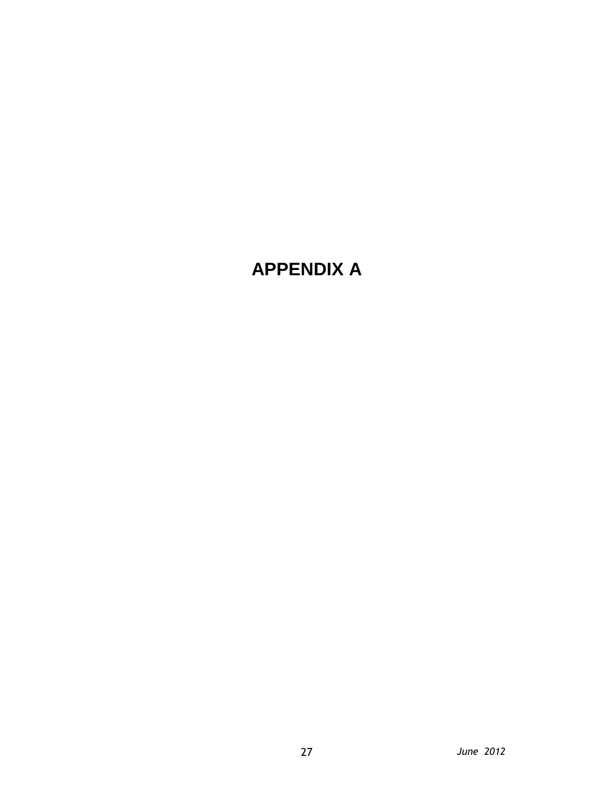# **APPENDIX A**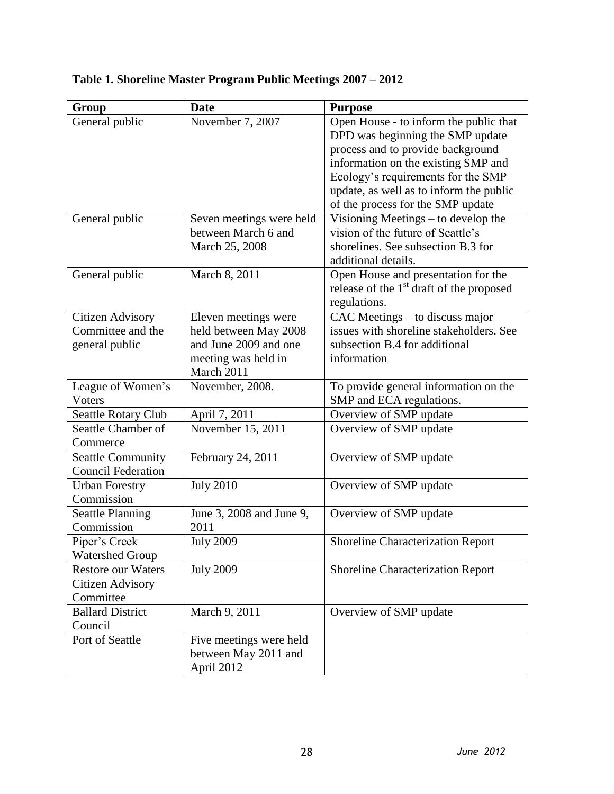| General public            | November 7, 2007         | Open House - to inform the public that     |
|---------------------------|--------------------------|--------------------------------------------|
|                           |                          | DPD was beginning the SMP update           |
|                           |                          | process and to provide background          |
|                           |                          | information on the existing SMP and        |
|                           |                          | Ecology's requirements for the SMP         |
|                           |                          | update, as well as to inform the public    |
|                           |                          | of the process for the SMP update          |
| General public            | Seven meetings were held | Visioning Meetings – to develop the        |
|                           | between March 6 and      | vision of the future of Seattle's          |
|                           | March 25, 2008           | shorelines. See subsection B.3 for         |
|                           |                          | additional details.                        |
| General public            | March 8, 2011            | Open House and presentation for the        |
|                           |                          | release of the $1st$ draft of the proposed |
|                           |                          | regulations.                               |
| <b>Citizen Advisory</b>   | Eleven meetings were     | CAC Meetings – to discuss major            |
| Committee and the         | held between May 2008    | issues with shoreline stakeholders. See    |
| general public            | and June 2009 and one    | subsection B.4 for additional              |
|                           | meeting was held in      | information                                |
|                           | March 2011               |                                            |
| League of Women's         | November, 2008.          | To provide general information on the      |
| Voters                    |                          | SMP and ECA regulations.                   |
| Seattle Rotary Club       | April 7, 2011            | Overview of SMP update                     |
| Seattle Chamber of        | November 15, 2011        | Overview of SMP update                     |
| Commerce                  |                          |                                            |
| <b>Seattle Community</b>  | February 24, 2011        | Overview of SMP update                     |
| <b>Council Federation</b> |                          |                                            |
| <b>Urban Forestry</b>     | <b>July 2010</b>         | Overview of SMP update                     |
| Commission                |                          |                                            |
| <b>Seattle Planning</b>   | June 3, 2008 and June 9, | Overview of SMP update                     |
| Commission                | 2011                     |                                            |
| Piper's Creek             | <b>July 2009</b>         | <b>Shoreline Characterization Report</b>   |
| <b>Watershed Group</b>    |                          |                                            |
| <b>Restore our Waters</b> | <b>July 2009</b>         | <b>Shoreline Characterization Report</b>   |

**Table 1. Shoreline Master Program Public Meetings 2007 – 2012**

**Group Date Purpose** 

Citizen Advisory Committee

Ballard District

**Council**<br>Port of Seattle

March 9, 2011 Overview of SMP update

Five meetings were held between May 2011 and

April 2012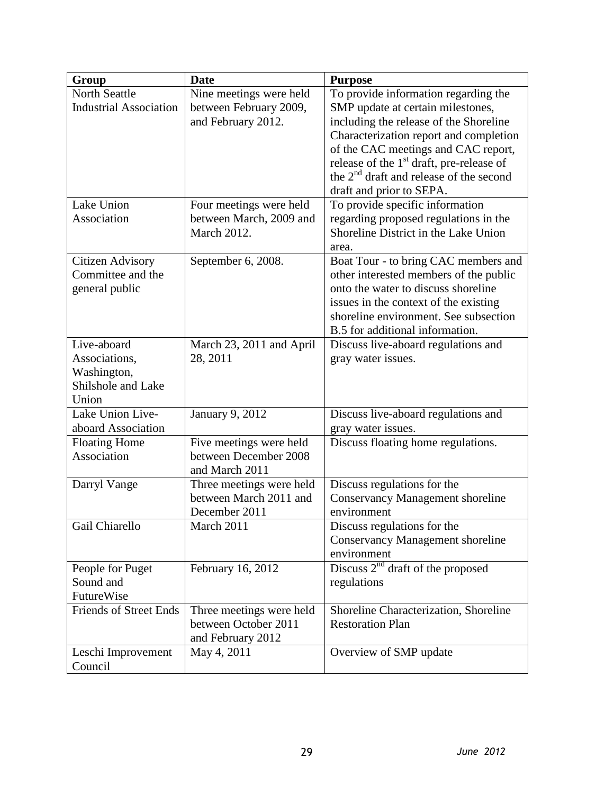| Group                         | <b>Date</b>              | <b>Purpose</b>                                       |
|-------------------------------|--------------------------|------------------------------------------------------|
| <b>North Seattle</b>          | Nine meetings were held  | To provide information regarding the                 |
| <b>Industrial Association</b> | between February 2009,   | SMP update at certain milestones,                    |
|                               | and February 2012.       | including the release of the Shoreline               |
|                               |                          | Characterization report and completion               |
|                               |                          | of the CAC meetings and CAC report,                  |
|                               |                          | release of the 1 <sup>st</sup> draft, pre-release of |
|                               |                          | the $2nd$ draft and release of the second            |
|                               |                          | draft and prior to SEPA.                             |
| Lake Union                    | Four meetings were held  | To provide specific information                      |
| Association                   | between March, 2009 and  | regarding proposed regulations in the                |
|                               | <b>March 2012.</b>       | Shoreline District in the Lake Union                 |
|                               |                          | area.                                                |
| Citizen Advisory              | September 6, 2008.       | Boat Tour - to bring CAC members and                 |
| Committee and the             |                          | other interested members of the public               |
| general public                |                          | onto the water to discuss shoreline                  |
|                               |                          | issues in the context of the existing                |
|                               |                          | shoreline environment. See subsection                |
|                               |                          | B.5 for additional information.                      |
| Live-aboard                   | March 23, 2011 and April | Discuss live-aboard regulations and                  |
| Associations,                 | 28, 2011                 | gray water issues.                                   |
| Washington,                   |                          |                                                      |
| Shilshole and Lake<br>Union   |                          |                                                      |
| Lake Union Live-              | January 9, 2012          | Discuss live-aboard regulations and                  |
| aboard Association            |                          | gray water issues.                                   |
| <b>Floating Home</b>          | Five meetings were held  | Discuss floating home regulations.                   |
| Association                   | between December 2008    |                                                      |
|                               | and March 2011           |                                                      |
| Darryl Vange                  | Three meetings were held | Discuss regulations for the                          |
|                               | between March 2011 and   | <b>Conservancy Management shoreline</b>              |
|                               | December 2011            | environment                                          |
| Gail Chiarello                | March 2011               | Discuss regulations for the                          |
|                               |                          | <b>Conservancy Management shoreline</b>              |
|                               |                          | environment                                          |
| People for Puget              | February 16, 2012        | Discuss $2^{nd}$ draft of the proposed               |
| Sound and                     |                          | regulations                                          |
| FutureWise                    |                          |                                                      |
| <b>Friends of Street Ends</b> | Three meetings were held | Shoreline Characterization, Shoreline                |
|                               | between October 2011     | <b>Restoration Plan</b>                              |
|                               | and February 2012        |                                                      |
| Leschi Improvement            | May 4, 2011              | Overview of SMP update                               |
| Council                       |                          |                                                      |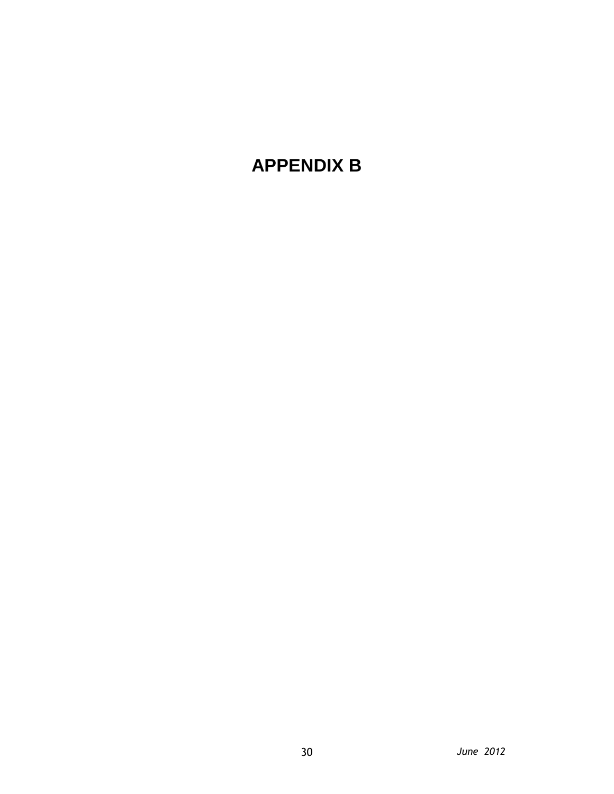# **APPENDIX B**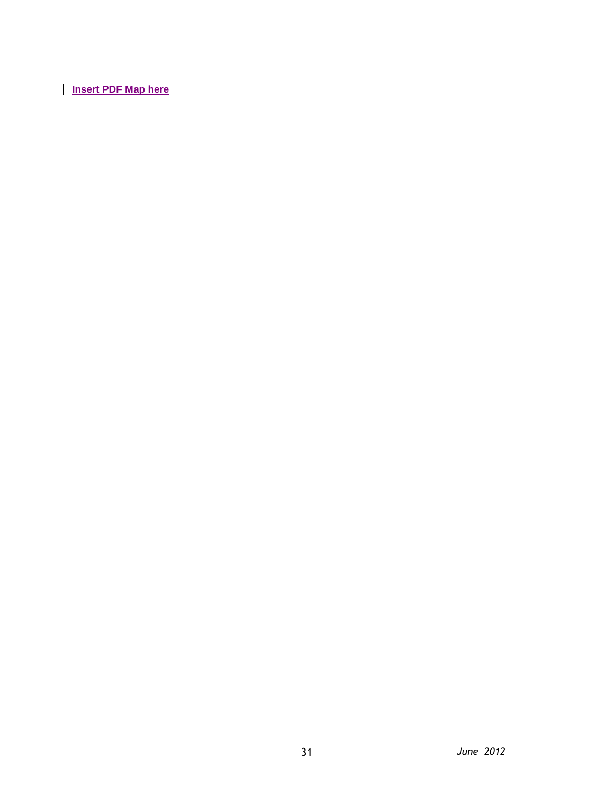**Insert PDF Map here**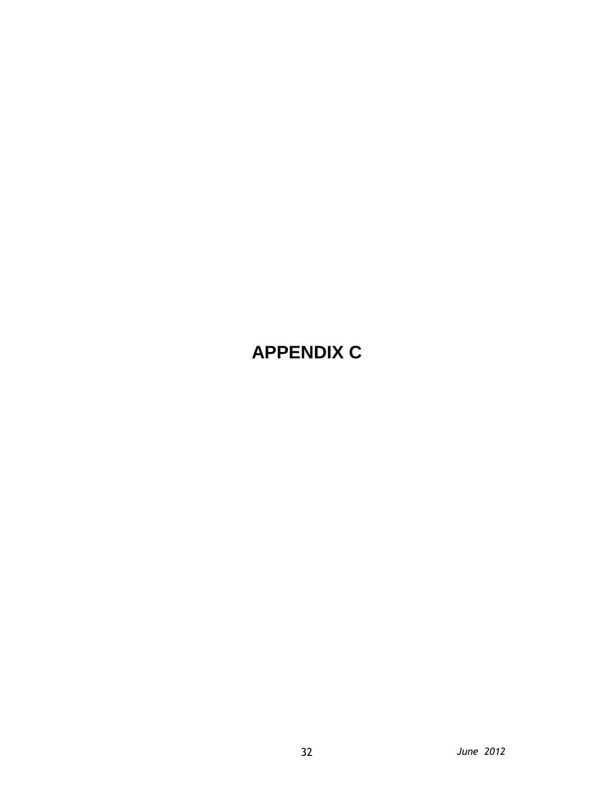# **APPENDIX C**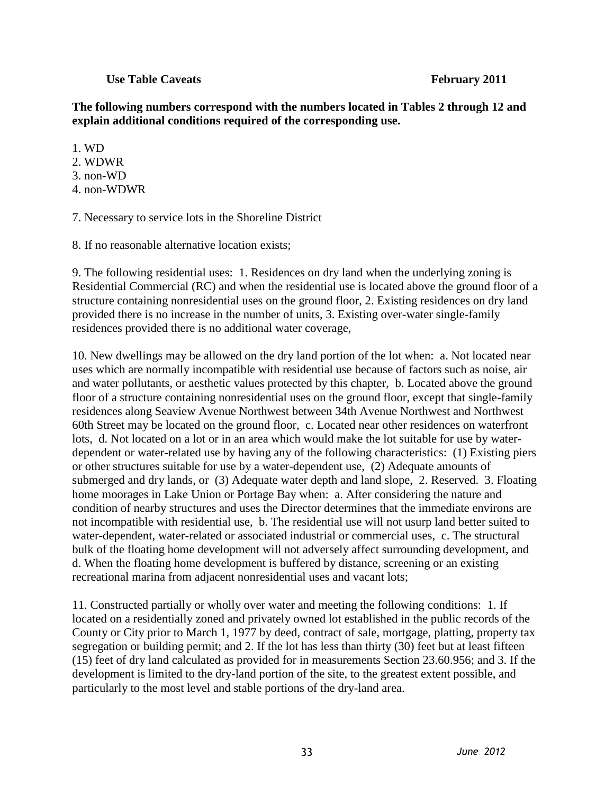#### **Use Table Caveats February 2011**

**The following numbers correspond with the numbers located in Tables 2 through 12 and explain additional conditions required of the corresponding use.**

- 1. WD
- 2. WDWR
- 3. non-WD
- 4. non-WDWR

7. Necessary to service lots in the Shoreline District

8. If no reasonable alternative location exists;

9. The following residential uses: 1. Residences on dry land when the underlying zoning is Residential Commercial (RC) and when the residential use is located above the ground floor of a structure containing nonresidential uses on the ground floor, 2. Existing residences on dry land provided there is no increase in the number of units, 3. Existing over-water single-family residences provided there is no additional water coverage,

10. New dwellings may be allowed on the dry land portion of the lot when: a. Not located near uses which are normally incompatible with residential use because of factors such as noise, air and water pollutants, or aesthetic values protected by this chapter, b. Located above the ground floor of a structure containing nonresidential uses on the ground floor, except that single-family residences along Seaview Avenue Northwest between 34th Avenue Northwest and Northwest 60th Street may be located on the ground floor, c. Located near other residences on waterfront lots, d. Not located on a lot or in an area which would make the lot suitable for use by waterdependent or water-related use by having any of the following characteristics: (1) Existing piers or other structures suitable for use by a water-dependent use, (2) Adequate amounts of submerged and dry lands, or (3) Adequate water depth and land slope, 2. Reserved. 3. Floating home moorages in Lake Union or Portage Bay when: a. After considering the nature and condition of nearby structures and uses the Director determines that the immediate environs are not incompatible with residential use, b. The residential use will not usurp land better suited to water-dependent, water-related or associated industrial or commercial uses, c. The structural bulk of the floating home development will not adversely affect surrounding development, and d. When the floating home development is buffered by distance, screening or an existing recreational marina from adjacent nonresidential uses and vacant lots;

11. Constructed partially or wholly over water and meeting the following conditions: 1. If located on a residentially zoned and privately owned lot established in the public records of the County or City prior to March 1, 1977 by deed, contract of sale, mortgage, platting, property tax segregation or building permit; and 2. If the lot has less than thirty (30) feet but at least fifteen (15) feet of dry land calculated as provided for in measurements Section 23.60.956; and 3. If the development is limited to the dry-land portion of the site, to the greatest extent possible, and particularly to the most level and stable portions of the dry-land area.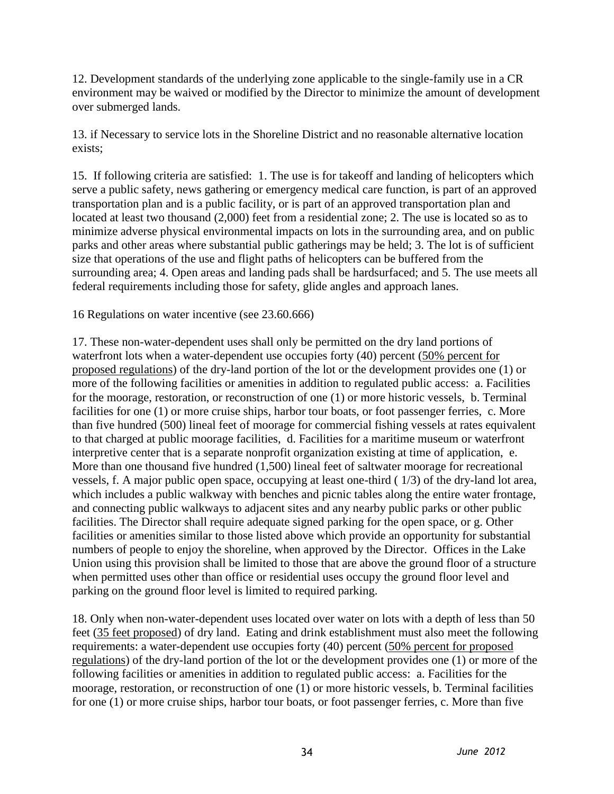12. Development standards of the underlying zone applicable to the single-family use in a CR environment may be waived or modified by the Director to minimize the amount of development over submerged lands.

13. if Necessary to service lots in the Shoreline District and no reasonable alternative location exists;

15. If following criteria are satisfied: 1. The use is for takeoff and landing of helicopters which serve a public safety, news gathering or emergency medical care function, is part of an approved transportation plan and is a public facility, or is part of an approved transportation plan and located at least two thousand (2,000) feet from a residential zone; 2. The use is located so as to minimize adverse physical environmental impacts on lots in the surrounding area, and on public parks and other areas where substantial public gatherings may be held; 3. The lot is of sufficient size that operations of the use and flight paths of helicopters can be buffered from the surrounding area; 4. Open areas and landing pads shall be hardsurfaced; and 5. The use meets all federal requirements including those for safety, glide angles and approach lanes.

16 Regulations on water incentive (see 23.60.666)

17. These non-water-dependent uses shall only be permitted on the dry land portions of waterfront lots when a water-dependent use occupies forty (40) percent (50% percent for proposed regulations) of the dry-land portion of the lot or the development provides one (1) or more of the following facilities or amenities in addition to regulated public access: a. Facilities for the moorage, restoration, or reconstruction of one (1) or more historic vessels, b. Terminal facilities for one (1) or more cruise ships, harbor tour boats, or foot passenger ferries, c. More than five hundred (500) lineal feet of moorage for commercial fishing vessels at rates equivalent to that charged at public moorage facilities, d. Facilities for a maritime museum or waterfront interpretive center that is a separate nonprofit organization existing at time of application, e. More than one thousand five hundred (1,500) lineal feet of saltwater moorage for recreational vessels, f. A major public open space, occupying at least one-third ( 1/3) of the dry-land lot area, which includes a public walkway with benches and picnic tables along the entire water frontage, and connecting public walkways to adjacent sites and any nearby public parks or other public facilities. The Director shall require adequate signed parking for the open space, or g. Other facilities or amenities similar to those listed above which provide an opportunity for substantial numbers of people to enjoy the shoreline, when approved by the Director. Offices in the Lake Union using this provision shall be limited to those that are above the ground floor of a structure when permitted uses other than office or residential uses occupy the ground floor level and parking on the ground floor level is limited to required parking.

18. Only when non-water-dependent uses located over water on lots with a depth of less than 50 feet (35 feet proposed) of dry land. Eating and drink establishment must also meet the following requirements: a water-dependent use occupies forty (40) percent (50% percent for proposed regulations) of the dry-land portion of the lot or the development provides one (1) or more of the following facilities or amenities in addition to regulated public access: a. Facilities for the moorage, restoration, or reconstruction of one (1) or more historic vessels, b. Terminal facilities for one (1) or more cruise ships, harbor tour boats, or foot passenger ferries, c. More than five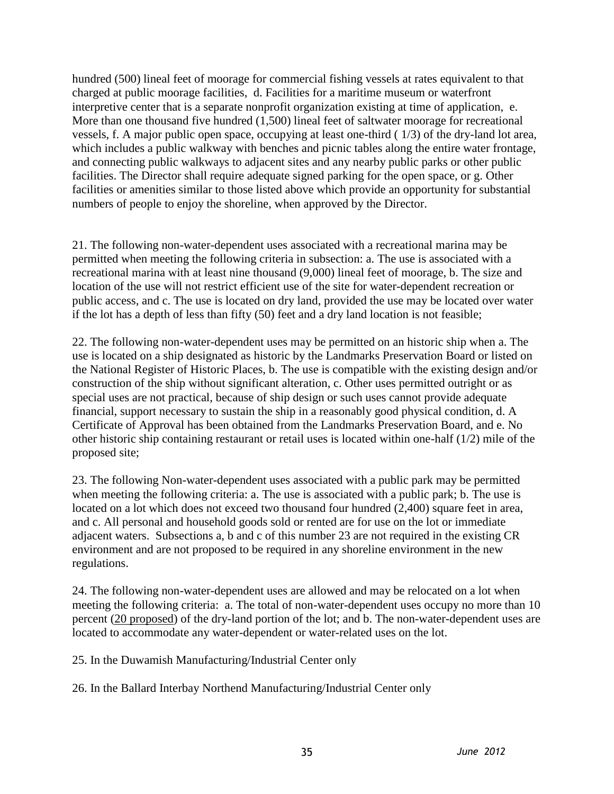hundred (500) lineal feet of moorage for commercial fishing vessels at rates equivalent to that charged at public moorage facilities, d. Facilities for a maritime museum or waterfront interpretive center that is a separate nonprofit organization existing at time of application, e. More than one thousand five hundred (1,500) lineal feet of saltwater moorage for recreational vessels, f. A major public open space, occupying at least one-third ( 1/3) of the dry-land lot area, which includes a public walkway with benches and picnic tables along the entire water frontage, and connecting public walkways to adjacent sites and any nearby public parks or other public facilities. The Director shall require adequate signed parking for the open space, or g. Other facilities or amenities similar to those listed above which provide an opportunity for substantial numbers of people to enjoy the shoreline, when approved by the Director.

21. The following non-water-dependent uses associated with a recreational marina may be permitted when meeting the following criteria in subsection: a. The use is associated with a recreational marina with at least nine thousand (9,000) lineal feet of moorage, b. The size and location of the use will not restrict efficient use of the site for water-dependent recreation or public access, and c. The use is located on dry land, provided the use may be located over water if the lot has a depth of less than fifty (50) feet and a dry land location is not feasible;

22. The following non-water-dependent uses may be permitted on an historic ship when a. The use is located on a ship designated as historic by the Landmarks Preservation Board or listed on the National Register of Historic Places, b. The use is compatible with the existing design and/or construction of the ship without significant alteration, c. Other uses permitted outright or as special uses are not practical, because of ship design or such uses cannot provide adequate financial, support necessary to sustain the ship in a reasonably good physical condition, d. A Certificate of Approval has been obtained from the Landmarks Preservation Board, and e. No other historic ship containing restaurant or retail uses is located within one-half (1/2) mile of the proposed site;

23. The following Non-water-dependent uses associated with a public park may be permitted when meeting the following criteria: a. The use is associated with a public park; b. The use is located on a lot which does not exceed two thousand four hundred  $(2,400)$  square feet in area, and c. All personal and household goods sold or rented are for use on the lot or immediate adjacent waters. Subsections a, b and c of this number 23 are not required in the existing CR environment and are not proposed to be required in any shoreline environment in the new regulations.

24. The following non-water-dependent uses are allowed and may be relocated on a lot when meeting the following criteria: a. The total of non-water-dependent uses occupy no more than 10 percent (20 proposed) of the dry-land portion of the lot; and b. The non-water-dependent uses are located to accommodate any water-dependent or water-related uses on the lot.

25. In the Duwamish Manufacturing/Industrial Center only

26. In the Ballard Interbay Northend Manufacturing/Industrial Center only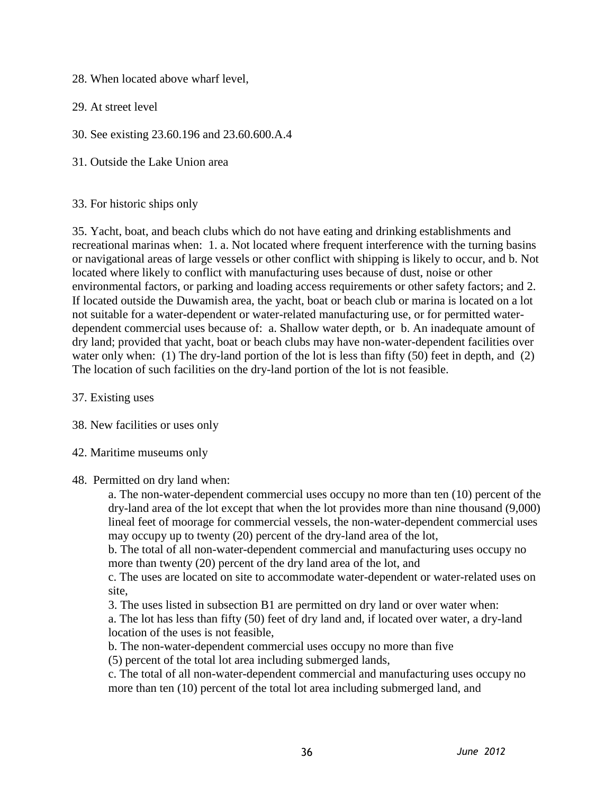28. When located above wharf level,

29. At street level

30. See existing 23.60.196 and 23.60.600.A.4

31. Outside the Lake Union area

#### 33. For historic ships only

35. Yacht, boat, and beach clubs which do not have eating and drinking establishments and recreational marinas when: 1. a. Not located where frequent interference with the turning basins or navigational areas of large vessels or other conflict with shipping is likely to occur, and b. Not located where likely to conflict with manufacturing uses because of dust, noise or other environmental factors, or parking and loading access requirements or other safety factors; and 2. If located outside the Duwamish area, the yacht, boat or beach club or marina is located on a lot not suitable for a water-dependent or water-related manufacturing use, or for permitted waterdependent commercial uses because of: a. Shallow water depth, or b. An inadequate amount of dry land; provided that yacht, boat or beach clubs may have non-water-dependent facilities over water only when: (1) The dry-land portion of the lot is less than fifty (50) feet in depth, and (2) The location of such facilities on the dry-land portion of the lot is not feasible.

37. Existing uses

38. New facilities or uses only

42. Maritime museums only

#### 48. Permitted on dry land when:

a. The non-water-dependent commercial uses occupy no more than ten (10) percent of the dry-land area of the lot except that when the lot provides more than nine thousand (9,000) lineal feet of moorage for commercial vessels, the non-water-dependent commercial uses may occupy up to twenty (20) percent of the dry-land area of the lot,

b. The total of all non-water-dependent commercial and manufacturing uses occupy no more than twenty (20) percent of the dry land area of the lot, and

c. The uses are located on site to accommodate water-dependent or water-related uses on site,

3. The uses listed in subsection B1 are permitted on dry land or over water when:

a. The lot has less than fifty (50) feet of dry land and, if located over water, a dry-land location of the uses is not feasible,

b. The non-water-dependent commercial uses occupy no more than five

(5) percent of the total lot area including submerged lands,

c. The total of all non-water-dependent commercial and manufacturing uses occupy no more than ten (10) percent of the total lot area including submerged land, and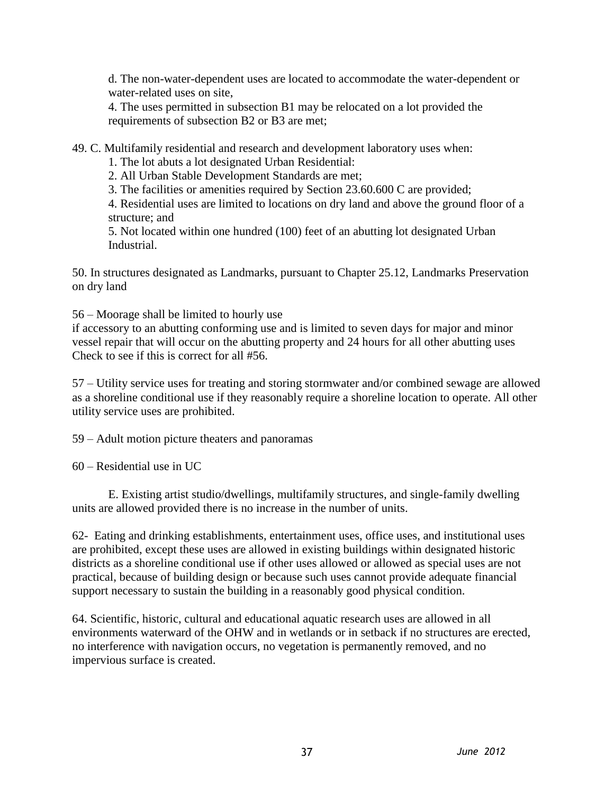d. The non-water-dependent uses are located to accommodate the water-dependent or water-related uses on site,

4. The uses permitted in subsection B1 may be relocated on a lot provided the requirements of subsection B2 or B3 are met;

49. C. Multifamily residential and research and development laboratory uses when:

1. The lot abuts a lot designated Urban Residential:

2. All Urban Stable Development Standards are met;

3. The facilities or amenities required by Section 23.60.600 C are provided;

4. Residential uses are limited to locations on dry land and above the ground floor of a structure; and

5. Not located within one hundred (100) feet of an abutting lot designated Urban Industrial.

50. In structures designated as Landmarks, pursuant to Chapter 25.12, Landmarks Preservation on dry land

56 – Moorage shall be limited to hourly use

if accessory to an abutting conforming use and is limited to seven days for major and minor vessel repair that will occur on the abutting property and 24 hours for all other abutting uses Check to see if this is correct for all #56.

57 – Utility service uses for treating and storing stormwater and/or combined sewage are allowed as a shoreline conditional use if they reasonably require a shoreline location to operate. All other utility service uses are prohibited.

59 – Adult motion picture theaters and panoramas

60 – Residential use in UC

E. Existing artist studio/dwellings, multifamily structures, and single-family dwelling units are allowed provided there is no increase in the number of units.

62- Eating and drinking establishments, entertainment uses, office uses, and institutional uses are prohibited, except these uses are allowed in existing buildings within designated historic districts as a shoreline conditional use if other uses allowed or allowed as special uses are not practical, because of building design or because such uses cannot provide adequate financial support necessary to sustain the building in a reasonably good physical condition.

64. Scientific, historic, cultural and educational aquatic research uses are allowed in all environments waterward of the OHW and in wetlands or in setback if no structures are erected, no interference with navigation occurs, no vegetation is permanently removed, and no impervious surface is created.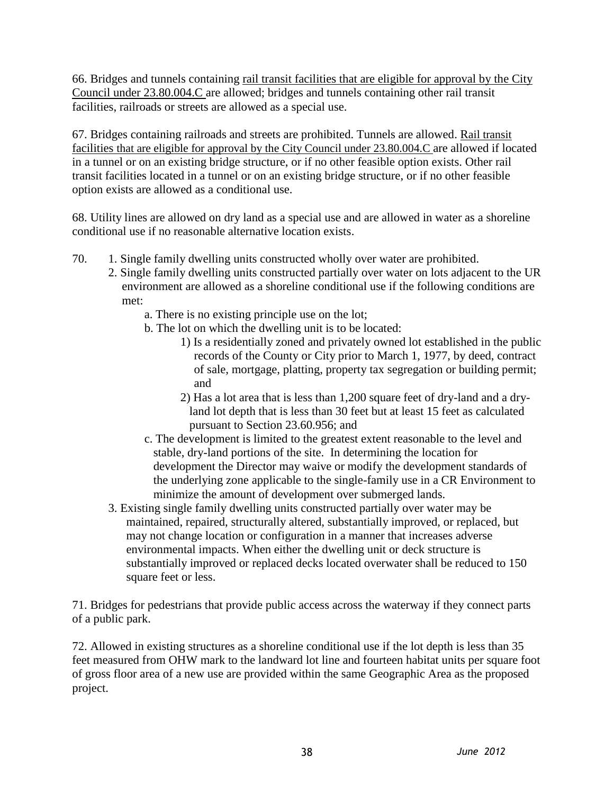66. Bridges and tunnels containing rail transit facilities that are eligible for approval by the City Council under 23.80.004.C are allowed; bridges and tunnels containing other rail transit facilities, railroads or streets are allowed as a special use.

67. Bridges containing railroads and streets are prohibited. Tunnels are allowed. Rail transit facilities that are eligible for approval by the City Council under 23.80.004.C are allowed if located in a tunnel or on an existing bridge structure, or if no other feasible option exists. Other rail transit facilities located in a tunnel or on an existing bridge structure, or if no other feasible option exists are allowed as a conditional use.

68. Utility lines are allowed on dry land as a special use and are allowed in water as a shoreline conditional use if no reasonable alternative location exists.

- 70. 1. Single family dwelling units constructed wholly over water are prohibited.
	- 2. Single family dwelling units constructed partially over water on lots adjacent to the UR environment are allowed as a shoreline conditional use if the following conditions are met:
		- a. There is no existing principle use on the lot;
		- b. The lot on which the dwelling unit is to be located:
			- 1) Is a residentially zoned and privately owned lot established in the public records of the County or City prior to March 1, 1977, by deed, contract of sale, mortgage, platting, property tax segregation or building permit; and
			- 2) Has a lot area that is less than 1,200 square feet of dry-land and a dryland lot depth that is less than 30 feet but at least 15 feet as calculated pursuant to Section 23.60.956; and
		- c. The development is limited to the greatest extent reasonable to the level and stable, dry-land portions of the site. In determining the location for development the Director may waive or modify the development standards of the underlying zone applicable to the single-family use in a CR Environment to minimize the amount of development over submerged lands.
	- 3. Existing single family dwelling units constructed partially over water may be maintained, repaired, structurally altered, substantially improved, or replaced, but may not change location or configuration in a manner that increases adverse environmental impacts. When either the dwelling unit or deck structure is substantially improved or replaced decks located overwater shall be reduced to 150 square feet or less.

71. Bridges for pedestrians that provide public access across the waterway if they connect parts of a public park.

72. Allowed in existing structures as a shoreline conditional use if the lot depth is less than 35 feet measured from OHW mark to the landward lot line and fourteen habitat units per square foot of gross floor area of a new use are provided within the same Geographic Area as the proposed project.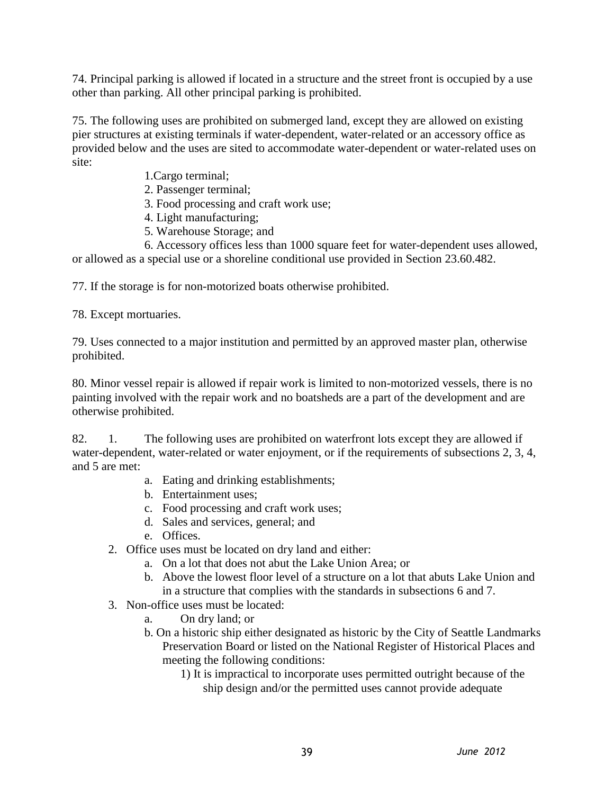74. Principal parking is allowed if located in a structure and the street front is occupied by a use other than parking. All other principal parking is prohibited.

75. The following uses are prohibited on submerged land, except they are allowed on existing pier structures at existing terminals if water-dependent, water-related or an accessory office as provided below and the uses are sited to accommodate water-dependent or water-related uses on site:

- 1.Cargo terminal;
- 2. Passenger terminal;
- 3. Food processing and craft work use;
- 4. Light manufacturing;
- 5. Warehouse Storage; and

6. Accessory offices less than 1000 square feet for water-dependent uses allowed, or allowed as a special use or a shoreline conditional use provided in Section 23.60.482.

77. If the storage is for non-motorized boats otherwise prohibited.

78. Except mortuaries.

79. Uses connected to a major institution and permitted by an approved master plan, otherwise prohibited.

80. Minor vessel repair is allowed if repair work is limited to non-motorized vessels, there is no painting involved with the repair work and no boatsheds are a part of the development and are otherwise prohibited.

82. 1. The following uses are prohibited on waterfront lots except they are allowed if water-dependent, water-related or water enjoyment, or if the requirements of subsections 2, 3, 4, and 5 are met:

- a. Eating and drinking establishments;
- b. Entertainment uses;
- c. Food processing and craft work uses;
- d. Sales and services, general; and
- e. Offices.
- 2. Office uses must be located on dry land and either:
	- a. On a lot that does not abut the Lake Union Area; or
	- b. Above the lowest floor level of a structure on a lot that abuts Lake Union and in a structure that complies with the standards in subsections 6 and 7.
- 3. Non-office uses must be located:
	- a. On dry land; or
	- b. On a historic ship either designated as historic by the City of Seattle Landmarks Preservation Board or listed on the National Register of Historical Places and meeting the following conditions:
		- 1) It is impractical to incorporate uses permitted outright because of the ship design and/or the permitted uses cannot provide adequate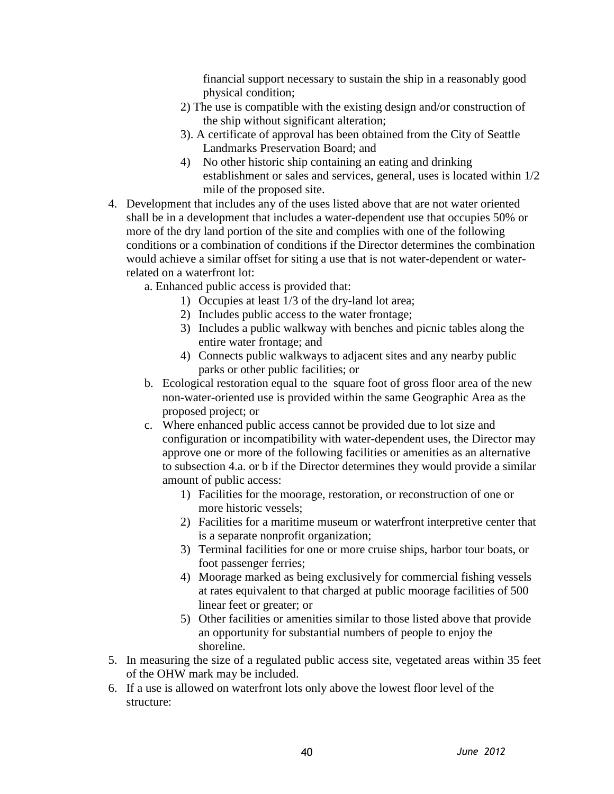financial support necessary to sustain the ship in a reasonably good physical condition;

- 2) The use is compatible with the existing design and/or construction of the ship without significant alteration;
- 3). A certificate of approval has been obtained from the City of Seattle Landmarks Preservation Board; and
- 4) No other historic ship containing an eating and drinking establishment or sales and services, general, uses is located within 1/2 mile of the proposed site.
- 4. Development that includes any of the uses listed above that are not water oriented shall be in a development that includes a water-dependent use that occupies 50% or more of the dry land portion of the site and complies with one of the following conditions or a combination of conditions if the Director determines the combination would achieve a similar offset for siting a use that is not water-dependent or waterrelated on a waterfront lot:
	- a. Enhanced public access is provided that:
		- 1) Occupies at least 1/3 of the dry-land lot area;
		- 2) Includes public access to the water frontage;
		- 3) Includes a public walkway with benches and picnic tables along the entire water frontage; and
		- 4) Connects public walkways to adjacent sites and any nearby public parks or other public facilities; or
	- b. Ecological restoration equal to the square foot of gross floor area of the new non-water-oriented use is provided within the same Geographic Area as the proposed project; or
	- c. Where enhanced public access cannot be provided due to lot size and configuration or incompatibility with water-dependent uses, the Director may approve one or more of the following facilities or amenities as an alternative to subsection 4.a. or b if the Director determines they would provide a similar amount of public access:
		- 1) Facilities for the moorage, restoration, or reconstruction of one or more historic vessels;
		- 2) Facilities for a maritime museum or waterfront interpretive center that is a separate nonprofit organization;
		- 3) Terminal facilities for one or more cruise ships, harbor tour boats, or foot passenger ferries;
		- 4) Moorage marked as being exclusively for commercial fishing vessels at rates equivalent to that charged at public moorage facilities of 500 linear feet or greater; or
		- 5) Other facilities or amenities similar to those listed above that provide an opportunity for substantial numbers of people to enjoy the shoreline.
- 5. In measuring the size of a regulated public access site, vegetated areas within 35 feet of the OHW mark may be included.
- 6. If a use is allowed on waterfront lots only above the lowest floor level of the structure: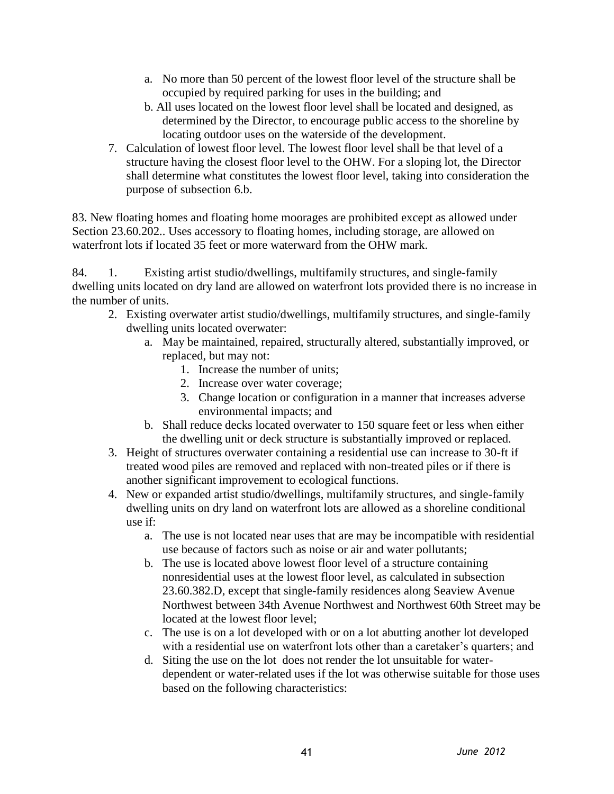- a. No more than 50 percent of the lowest floor level of the structure shall be occupied by required parking for uses in the building; and
- b. All uses located on the lowest floor level shall be located and designed, as determined by the Director, to encourage public access to the shoreline by locating outdoor uses on the waterside of the development.
- 7. Calculation of lowest floor level. The lowest floor level shall be that level of a structure having the closest floor level to the OHW. For a sloping lot, the Director shall determine what constitutes the lowest floor level, taking into consideration the purpose of subsection 6.b.

83. New floating homes and floating home moorages are prohibited except as allowed under Section 23.60.202.. Uses accessory to floating homes, including storage, are allowed on waterfront lots if located 35 feet or more waterward from the OHW mark.

84. 1. Existing artist studio/dwellings, multifamily structures, and single-family dwelling units located on dry land are allowed on waterfront lots provided there is no increase in the number of units.

- 2. Existing overwater artist studio/dwellings, multifamily structures, and single-family dwelling units located overwater:
	- a. May be maintained, repaired, structurally altered, substantially improved, or replaced, but may not:
		- 1. Increase the number of units;
		- 2. Increase over water coverage;
		- 3. Change location or configuration in a manner that increases adverse environmental impacts; and
	- b. Shall reduce decks located overwater to 150 square feet or less when either the dwelling unit or deck structure is substantially improved or replaced.
- 3. Height of structures overwater containing a residential use can increase to 30-ft if treated wood piles are removed and replaced with non-treated piles or if there is another significant improvement to ecological functions.
- 4. New or expanded artist studio/dwellings, multifamily structures, and single-family dwelling units on dry land on waterfront lots are allowed as a shoreline conditional use if:
	- a. The use is not located near uses that are may be incompatible with residential use because of factors such as noise or air and water pollutants;
	- b. The use is located above lowest floor level of a structure containing nonresidential uses at the lowest floor level, as calculated in subsection 23.60.382.D, except that single-family residences along Seaview Avenue Northwest between 34th Avenue Northwest and Northwest 60th Street may be located at the lowest floor level;
	- c. The use is on a lot developed with or on a lot abutting another lot developed with a residential use on waterfront lots other than a caretaker's quarters; and
	- d. Siting the use on the lot does not render the lot unsuitable for waterdependent or water-related uses if the lot was otherwise suitable for those uses based on the following characteristics: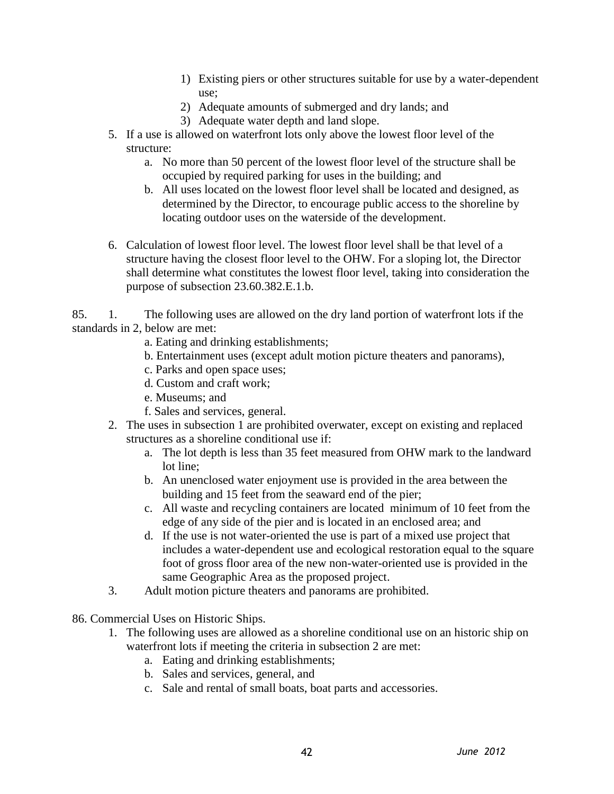- 1) Existing piers or other structures suitable for use by a water-dependent use;
- 2) Adequate amounts of submerged and dry lands; and
- 3) Adequate water depth and land slope.
- 5. If a use is allowed on waterfront lots only above the lowest floor level of the structure:
	- a. No more than 50 percent of the lowest floor level of the structure shall be occupied by required parking for uses in the building; and
	- b. All uses located on the lowest floor level shall be located and designed, as determined by the Director, to encourage public access to the shoreline by locating outdoor uses on the waterside of the development.
- 6. Calculation of lowest floor level. The lowest floor level shall be that level of a structure having the closest floor level to the OHW. For a sloping lot, the Director shall determine what constitutes the lowest floor level, taking into consideration the purpose of subsection 23.60.382.E.1.b.

85. 1. The following uses are allowed on the dry land portion of waterfront lots if the standards in 2, below are met:

- a. Eating and drinking establishments;
- b. Entertainment uses (except adult motion picture theaters and panorams),
- c. Parks and open space uses;
- d. Custom and craft work;
- e. Museums; and
- f. Sales and services, general.
- 2. The uses in subsection 1 are prohibited overwater, except on existing and replaced structures as a shoreline conditional use if:
	- a. The lot depth is less than 35 feet measured from OHW mark to the landward lot line;
	- b. An unenclosed water enjoyment use is provided in the area between the building and 15 feet from the seaward end of the pier;
	- c. All waste and recycling containers are located minimum of 10 feet from the edge of any side of the pier and is located in an enclosed area; and
	- d. If the use is not water-oriented the use is part of a mixed use project that includes a water-dependent use and ecological restoration equal to the square foot of gross floor area of the new non-water-oriented use is provided in the same Geographic Area as the proposed project.
- 3. Adult motion picture theaters and panorams are prohibited.
- 86. Commercial Uses on Historic Ships.
	- 1. The following uses are allowed as a shoreline conditional use on an historic ship on waterfront lots if meeting the criteria in subsection 2 are met:
		- a. Eating and drinking establishments;
		- b. Sales and services, general, and
		- c. Sale and rental of small boats, boat parts and accessories.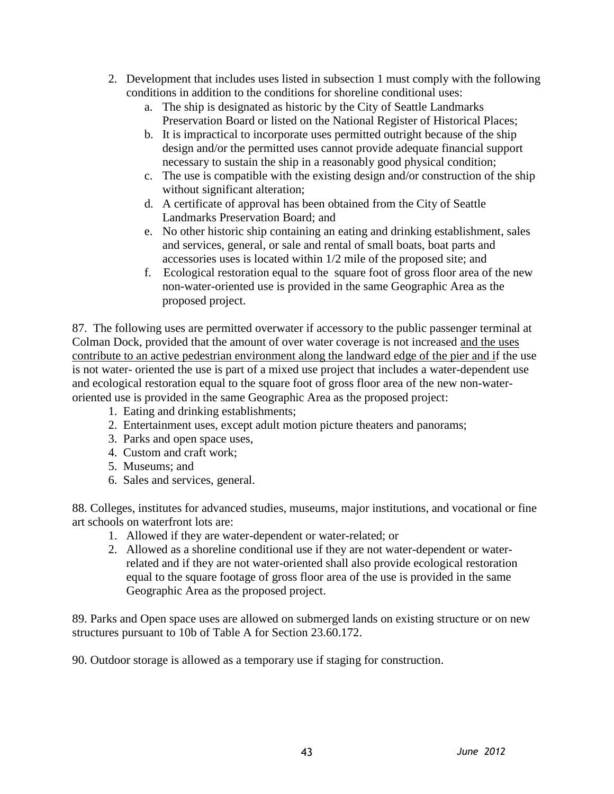- 2. Development that includes uses listed in subsection 1 must comply with the following conditions in addition to the conditions for shoreline conditional uses:
	- a. The ship is designated as historic by the City of Seattle Landmarks Preservation Board or listed on the National Register of Historical Places;
	- b. It is impractical to incorporate uses permitted outright because of the ship design and/or the permitted uses cannot provide adequate financial support necessary to sustain the ship in a reasonably good physical condition;
	- c. The use is compatible with the existing design and/or construction of the ship without significant alteration;
	- d. A certificate of approval has been obtained from the City of Seattle Landmarks Preservation Board; and
	- e. No other historic ship containing an eating and drinking establishment, sales and services, general, or sale and rental of small boats, boat parts and accessories uses is located within 1/2 mile of the proposed site; and
	- f. Ecological restoration equal to the square foot of gross floor area of the new non-water-oriented use is provided in the same Geographic Area as the proposed project.

87. The following uses are permitted overwater if accessory to the public passenger terminal at Colman Dock, provided that the amount of over water coverage is not increased and the uses contribute to an active pedestrian environment along the landward edge of the pier and if the use is not water- oriented the use is part of a mixed use project that includes a water-dependent use and ecological restoration equal to the square foot of gross floor area of the new non-wateroriented use is provided in the same Geographic Area as the proposed project:

- 1. Eating and drinking establishments;
- 2. Entertainment uses, except adult motion picture theaters and panorams;
- 3. Parks and open space uses,
- 4. Custom and craft work;
- 5. Museums; and
- 6. Sales and services, general.

88. Colleges, institutes for advanced studies, museums, major institutions, and vocational or fine art schools on waterfront lots are:

- 1. Allowed if they are water-dependent or water-related; or
- 2. Allowed as a shoreline conditional use if they are not water-dependent or waterrelated and if they are not water-oriented shall also provide ecological restoration equal to the square footage of gross floor area of the use is provided in the same Geographic Area as the proposed project.

89. Parks and Open space uses are allowed on submerged lands on existing structure or on new structures pursuant to 10b of Table A for Section 23.60.172.

90. Outdoor storage is allowed as a temporary use if staging for construction.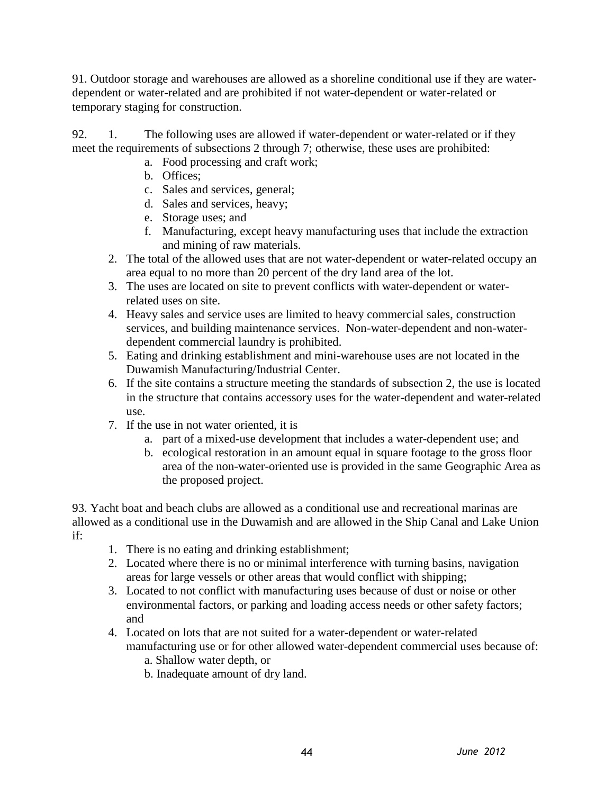91. Outdoor storage and warehouses are allowed as a shoreline conditional use if they are waterdependent or water-related and are prohibited if not water-dependent or water-related or temporary staging for construction.

92. 1. The following uses are allowed if water-dependent or water-related or if they meet the requirements of subsections 2 through 7; otherwise, these uses are prohibited:

- a. Food processing and craft work;
- b. Offices;
- c. Sales and services, general;
- d. Sales and services, heavy;
- e. Storage uses; and
- f. Manufacturing, except heavy manufacturing uses that include the extraction and mining of raw materials.
- 2. The total of the allowed uses that are not water-dependent or water-related occupy an area equal to no more than 20 percent of the dry land area of the lot.
- 3. The uses are located on site to prevent conflicts with water-dependent or waterrelated uses on site.
- 4. Heavy sales and service uses are limited to heavy commercial sales, construction services, and building maintenance services. Non-water-dependent and non-waterdependent commercial laundry is prohibited.
- 5. Eating and drinking establishment and mini-warehouse uses are not located in the Duwamish Manufacturing/Industrial Center.
- 6. If the site contains a structure meeting the standards of subsection 2, the use is located in the structure that contains accessory uses for the water-dependent and water-related use.
- 7. If the use in not water oriented, it is
	- a. part of a mixed-use development that includes a water-dependent use; and
	- b. ecological restoration in an amount equal in square footage to the gross floor area of the non-water-oriented use is provided in the same Geographic Area as the proposed project.

93. Yacht boat and beach clubs are allowed as a conditional use and recreational marinas are allowed as a conditional use in the Duwamish and are allowed in the Ship Canal and Lake Union if:

- 1. There is no eating and drinking establishment;
- 2. Located where there is no or minimal interference with turning basins, navigation areas for large vessels or other areas that would conflict with shipping;
- 3. Located to not conflict with manufacturing uses because of dust or noise or other environmental factors, or parking and loading access needs or other safety factors; and
- 4. Located on lots that are not suited for a water-dependent or water-related manufacturing use or for other allowed water-dependent commercial uses because of:
	- a. Shallow water depth, or
	- b. Inadequate amount of dry land.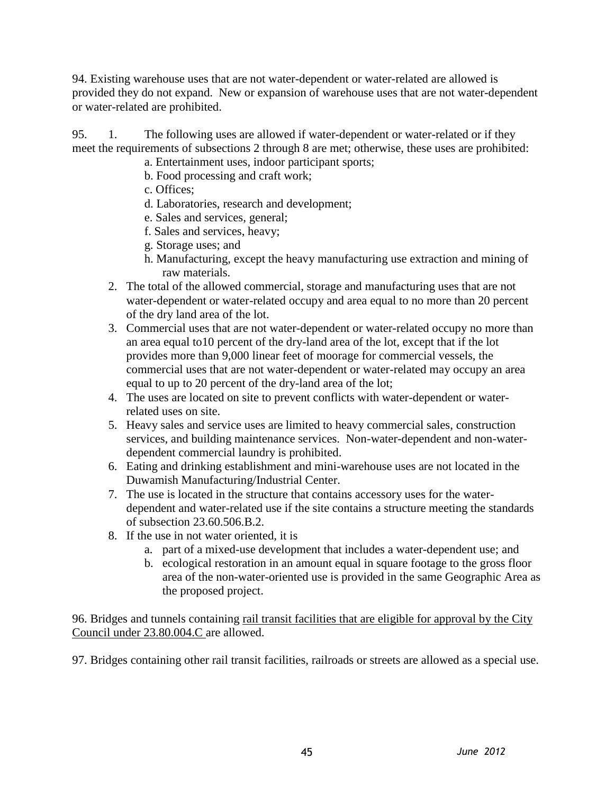94. Existing warehouse uses that are not water-dependent or water-related are allowed is provided they do not expand. New or expansion of warehouse uses that are not water-dependent or water-related are prohibited.

95. 1. The following uses are allowed if water-dependent or water-related or if they meet the requirements of subsections 2 through 8 are met; otherwise, these uses are prohibited:

- a. Entertainment uses, indoor participant sports;
- b. Food processing and craft work;
- c. Offices;
- d. Laboratories, research and development;
- e. Sales and services, general;
- f. Sales and services, heavy;
- g. Storage uses; and
- h. Manufacturing, except the heavy manufacturing use extraction and mining of raw materials.
- 2. The total of the allowed commercial, storage and manufacturing uses that are not water-dependent or water-related occupy and area equal to no more than 20 percent of the dry land area of the lot.
- 3. Commercial uses that are not water-dependent or water-related occupy no more than an area equal to10 percent of the dry-land area of the lot, except that if the lot provides more than 9,000 linear feet of moorage for commercial vessels, the commercial uses that are not water-dependent or water-related may occupy an area equal to up to 20 percent of the dry-land area of the lot;
- 4. The uses are located on site to prevent conflicts with water-dependent or waterrelated uses on site.
- 5. Heavy sales and service uses are limited to heavy commercial sales, construction services, and building maintenance services. Non-water-dependent and non-waterdependent commercial laundry is prohibited.
- 6. Eating and drinking establishment and mini-warehouse uses are not located in the Duwamish Manufacturing/Industrial Center.
- 7. The use is located in the structure that contains accessory uses for the waterdependent and water-related use if the site contains a structure meeting the standards of subsection 23.60.506.B.2.
- 8. If the use in not water oriented, it is
	- a. part of a mixed-use development that includes a water-dependent use; and
	- b. ecological restoration in an amount equal in square footage to the gross floor area of the non-water-oriented use is provided in the same Geographic Area as the proposed project.

96. Bridges and tunnels containing rail transit facilities that are eligible for approval by the City Council under 23.80.004.C are allowed.

97. Bridges containing other rail transit facilities, railroads or streets are allowed as a special use.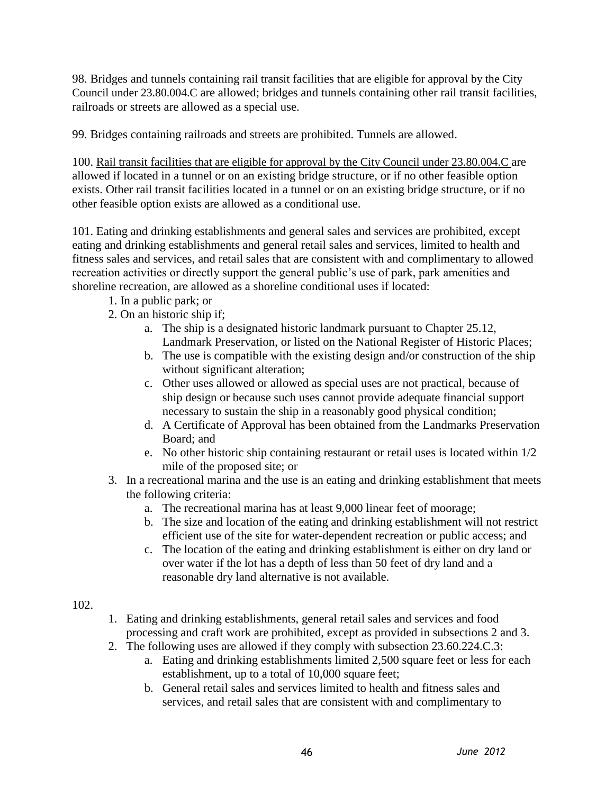98. Bridges and tunnels containing rail transit facilities that are eligible for approval by the City Council under 23.80.004.C are allowed; bridges and tunnels containing other rail transit facilities, railroads or streets are allowed as a special use.

99. Bridges containing railroads and streets are prohibited. Tunnels are allowed.

100. Rail transit facilities that are eligible for approval by the City Council under 23.80.004.C are allowed if located in a tunnel or on an existing bridge structure, or if no other feasible option exists. Other rail transit facilities located in a tunnel or on an existing bridge structure, or if no other feasible option exists are allowed as a conditional use.

101. Eating and drinking establishments and general sales and services are prohibited, except eating and drinking establishments and general retail sales and services, limited to health and fitness sales and services, and retail sales that are consistent with and complimentary to allowed recreation activities or directly support the general public's use of park, park amenities and shoreline recreation, are allowed as a shoreline conditional uses if located:

- 1. In a public park; or
- 2. On an historic ship if;
	- a. The ship is a designated historic landmark pursuant to Chapter 25.12, Landmark Preservation, or listed on the National Register of Historic Places;
	- b. The use is compatible with the existing design and/or construction of the ship without significant alteration;
	- c. Other uses allowed or allowed as special uses are not practical, because of ship design or because such uses cannot provide adequate financial support necessary to sustain the ship in a reasonably good physical condition;
	- d. A Certificate of Approval has been obtained from the Landmarks Preservation Board; and
	- e. No other historic ship containing restaurant or retail uses is located within 1/2 mile of the proposed site; or
- 3. In a recreational marina and the use is an eating and drinking establishment that meets the following criteria:
	- a. The recreational marina has at least 9,000 linear feet of moorage;
	- b. The size and location of the eating and drinking establishment will not restrict efficient use of the site for water-dependent recreation or public access; and
	- c. The location of the eating and drinking establishment is either on dry land or over water if the lot has a depth of less than 50 feet of dry land and a reasonable dry land alternative is not available.

#### 102.

- 1. Eating and drinking establishments, general retail sales and services and food processing and craft work are prohibited, except as provided in subsections 2 and 3.
- 2. The following uses are allowed if they comply with subsection 23.60.224.C.3:
	- a. Eating and drinking establishments limited 2,500 square feet or less for each establishment, up to a total of 10,000 square feet;
	- b. General retail sales and services limited to health and fitness sales and services, and retail sales that are consistent with and complimentary to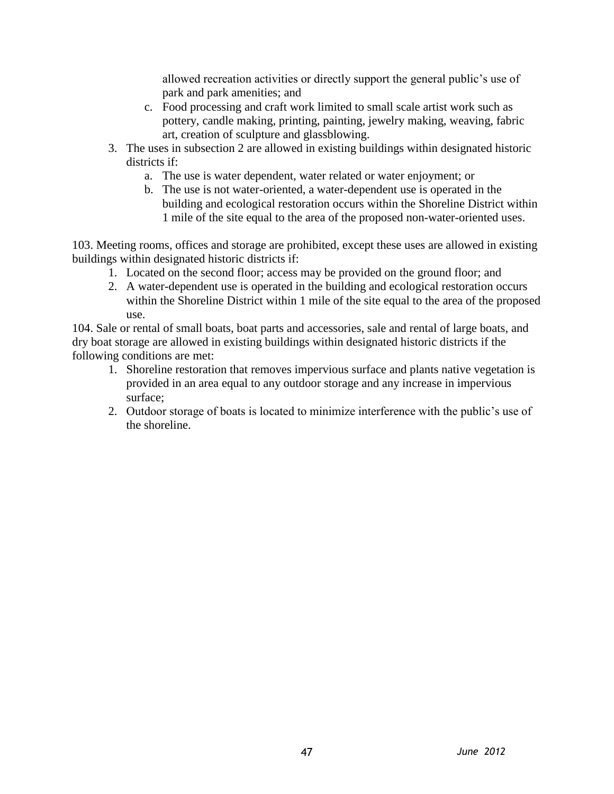allowed recreation activities or directly support the general public's use of park and park amenities; and

- c. Food processing and craft work limited to small scale artist work such as pottery, candle making, printing, painting, jewelry making, weaving, fabric art, creation of sculpture and glassblowing.
- 3. The uses in subsection 2 are allowed in existing buildings within designated historic districts if:
	- a. The use is water dependent, water related or water enjoyment; or
	- b. The use is not water-oriented, a water-dependent use is operated in the building and ecological restoration occurs within the Shoreline District within 1 mile of the site equal to the area of the proposed non-water-oriented uses.

103. Meeting rooms, offices and storage are prohibited, except these uses are allowed in existing buildings within designated historic districts if:

- 1. Located on the second floor; access may be provided on the ground floor; and
- 2. A water-dependent use is operated in the building and ecological restoration occurs within the Shoreline District within 1 mile of the site equal to the area of the proposed use.

104. Sale or rental of small boats, boat parts and accessories, sale and rental of large boats, and dry boat storage are allowed in existing buildings within designated historic districts if the following conditions are met:

- 1. Shoreline restoration that removes impervious surface and plants native vegetation is provided in an area equal to any outdoor storage and any increase in impervious surface;
- 2. Outdoor storage of boats is located to minimize interference with the public's use of the shoreline.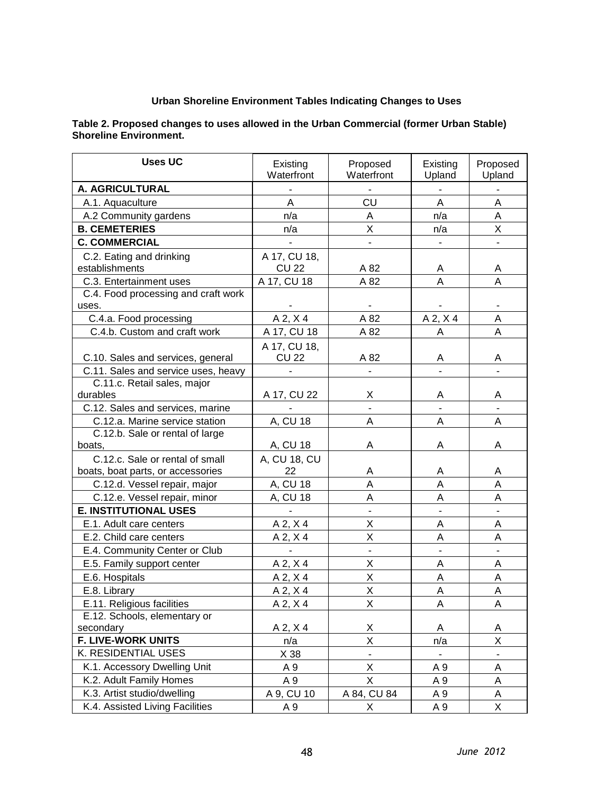#### **Urban Shoreline Environment Tables Indicating Changes to Uses**

#### **Table 2. Proposed changes to uses allowed in the Urban Commercial (former Urban Stable) Shoreline Environment.**

| <b>Uses UC</b>                             | Existing<br>Waterfront       | Proposed<br>Waterfront | Existing<br>Upland | Proposed<br>Upland |
|--------------------------------------------|------------------------------|------------------------|--------------------|--------------------|
| A. AGRICULTURAL                            |                              |                        |                    |                    |
| A.1. Aquaculture                           | A                            | CU                     | A                  | A                  |
| A.2 Community gardens                      | n/a                          | A                      | n/a                | A                  |
| <b>B. CEMETERIES</b>                       |                              | Χ                      |                    |                    |
| <b>C. COMMERCIAL</b>                       | n/a                          |                        | n/a                | X                  |
|                                            |                              |                        |                    |                    |
| C.2. Eating and drinking<br>establishments | A 17, CU 18,<br><b>CU 22</b> | A 82                   | Α                  | Α                  |
| C.3. Entertainment uses                    | A 17, CU 18                  | A 82                   | A                  | A                  |
| C.4. Food processing and craft work        |                              |                        |                    |                    |
| uses.                                      |                              |                        |                    |                    |
| C.4.a. Food processing                     | A 2, X 4                     | A 82                   | $A$ 2, $X$ 4       | A                  |
| C.4.b. Custom and craft work               | A 17, CU 18                  | A 82                   | Α                  | Α                  |
|                                            | A 17, CU 18,                 |                        |                    |                    |
| C.10. Sales and services, general          | <b>CU 22</b>                 | A 82                   | Α                  | A                  |
| C.11. Sales and service uses, heavy        |                              |                        | $\overline{a}$     |                    |
| C.11.c. Retail sales, major                |                              |                        |                    |                    |
| durables                                   | A 17, CU 22                  | Χ                      | Α                  | Α                  |
| C.12. Sales and services, marine           |                              |                        |                    |                    |
| C.12.a. Marine service station             | A, CU 18                     | A                      | A                  | A                  |
| C.12.b. Sale or rental of large            |                              | Α                      | Α                  | A                  |
| boats,                                     | A, CU 18                     |                        |                    |                    |
| C.12.c. Sale or rental of small            | A, CU 18, CU<br>22           |                        |                    |                    |
| boats, boat parts, or accessories          |                              | A<br>Α                 | Α<br>A             | Α<br>A             |
| C.12.d. Vessel repair, major               | A, CU 18                     |                        |                    |                    |
| C.12.e. Vessel repair, minor               | A, CU 18                     | A                      | A                  | A                  |
| <b>E. INSTITUTIONAL USES</b>               |                              |                        |                    |                    |
| E.1. Adult care centers                    | $A$ 2, $X$ 4                 | X                      | Α                  | A                  |
| E.2. Child care centers                    | $A$ 2, $X$ 4                 | Χ                      | Α                  | Α                  |
| E.4. Community Center or Club              |                              | $\frac{1}{2}$          | $\frac{1}{2}$      |                    |
| E.5. Family support center                 | $A$ 2, $X$ 4                 | Χ                      | А                  | Α                  |
| E.6. Hospitals                             | $A$ 2, $X$ 4                 | X                      | A                  | A                  |
| E.8. Library                               | $A$ 2, $X$ 4                 | X                      | Α                  | Α                  |
| E.11. Religious facilities                 | $A$ 2, $X$ 4                 | X                      | A                  | $\mathsf A$        |
| E.12. Schools, elementary or               |                              |                        |                    |                    |
| secondary                                  | $A$ 2, $X$ 4                 | Χ                      | Α                  | Α                  |
| F. LIVE-WORK UNITS                         | n/a                          | X                      | n/a                | Χ                  |
| K. RESIDENTIAL USES                        | X 38                         | $\blacksquare$         | ٠                  | ۰                  |
| K.1. Accessory Dwelling Unit               | A 9                          | X.                     | A 9                | Α                  |
| K.2. Adult Family Homes                    | A 9                          | X                      | A 9                | A                  |
| K.3. Artist studio/dwelling                | A 9, CU 10                   | A 84, CU 84            | A 9                | Α                  |
| K.4. Assisted Living Facilities            | A 9                          | X                      | A 9                | X                  |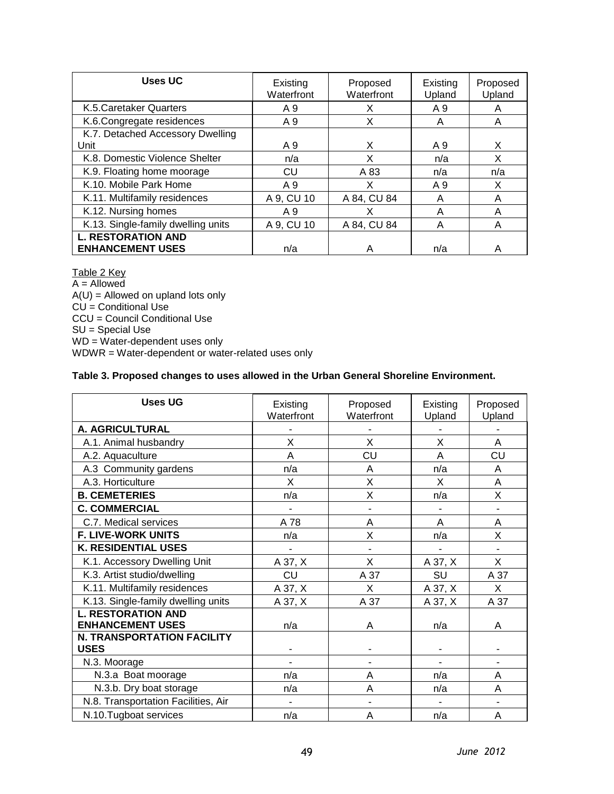| Uses UC                            | Existing<br>Waterfront | Proposed<br>Waterfront | Existing<br>Upland | Proposed<br>Upland |
|------------------------------------|------------------------|------------------------|--------------------|--------------------|
| K.5. Caretaker Quarters            | A 9                    | X                      | A 9                | A                  |
| K.6. Congregate residences         | A 9                    | х                      | A                  | A                  |
| K.7. Detached Accessory Dwelling   |                        |                        |                    |                    |
| Unit                               | A 9                    | X                      | A 9                | X                  |
| K.8. Domestic Violence Shelter     | n/a                    | x                      | n/a                | X                  |
| K.9. Floating home moorage         | CU                     | A 83                   | n/a                | n/a                |
| K.10. Mobile Park Home             | A 9                    | x                      | A 9                | X                  |
| K.11. Multifamily residences       | A 9, CU 10             | A 84, CU 84            | A                  | A                  |
| K.12. Nursing homes                | A 9                    | х                      | А                  | A                  |
| K.13. Single-family dwelling units | A 9, CU 10             | A 84, CU 84            | A                  | A                  |
| <b>L. RESTORATION AND</b>          |                        |                        |                    |                    |
| <b>ENHANCEMENT USES</b>            | n/a                    | А                      | n/a                | А                  |

Table 2 Key A = Allowed  $A(U) =$  Allowed on upland lots only CU = Conditional Use CCU = Council Conditional Use SU = Special Use WD = Water-dependent uses only WDWR = Water-dependent or water-related uses only

#### **Table 3. Proposed changes to uses allowed in the Urban General Shoreline Environment.**

| <b>Uses UG</b>                      | Existing<br>Waterfront | Proposed<br>Waterfront | Existing | Proposed |
|-------------------------------------|------------------------|------------------------|----------|----------|
|                                     |                        |                        | Upland   | Upland   |
| A. AGRICULTURAL                     |                        |                        |          |          |
| A.1. Animal husbandry               | X                      | X                      | X        | A        |
| A.2. Aquaculture                    | A                      | CU                     | A        | CU       |
| A.3 Community gardens               | n/a                    | A                      | n/a      | A        |
| A.3. Horticulture                   | X                      | X                      | X        | A        |
| <b>B. CEMETERIES</b>                | n/a                    | X                      | n/a      | X        |
| <b>C. COMMERCIAL</b>                |                        |                        |          |          |
| C.7. Medical services               | A 78                   | Α                      | Α        | A        |
| <b>F. LIVE-WORK UNITS</b>           | n/a                    | X                      | n/a      | X        |
| <b>K. RESIDENTIAL USES</b>          |                        |                        |          |          |
| K.1. Accessory Dwelling Unit        | A 37, X                | X                      | A 37, X  | X        |
| K.3. Artist studio/dwelling         | <b>CU</b>              | A 37                   | SU       | A 37     |
| K.11. Multifamily residences        | A 37, X                | X                      | A 37, X  | X        |
| K.13. Single-family dwelling units  | A 37, X                | A 37                   | A 37, X  | A 37     |
| <b>L. RESTORATION AND</b>           |                        |                        |          |          |
| <b>ENHANCEMENT USES</b>             | n/a                    | A                      | n/a      | A        |
| <b>N. TRANSPORTATION FACILITY</b>   |                        |                        |          |          |
| <b>USES</b>                         |                        |                        |          |          |
| N.3. Moorage                        |                        |                        |          |          |
| N.3.a Boat moorage                  | n/a                    | A                      | n/a      | A        |
| N.3.b. Dry boat storage             | n/a                    | A                      | n/a      | Α        |
| N.8. Transportation Facilities, Air |                        |                        |          |          |
| N.10.Tugboat services               | n/a                    | A                      | n/a      | A        |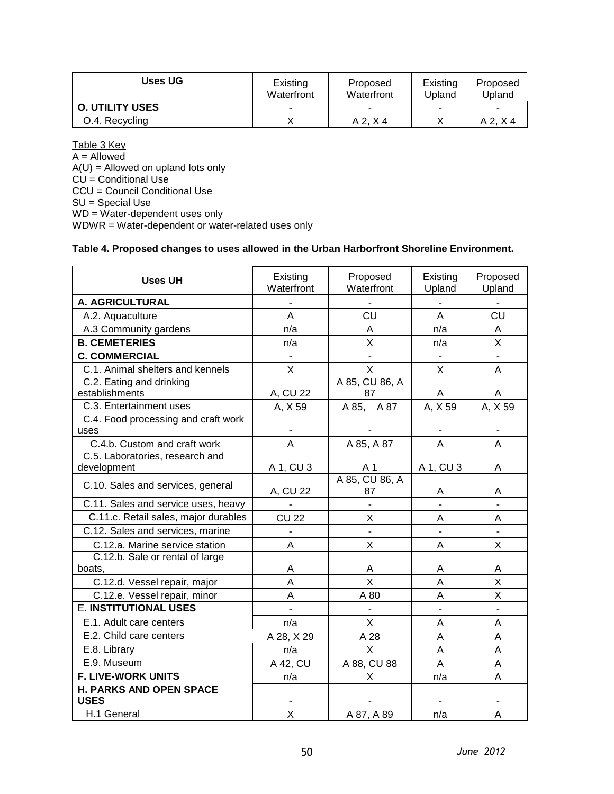| Uses UG                | Existing<br>Waterfront | Proposed<br>Waterfront | Existing<br>Upland | Proposed<br>Upland |
|------------------------|------------------------|------------------------|--------------------|--------------------|
| <b>O. UTILITY USES</b> |                        | -                      | ۰                  | -                  |
| O.4. Recycling         |                        | $A$ 2. $X$ 4           |                    | A2. X4             |

Table 3 Key A = Allowed  $A(U) =$  Allowed on upland lots only  $CU =$  Conditional Use CCU = Council Conditional Use SU = Special Use WD = Water-dependent uses only WDWR = Water-dependent or water-related uses only

#### **Table 4. Proposed changes to uses allowed in the Urban Harborfront Shoreline Environment.**

| <b>Uses UH</b>                                | Existing<br>Waterfront | Proposed<br>Waterfront  | Existing<br>Upland | Proposed<br>Upland |
|-----------------------------------------------|------------------------|-------------------------|--------------------|--------------------|
| A. AGRICULTURAL                               |                        |                         |                    |                    |
| A.2. Aquaculture                              | Α                      | CU                      | Α                  | CU                 |
| A.3 Community gardens                         | n/a                    | A                       | n/a                | A                  |
| <b>B. CEMETERIES</b>                          | n/a                    | X                       | n/a                | X                  |
| <b>C. COMMERCIAL</b>                          |                        |                         |                    |                    |
| C.1. Animal shelters and kennels              | X                      | $\mathsf{X}$            | X                  | A                  |
| C.2. Eating and drinking                      |                        | A 85, CU 86, A          |                    |                    |
| establishments                                | A, CU 22               | 87                      | Α                  | А                  |
| C.3. Entertainment uses                       | A, X 59                | A 85, A 87              | A, X 59            | A, X 59            |
| C.4. Food processing and craft work           |                        |                         |                    |                    |
| uses                                          |                        |                         |                    |                    |
| C.4.b. Custom and craft work                  | A                      | A 85, A 87              | A                  | A                  |
| C.5. Laboratories, research and               |                        |                         |                    |                    |
| development                                   | A 1, CU 3              | A 1                     | A 1, CU 3          | A                  |
| C.10. Sales and services, general             | A, CU 22               | A 85, CU 86, A<br>87    | Α                  | Α                  |
| C.11. Sales and service uses, heavy           |                        |                         |                    |                    |
| C.11.c. Retail sales, major durables          | <b>CU 22</b>           | X                       | A                  | A                  |
| C.12. Sales and services, marine              |                        |                         |                    |                    |
| C.12.a. Marine service station                | A                      | X                       | A                  | X                  |
| C.12.b. Sale or rental of large               |                        |                         |                    |                    |
| boats.                                        | A                      | A                       | Α                  | Α                  |
| C.12.d. Vessel repair, major                  | A                      | $\overline{\mathsf{x}}$ | $\overline{A}$     | X                  |
| C.12.e. Vessel repair, minor                  | A                      | A 80                    | A                  | X                  |
| <b>E. INSTITUTIONAL USES</b>                  |                        |                         |                    |                    |
| E.1. Adult care centers                       | n/a                    | $\mathsf{X}$            | A                  | A                  |
| E.2. Child care centers                       | A 28, X 29             | A 28                    | A                  | A                  |
| E.8. Library                                  | n/a                    | X                       | A                  | A                  |
| E.9. Museum                                   | A 42, CU               | A 88, CU 88             | A                  | A                  |
| <b>F. LIVE-WORK UNITS</b>                     | n/a                    | X                       | n/a                | A                  |
| <b>H. PARKS AND OPEN SPACE</b><br><b>USES</b> |                        |                         |                    |                    |
| H.1 General                                   | X                      | A 87, A 89              | n/a                | A                  |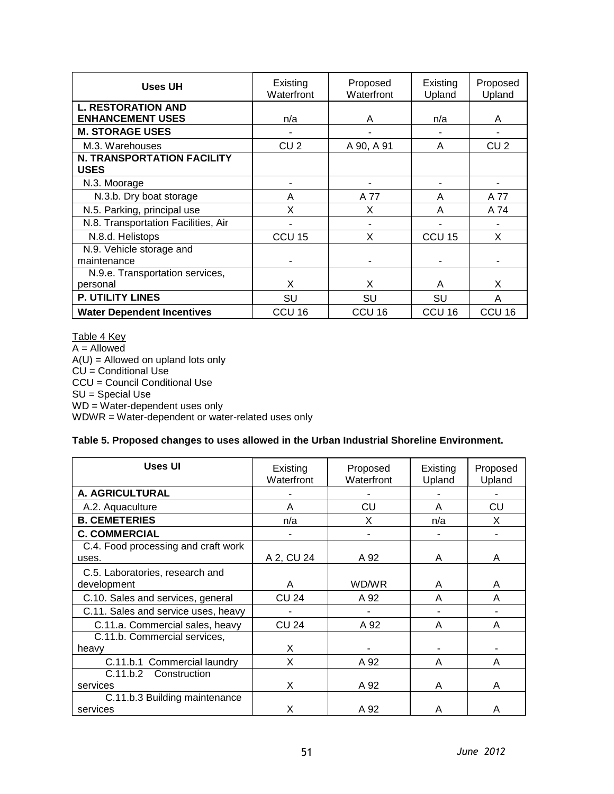| <b>Uses UH</b>                                   | Existing<br>Waterfront | Proposed<br>Waterfront | Existing<br>Upland | Proposed<br>Upland |
|--------------------------------------------------|------------------------|------------------------|--------------------|--------------------|
| <b>L. RESTORATION AND</b>                        |                        |                        |                    |                    |
| <b>ENHANCEMENT USES</b>                          | n/a                    | A                      | n/a                | A                  |
| <b>M. STORAGE USES</b>                           |                        |                        |                    |                    |
| M.3. Warehouses                                  | CU <sub>2</sub>        | A 90, A 91             | A                  | CU <sub>2</sub>    |
| <b>N. TRANSPORTATION FACILITY</b><br><b>USES</b> |                        |                        |                    |                    |
| N.3. Moorage                                     |                        |                        |                    |                    |
| N.3.b. Dry boat storage                          | A                      | A 77                   | A                  | A 77               |
| N.5. Parking, principal use                      | X                      | X                      | A                  | A 74               |
| N.8. Transportation Facilities, Air              |                        |                        |                    |                    |
| N.8.d. Helistops                                 | CCU <sub>15</sub>      | X                      | CCU <sub>15</sub>  | X                  |
| N.9. Vehicle storage and                         |                        |                        |                    |                    |
| maintenance                                      |                        |                        |                    |                    |
| N.9.e. Transportation services,                  |                        |                        |                    |                    |
| personal                                         | X                      | X                      | A                  | X                  |
| P. UTILITY LINES                                 | SU                     | SU                     | SU                 | A                  |
| <b>Water Dependent Incentives</b>                | CCU 16                 | CCU <sub>16</sub>      | CCU <sub>16</sub>  | CCU <sub>16</sub>  |

Table 4 Key  $A =$  Allowed A(U) = Allowed on upland lots only CU = Conditional Use CCU = Council Conditional Use SU = Special Use WD = Water-dependent uses only WDWR = Water-dependent or water-related uses only

#### **Table 5. Proposed changes to uses allowed in the Urban Industrial Shoreline Environment.**

| Uses UI                                        | Existing<br>Waterfront | Proposed<br>Waterfront | Existing<br>Upland | Proposed<br>Upland |
|------------------------------------------------|------------------------|------------------------|--------------------|--------------------|
| A. AGRICULTURAL                                |                        |                        |                    |                    |
| A.2. Aquaculture                               | A                      | CU                     | A                  | CU                 |
| <b>B. CEMETERIES</b>                           | n/a                    | X                      | n/a                | X                  |
| <b>C. COMMERCIAL</b>                           |                        |                        |                    |                    |
| C.4. Food processing and craft work<br>uses.   | A 2, CU 24             | A 92                   | A                  | A                  |
| C.5. Laboratories, research and<br>development | A                      | WD/WR                  | A                  | A                  |
| C.10. Sales and services, general              | CU 24                  | A 92                   | A                  | A                  |
| C.11. Sales and service uses, heavy            |                        |                        |                    |                    |
| C.11.a. Commercial sales, heavy                | <b>CU 24</b>           | A 92                   | A                  | A                  |
| C.11.b. Commercial services,                   |                        |                        |                    |                    |
| heavy                                          | X                      |                        |                    |                    |
| Commercial laundry<br>C.11.b.1                 | X                      | A 92                   | A                  | A                  |
| C.11.b.2<br>Construction                       |                        |                        |                    |                    |
| services                                       | X                      | A 92                   | A                  | A                  |
| C.11.b.3 Building maintenance                  |                        |                        |                    |                    |
| services                                       | X                      | A 92                   | A                  | A                  |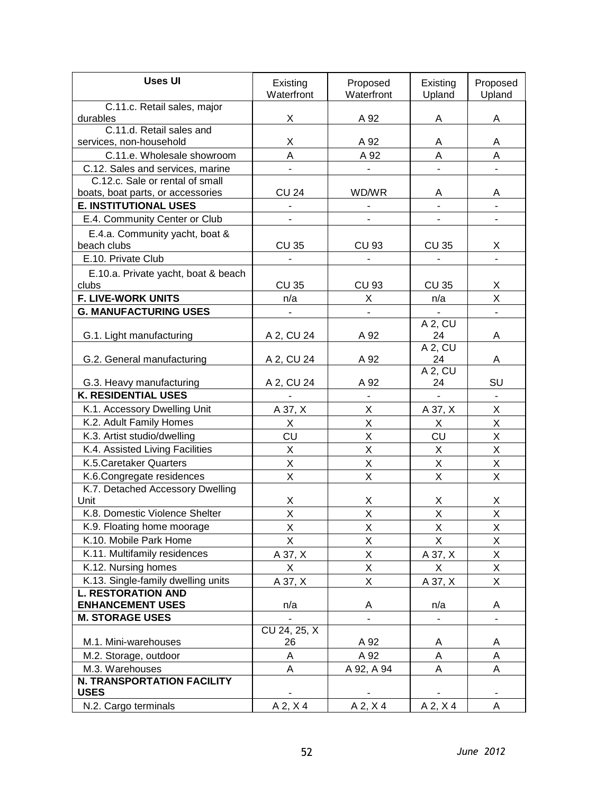| <b>Uses UI</b>                                         | Existing<br>Waterfront | Proposed<br>Waterfront       | Existing<br>Upland      | Proposed<br>Upland |
|--------------------------------------------------------|------------------------|------------------------------|-------------------------|--------------------|
| C.11.c. Retail sales, major                            |                        |                              |                         |                    |
| durables<br>C.11.d. Retail sales and                   | X                      | A 92                         | A                       | A                  |
| services, non-household                                | Χ                      | A 92                         | Α                       | Α                  |
| C.11.e. Wholesale showroom                             | A                      | A 92                         | A                       | A                  |
| C.12. Sales and services, marine                       |                        |                              |                         |                    |
| C.12.c. Sale or rental of small                        |                        |                              |                         |                    |
| boats, boat parts, or accessories                      | <b>CU 24</b>           | WD/WR                        | Α                       | A                  |
| <b>E. INSTITUTIONAL USES</b>                           | $\blacksquare$         | $\qquad \qquad \blacksquare$ | $\blacksquare$          |                    |
| E.4. Community Center or Club                          |                        |                              |                         |                    |
| E.4.a. Community yacht, boat &                         |                        |                              |                         |                    |
| beach clubs                                            | <b>CU 35</b>           | <b>CU 93</b>                 | <b>CU 35</b>            | X                  |
| E.10. Private Club                                     |                        |                              |                         |                    |
| E.10.a. Private yacht, boat & beach<br>clubs           | <b>CU 35</b>           | <b>CU 93</b>                 | <b>CU 35</b>            | X                  |
| <b>F. LIVE-WORK UNITS</b>                              | n/a                    | X                            | n/a                     | X                  |
| <b>G. MANUFACTURING USES</b>                           |                        |                              |                         |                    |
|                                                        |                        |                              | $A$ 2, $CU$             |                    |
| G.1. Light manufacturing                               | A 2, CU 24             | A 92                         | 24                      | Α                  |
|                                                        |                        |                              | A 2, CU                 |                    |
| G.2. General manufacturing                             | A 2, CU 24             | A 92                         | 24                      | A                  |
|                                                        |                        | A 92                         | A 2, CU<br>24           | SU                 |
| G.3. Heavy manufacturing<br><b>K. RESIDENTIAL USES</b> | A 2, CU 24             |                              |                         |                    |
| K.1. Accessory Dwelling Unit                           | A 37, X                | X                            | A 37, X                 | $\sf X$            |
| K.2. Adult Family Homes                                | X                      | X                            | X                       | X                  |
| K.3. Artist studio/dwelling                            | CU                     | X                            | CU                      | X                  |
| K.4. Assisted Living Facilities                        | Χ                      | Χ                            | Χ                       | X                  |
| K.5. Caretaker Quarters                                | X                      | $\sf X$                      | X                       | X                  |
| K.6. Congregate residences                             | X                      | X                            | X                       | X                  |
| K.7. Detached Accessory Dwelling                       |                        |                              |                         |                    |
| Unit                                                   | X                      | х                            | х                       | X                  |
| K.8. Domestic Violence Shelter                         | X                      | X                            | $\overline{\mathsf{X}}$ | X                  |
| K.9. Floating home moorage                             | Χ                      | X                            | Χ                       | X                  |
| K.10. Mobile Park Home                                 | X                      | X                            | X                       | X                  |
| K.11. Multifamily residences                           | A 37, X                | Χ                            | A 37, X                 | X                  |
| K.12. Nursing homes                                    | X                      | $\sf X$                      | X                       | X                  |
| K.13. Single-family dwelling units                     | A 37, X                | Χ                            | A 37, X                 | X                  |
| <b>L. RESTORATION AND</b>                              |                        |                              |                         |                    |
| <b>ENHANCEMENT USES</b>                                | n/a                    | A                            | n/a                     | Α                  |
| <b>M. STORAGE USES</b>                                 |                        |                              |                         |                    |
|                                                        | CU 24, 25, X           |                              |                         |                    |
| M.1. Mini-warehouses                                   | 26                     | A 92                         | A                       | Α                  |
| M.2. Storage, outdoor                                  | Α                      | A 92                         | А                       | A                  |
| M.3. Warehouses<br>N. TRANSPORTATION FACILITY          | A                      | A 92, A 94                   | Α                       | Α                  |
| <b>USES</b>                                            |                        |                              |                         |                    |
| N.2. Cargo terminals                                   | $A$ 2, $X$ 4           | $A$ 2, $X$ 4                 | A 2, X 4                | Α                  |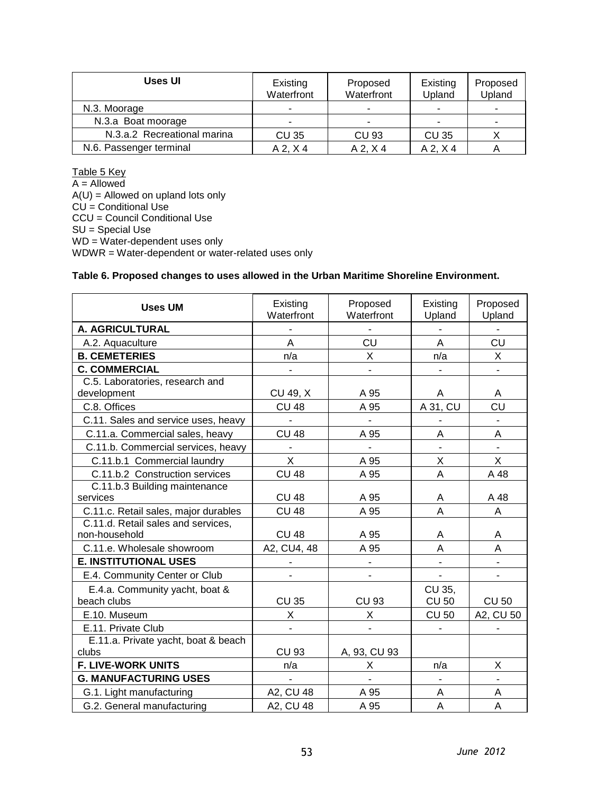| Uses UI                     | Existing<br>Waterfront | Proposed<br>Waterfront | Existing<br>Upland | Proposed<br>Upland |
|-----------------------------|------------------------|------------------------|--------------------|--------------------|
| N.3. Moorage                | -                      | -                      | ۰                  |                    |
| N.3.a Boat moorage          |                        |                        | -                  |                    |
| N.3.a.2 Recreational marina | <b>CU 35</b>           | <b>CU 93</b>           | <b>CU 35</b>       |                    |
| N.6. Passenger terminal     | $A$ 2, $X$ 4           | $A$ 2, $X$ 4           | $A$ 2, $X$ 4       |                    |

Table 5 Key

 $A =$  Allowed A(U) = Allowed on upland lots only CU = Conditional Use CCU = Council Conditional Use SU = Special Use WD = Water-dependent uses only WDWR = Water-dependent or water-related uses only

#### **Table 6. Proposed changes to uses allowed in the Urban Maritime Shoreline Environment.**

| <b>Uses UM</b>                                      | Existing<br>Waterfront | Proposed<br>Waterfront | Existing<br>Upland           | Proposed<br>Upland |
|-----------------------------------------------------|------------------------|------------------------|------------------------------|--------------------|
| A. AGRICULTURAL                                     |                        |                        |                              |                    |
| A.2. Aquaculture                                    | A                      | CU                     | $\overline{A}$               | CU                 |
| <b>B. CEMETERIES</b>                                | n/a                    | X                      | n/a                          | X                  |
| <b>C. COMMERCIAL</b>                                |                        |                        |                              |                    |
| C.5. Laboratories, research and<br>development      | CU 49, X               | A 95                   | A                            | A                  |
| C.8. Offices                                        | <b>CU 48</b>           | A 95                   | A 31, CU                     | CU                 |
| C.11. Sales and service uses, heavy                 | $\blacksquare$         | $\blacksquare$         |                              |                    |
| C.11.a. Commercial sales, heavy                     | <b>CU 48</b>           | A 95                   | A                            | A                  |
| C.11.b. Commercial services, heavy                  | $\overline{a}$         | $\overline{a}$         |                              |                    |
| C.11.b.1 Commercial laundry                         | X                      | A 95                   | Χ                            | X                  |
| C.11.b.2 Construction services                      | <b>CU 48</b>           | A 95                   | A                            | A 48               |
| C.11.b.3 Building maintenance<br>services           | <b>CU 48</b>           | A 95                   | Α                            | A 48               |
| C.11.c. Retail sales, major durables                | <b>CU 48</b>           | A 95                   | $\overline{A}$               | A                  |
| C.11.d. Retail sales and services,<br>non-household | <b>CU 48</b>           | A 95                   | Α                            | Α                  |
| C.11.e. Wholesale showroom                          | A2, CU4, 48            | A 95                   | A                            | A                  |
| <b>E. INSTITUTIONAL USES</b>                        |                        |                        | $\overline{a}$               |                    |
| E.4. Community Center or Club                       |                        |                        | $\qquad \qquad \blacksquare$ |                    |
| E.4.a. Community yacht, boat &<br>beach clubs       | <b>CU 35</b>           | <b>CU 93</b>           | CU 35,<br><b>CU 50</b>       | <b>CU 50</b>       |
| E.10. Museum                                        | X                      | X                      | <b>CU 50</b>                 | A2, CU 50          |
| E.11. Private Club                                  |                        |                        |                              |                    |
| E.11.a. Private yacht, boat & beach                 |                        |                        |                              |                    |
| clubs                                               | <b>CU 93</b>           | A, 93, CU 93           |                              |                    |
| <b>F. LIVE-WORK UNITS</b>                           | n/a                    | X                      | n/a                          | X                  |
| <b>G. MANUFACTURING USES</b>                        |                        |                        |                              |                    |
| G.1. Light manufacturing                            | A2, CU 48              | A 95                   | A                            | A                  |
| G.2. General manufacturing                          | A2, CU 48              | A 95                   | A                            | Α                  |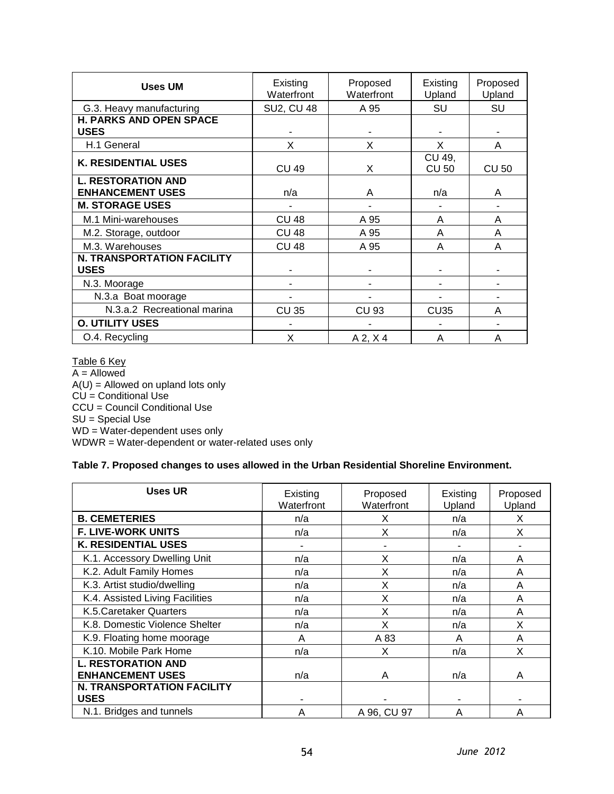| <b>Uses UM</b>                                       | Existing<br>Waterfront | Proposed<br>Waterfront | Existing<br>Upland     | Proposed<br>Upland |
|------------------------------------------------------|------------------------|------------------------|------------------------|--------------------|
| G.3. Heavy manufacturing                             | <b>SU2, CU 48</b>      | A 95                   | SU                     | SU                 |
| <b>H. PARKS AND OPEN SPACE</b><br><b>USES</b>        |                        |                        |                        |                    |
| H.1 General                                          | X                      | X                      | X                      | A                  |
| <b>K. RESIDENTIAL USES</b>                           | <b>CU 49</b>           | X                      | CU 49,<br><b>CU 50</b> | <b>CU 50</b>       |
| <b>L. RESTORATION AND</b><br><b>ENHANCEMENT USES</b> | n/a                    | A                      | n/a                    | A                  |
| <b>M. STORAGE USES</b>                               |                        |                        |                        |                    |
| M.1 Mini-warehouses                                  | <b>CU 48</b>           | A 95                   | А                      | A                  |
| M.2. Storage, outdoor                                | <b>CU 48</b>           | A 95                   | A                      | A                  |
| M.3. Warehouses                                      | <b>CU 48</b>           | A 95                   | A                      | A                  |
| <b>N. TRANSPORTATION FACILITY</b><br><b>USES</b>     |                        |                        |                        |                    |
| N.3. Moorage                                         |                        |                        |                        |                    |
| N.3.a Boat moorage                                   |                        |                        |                        |                    |
| N.3.a.2 Recreational marina                          | <b>CU 35</b>           | CU 93                  | <b>CU35</b>            | A                  |
| <b>O. UTILITY USES</b>                               |                        |                        |                        |                    |
| O.4. Recycling                                       | X                      | $A$ 2, $X$ 4           | А                      | A                  |

Table 6 Key A = Allowed A(U) = Allowed on upland lots only CU = Conditional Use CCU = Council Conditional Use SU = Special Use WD = Water-dependent uses only WDWR = Water-dependent or water-related uses only

#### **Table 7. Proposed changes to uses allowed in the Urban Residential Shoreline Environment.**

| <b>Uses UR</b>                                       | Existing<br>Waterfront | Proposed<br>Waterfront | Existing<br>Upland | Proposed<br>Upland |
|------------------------------------------------------|------------------------|------------------------|--------------------|--------------------|
| <b>B. CEMETERIES</b>                                 | n/a                    | X                      | n/a                | X                  |
| <b>F. LIVE-WORK UNITS</b>                            | n/a                    | X                      | n/a                | X                  |
| <b>K. RESIDENTIAL USES</b>                           |                        |                        |                    |                    |
| K.1. Accessory Dwelling Unit                         | n/a                    | X                      | n/a                | A                  |
| K.2. Adult Family Homes                              | n/a                    | X                      | n/a                | A                  |
| K.3. Artist studio/dwelling                          | n/a                    | X                      | n/a                | A                  |
| K.4. Assisted Living Facilities                      | n/a                    | X                      | n/a                | A                  |
| K.5. Caretaker Quarters                              | n/a                    | X                      | n/a                | A                  |
| K.8. Domestic Violence Shelter                       | n/a                    | X                      | n/a                | X                  |
| K.9. Floating home moorage                           | A                      | A 83                   | Α                  | A                  |
| K.10. Mobile Park Home                               | n/a                    | X                      | n/a                | X                  |
| <b>L. RESTORATION AND</b><br><b>ENHANCEMENT USES</b> | n/a                    | Α                      | n/a                | A                  |
| <b>N. TRANSPORTATION FACILITY</b><br><b>USES</b>     |                        |                        |                    |                    |
| N.1. Bridges and tunnels                             | A                      | A 96, CU 97            | Α                  | A                  |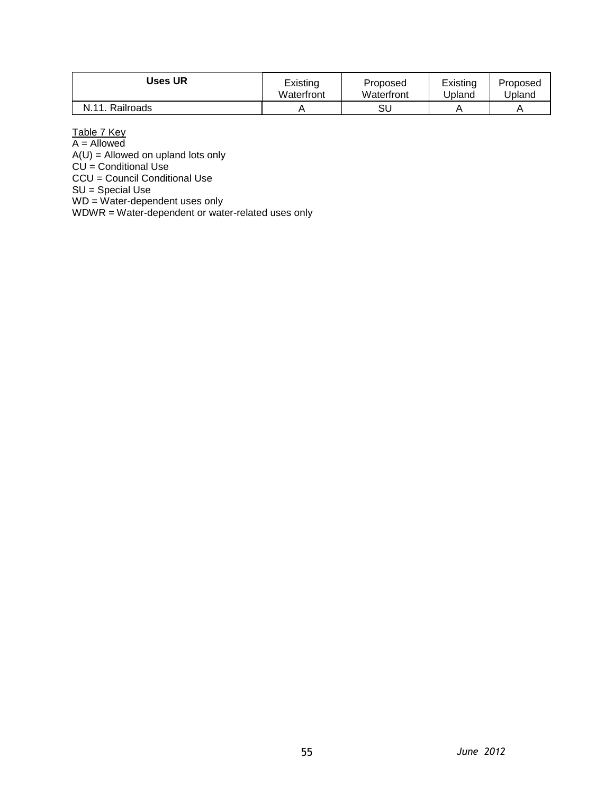| Uses UR           | Existing   | Proposed   | Existing | Proposed |
|-------------------|------------|------------|----------|----------|
|                   | Waterfront | Waterfront | Jpland   | Jpland   |
| N 11<br>Railroads |            | SU         |          | A        |

Table 7 Key

A = Allowed

A(U) = Allowed on upland lots only

CU = Conditional Use

CCU = Council Conditional Use

SU = Special Use

WD = Water-dependent uses only

WDWR = Water-dependent or water-related uses only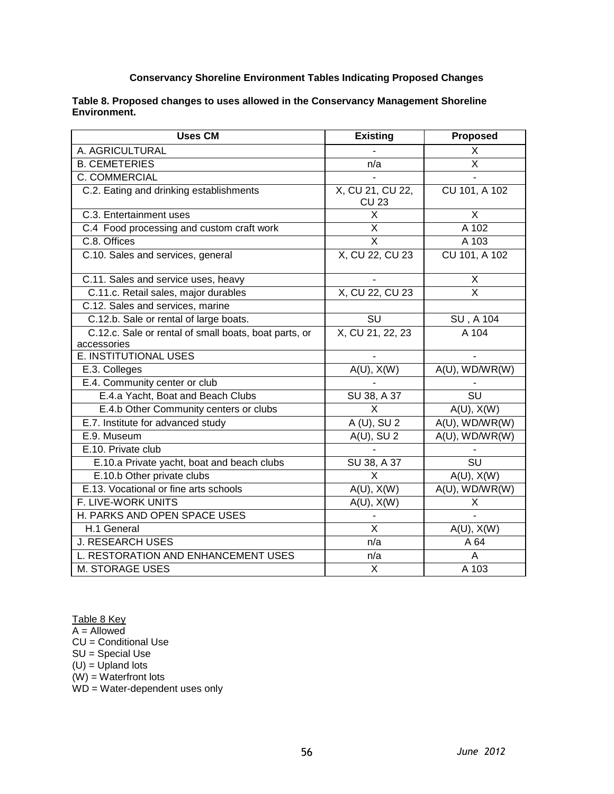#### **Conservancy Shoreline Environment Tables Indicating Proposed Changes**

| Table 8. Proposed changes to uses allowed in the Conservancy Management Shoreline |  |
|-----------------------------------------------------------------------------------|--|
| Environment.                                                                      |  |

| <b>Uses CM</b>                                        | <b>Existing</b>                  | <b>Proposed</b>         |
|-------------------------------------------------------|----------------------------------|-------------------------|
| A. AGRICULTURAL                                       |                                  | X                       |
| <b>B. CEMETERIES</b>                                  | n/a                              | $\overline{X}$          |
| C. COMMERCIAL                                         |                                  |                         |
| C.2. Eating and drinking establishments               | X, CU 21, CU 22,<br><b>CU 23</b> | CU 101, A 102           |
| C.3. Entertainment uses                               | $\overline{\mathsf{x}}$          | X                       |
| C.4 Food processing and custom craft work             | X                                | A 102                   |
| C.8. Offices                                          | $\overline{\mathsf{x}}$          | A 103                   |
| C.10. Sales and services, general                     | X, CU 22, CU 23                  | CU 101, A 102           |
| C.11. Sales and service uses, heavy                   |                                  | Χ                       |
| C.11.c. Retail sales, major durables                  | X, CU 22, CU 23                  | $\overline{\mathsf{x}}$ |
| C.12. Sales and services, marine                      |                                  |                         |
| C.12.b. Sale or rental of large boats.                | SU                               | SU, A 104               |
| C.12.c. Sale or rental of small boats, boat parts, or | X, CU 21, 22, 23                 | A 104                   |
| accessories                                           |                                  |                         |
| E. INSTITUTIONAL USES                                 |                                  |                         |
| E.3. Colleges                                         | $A(U)$ , $X(W)$                  | A(U), WD/WR(W)          |
| E.4. Community center or club                         |                                  |                         |
| E.4.a Yacht, Boat and Beach Clubs                     | SU 38, A 37                      | $\overline{\text{SU}}$  |
| E.4.b Other Community centers or clubs                | X                                | $A(U)$ , $X(W)$         |
| E.7. Institute for advanced study                     | A (U), SU 2                      | $A(U)$ , WD/WR(W)       |
| E.9. Museum                                           | $A(U)$ , SU 2                    | A(U), WD/WR(W)          |
| E.10. Private club                                    |                                  |                         |
| E.10.a Private yacht, boat and beach clubs            | SU 38, A 37                      | $\overline{\text{SU}}$  |
| E.10.b Other private clubs                            | X                                | $A(U)$ , $X(W)$         |
| E.13. Vocational or fine arts schools                 | $A(U)$ , $X(W)$                  | A(U), WD/WR(W)          |
| F. LIVE-WORK UNITS                                    | $A(U)$ , $X(W)$                  | X                       |
| H. PARKS AND OPEN SPACE USES                          |                                  |                         |
| H.1 General                                           | $\overline{\mathsf{x}}$          | $A(U)$ , $X(W)$         |
| <b>J. RESEARCH USES</b>                               | n/a                              | A 64                    |
| L. RESTORATION AND ENHANCEMENT USES                   | n/a                              | Α                       |
| M. STORAGE USES                                       | X                                | A 103                   |

Table 8 Key

A = Allowed

CU = Conditional Use

SU = Special Use

(U) = Upland lots

(W) = Waterfront lots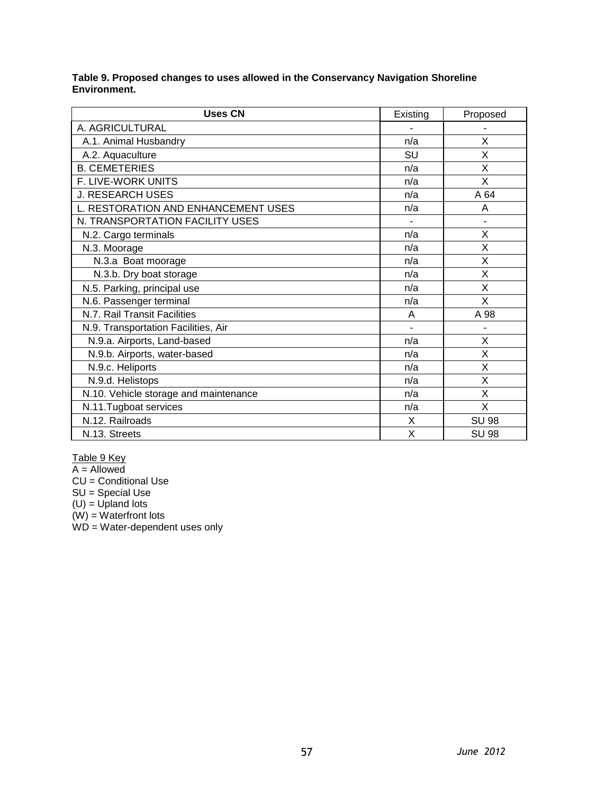**Table 9. Proposed changes to uses allowed in the Conservancy Navigation Shoreline Environment.**

| <b>Uses CN</b>                        | Existing       | Proposed     |
|---------------------------------------|----------------|--------------|
| A. AGRICULTURAL                       |                |              |
| A.1. Animal Husbandry                 | n/a            | X            |
| A.2. Aquaculture                      | SU             | X            |
| <b>B. CEMETERIES</b>                  | n/a            | X            |
| F. LIVE-WORK UNITS                    | n/a            | X            |
| <b>J. RESEARCH USES</b>               | n/a            | A 64         |
| L. RESTORATION AND ENHANCEMENT USES   | n/a            | A            |
| N. TRANSPORTATION FACILITY USES       |                |              |
| N.2. Cargo terminals                  | n/a            | X            |
| N.3. Moorage                          | n/a            | X            |
| N.3.a Boat moorage                    | n/a            | X            |
| N.3.b. Dry boat storage               | n/a            | X            |
| N.5. Parking, principal use           | n/a            | X            |
| N.6. Passenger terminal               | n/a            | X            |
| N.7. Rail Transit Facilities          | A              | A 98         |
| N.9. Transportation Facilities, Air   | $\blacksquare$ |              |
| N.9.a. Airports, Land-based           | n/a            | X            |
| N.9.b. Airports, water-based          | n/a            | X            |
| N.9.c. Heliports                      | n/a            | X            |
| N.9.d. Helistops                      | n/a            | X            |
| N.10. Vehicle storage and maintenance | n/a            | X            |
| N.11. Tugboat services                | n/a            | X            |
| N.12. Railroads                       | X              | <b>SU 98</b> |
| N.13. Streets                         | X              | <b>SU 98</b> |

Table 9 Key

A = Allowed

CU = Conditional Use

SU = Special Use

(U) = Upland lots

(W) = Waterfront lots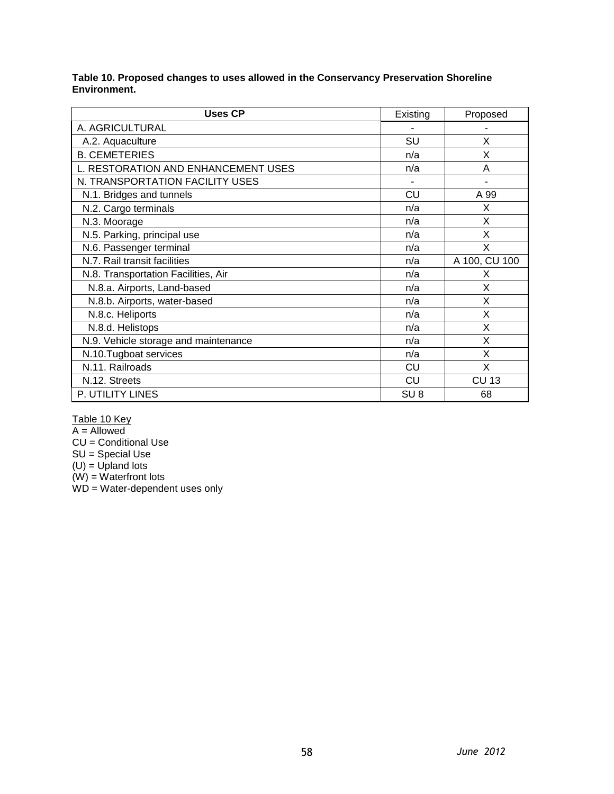#### **Table 10. Proposed changes to uses allowed in the Conservancy Preservation Shoreline Environment.**

| <b>Uses CP</b>                       | Existing        | Proposed      |
|--------------------------------------|-----------------|---------------|
| A. AGRICULTURAL                      |                 |               |
| A.2. Aquaculture                     | SU              | X             |
| <b>B. CEMETERIES</b>                 | n/a             | X             |
| L. RESTORATION AND ENHANCEMENT USES  | n/a             | A             |
| N. TRANSPORTATION FACILITY USES      |                 |               |
| N.1. Bridges and tunnels             | CU              | A 99          |
| N.2. Cargo terminals                 | n/a             | X             |
| N.3. Moorage                         | n/a             | X             |
| N.5. Parking, principal use          | n/a             | X             |
| N.6. Passenger terminal              | n/a             | X             |
| N.7. Rail transit facilities         | n/a             | A 100, CU 100 |
| N.8. Transportation Facilities, Air  | n/a             | X             |
| N.8.a. Airports, Land-based          | n/a             | X             |
| N.8.b. Airports, water-based         | n/a             | X             |
| N.8.c. Heliports                     | n/a             | X             |
| N.8.d. Helistops                     | n/a             | X             |
| N.9. Vehicle storage and maintenance | n/a             | X             |
| N.10.Tugboat services                | n/a             | X             |
| N.11. Railroads                      | CU              | X             |
| N.12. Streets                        | CU              | <b>CU 13</b>  |
| P. UTILITY LINES                     | SU <sub>8</sub> | 68            |

Table 10 Key

A = Allowed

CU = Conditional Use

SU = Special Use

(U) = Upland lots

(W) = Waterfront lots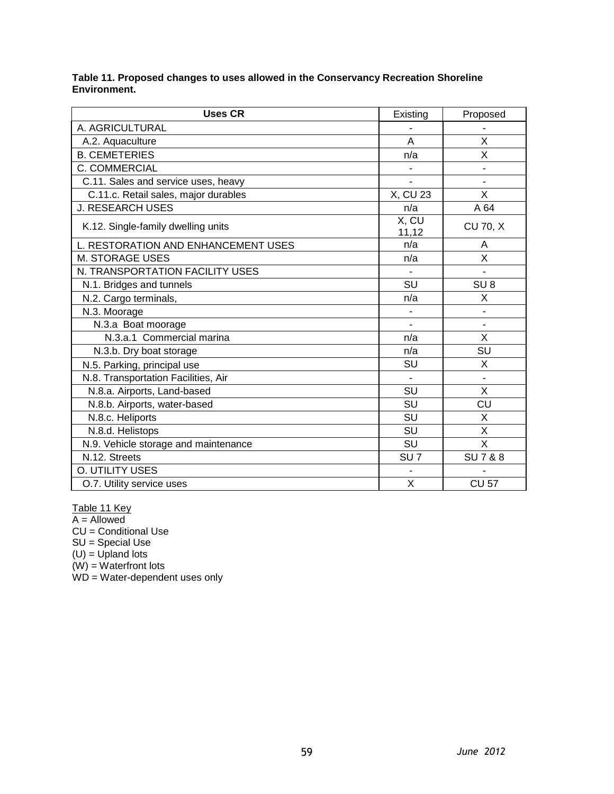**Table 11. Proposed changes to uses allowed in the Conservancy Recreation Shoreline Environment.**

| <b>Uses CR</b>                       | Existing                     | Proposed         |
|--------------------------------------|------------------------------|------------------|
| A. AGRICULTURAL                      |                              |                  |
| A.2. Aquaculture                     | A                            | X                |
| <b>B. CEMETERIES</b>                 | n/a                          | X                |
| <b>C. COMMERCIAL</b>                 |                              |                  |
| C.11. Sales and service uses, heavy  | $\overline{a}$               |                  |
| C.11.c. Retail sales, major durables | X, CU 23                     | X                |
| <b>J. RESEARCH USES</b>              | n/a                          | A 64             |
| K.12. Single-family dwelling units   | $\overline{X}$ , CU<br>11,12 | <b>CU 70, X</b>  |
| L. RESTORATION AND ENHANCEMENT USES  | n/a                          | A                |
| M. STORAGE USES                      | n/a                          | X                |
| N. TRANSPORTATION FACILITY USES      |                              |                  |
| N.1. Bridges and tunnels             | SU                           | SU <sub>8</sub>  |
| N.2. Cargo terminals,                | n/a                          | X                |
| N.3. Moorage                         |                              |                  |
| N.3.a Boat moorage                   |                              | ÷,               |
| N.3.a.1 Commercial marina            | n/a                          | X                |
| N.3.b. Dry boat storage              | n/a                          | SU               |
| N.5. Parking, principal use          | SU                           | X                |
| N.8. Transportation Facilities, Air  |                              | $\overline{a}$   |
| N.8.a. Airports, Land-based          | SU                           | X                |
| N.8.b. Airports, water-based         | SU                           | CU               |
| N.8.c. Heliports                     | SU                           | X                |
| N.8.d. Helistops                     | <b>SU</b>                    | X                |
| N.9. Vehicle storage and maintenance | <b>SU</b>                    | X                |
| N.12. Streets                        | SU <sub>7</sub>              | <b>SU7&amp;8</b> |
| O. UTILITY USES                      |                              |                  |
| O.7. Utility service uses            | X                            | <b>CU 57</b>     |

Table 11 Key

A = Allowed CU = Conditional Use

SU = Special Use

(U) = Upland lots

(W) = Waterfront lots